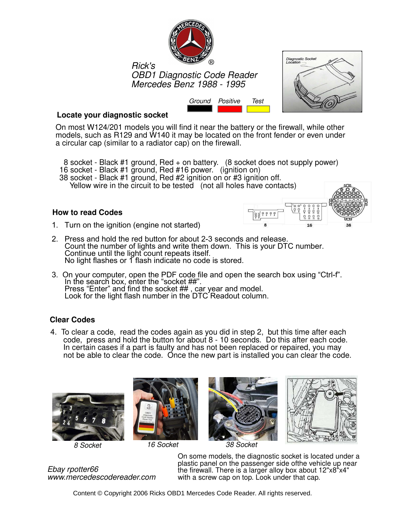

Mercedes Benz 1988 - 1995 Mercedes Benz 1988 - 1995 OBD1 Diagnostic Code Reader Rick's



## **Locate your diagnostic socket**

On most W124/201 models you will find it near the battery or the firewall, while other models, such as R129 and W140 it may be located on the front fender or even under a circular cap (similar to a radiator cap) on the firewall.

Ground Positive Test

- 8 socket Black #1 ground, Red + on battery. (8 socket does not supply power)
- 16 socket Black #1 ground, Red #16 power. (ignition on)
- 38 socket Black #1 ground, Red #2 ignition on or #3 ignition off.

# Yellow wire in the circuit to be tested (not all holes have contacts)

### **How to read Codes**



- 1. Turn on the ignition (engine not started)
- 2. Press and hold the red button for about 2-3 seconds and release. Count the number of lights and write them down. This is your DTC number. Continue until the light count repeats itself. No light flashes or 1 flash indicate no code is stored.
- **ANALOG FAULT CODES**<br>Press "Enter" and ' ELECTRONIC DIE DE SPIED DIE DE SPEED CONTROL (EL 3. On your computer, open the PDF code file and open the search box using "Ctrl-f". In the search box, enter the "socket ##". Press "Enter" and find the socket ##, car year and model. Look for the light flash number in the DTC Readout column.

# **Clear Codes**

 $1\,$  To clear a cade, read the cades exain as you did in step 0, but this time ofter seeh 4. To clear a code, read the codes again as you did in step 2, but this time after each code, press and hold the button for about 8 - 10 seconds. Do this after each code. In certain cases if a part is faulty and has not been replaced or repaired, you may not be able to clear the code. Once the new part is installed you can clear the code.



8 Socket







38 Socket

124.026 124.030 124.090 124.230 124.290 1990-92 . . . . . . . . . . . . . . . . . . . . . . . . 27 On some models, the diagnostic socket is located under a plastic panel on the passenger side of the vehicle up near<br>  $\blacksquare$ the firewall. There is a larger alloy box about 12"x8"x4" with a screw cap on top. Look under that cap.

Ebay rpotter66 Ebay rpotter66 www.mercedescodereader.com www.mercedescodereader.com

Content © Copyright 2006 Ricks OBD1 Mercedes Code Reader. All rights reserved.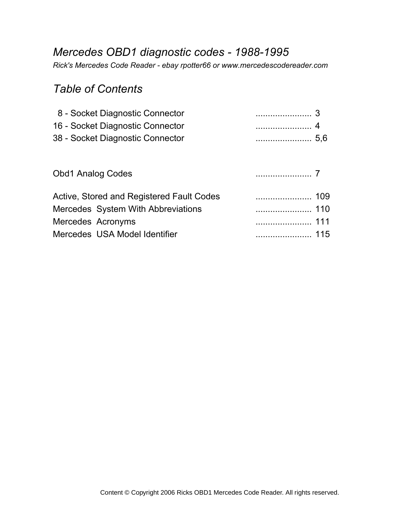# *Mercedes OBD1 diagnostic codes - 1988-1995*

*Rick's Mercedes Code Reader - ebay rpotter66 or www.mercedescodereader.com*

# *Table of Contents*

| 8 - Socket Diagnostic Connector           |            |  |
|-------------------------------------------|------------|--|
| 16 - Socket Diagnostic Connector          |            |  |
| 38 - Socket Diagnostic Connector          | $\sim$ 5,6 |  |
|                                           |            |  |
| <b>Obd1 Analog Codes</b>                  | $\sim$ 7   |  |
| Active, Stored and Registered Fault Codes |            |  |
| Mercedes System With Abbreviations        |            |  |
| Mercedes Acronyms                         |            |  |
|                                           |            |  |

Mercedes USA Model Identifier ....................... 115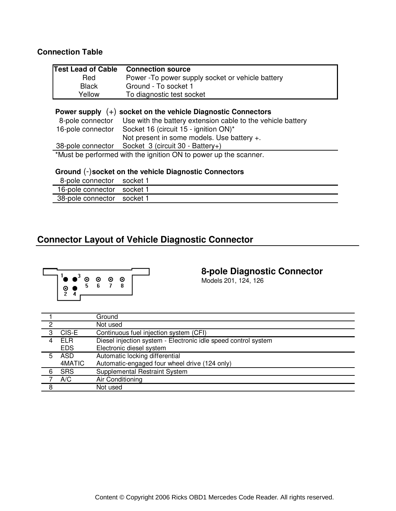### **Connection Table**

| <b>Test Lead of Cable</b> | <b>Connection source</b>                                                                                                                       |
|---------------------------|------------------------------------------------------------------------------------------------------------------------------------------------|
| Red                       | Power - To power supply socket or vehicle battery                                                                                              |
| <b>Black</b>              | Ground - To socket 1                                                                                                                           |
| Yellow                    | To diagnostic test socket                                                                                                                      |
|                           | Power supply $(+)$ socket on the vehicle Diagnostic Connectors<br>8-pole connector Use with the battery extension cable to the vehicle battery |

16-pole connector Socket 16 (circuit 15 - ignition ON)\* Not present in some models. Use battery +. 38-pole connector Socket 3 (circuit 30 - Battery+)

\*Must be performed with the ignition ON to power up the scanner.

#### **Ground (-) socket on the vehicle Diagnostic Connectors** (-)

| 8-pole connector socket 1  |  |
|----------------------------|--|
| 16-pole connector socket 1 |  |
| 38-pole connector socket 1 |  |

# **Connector Layout of Vehicle Diagnostic Connector**



# **8-pole Diagnostic Connector**

Models 201, 124, 126

|   |            | Ground                                                         |
|---|------------|----------------------------------------------------------------|
| ∩ |            | Not used                                                       |
| 3 | CIS-E      | Continuous fuel injection system (CFI)                         |
| 4 | <b>FLR</b> | Diesel injection system - Electronic idle speed control system |
|   | <b>EDS</b> | Electronic diesel system                                       |
| 5 | ASD.       | Automatic locking differential                                 |
|   | 4MATIC     | Automatic-engaged four wheel drive (124 only)                  |
| 6 | <b>SRS</b> | Supplemental Restraint System                                  |
|   | A/C        | Air Conditioning                                               |
| 8 |            | Not used                                                       |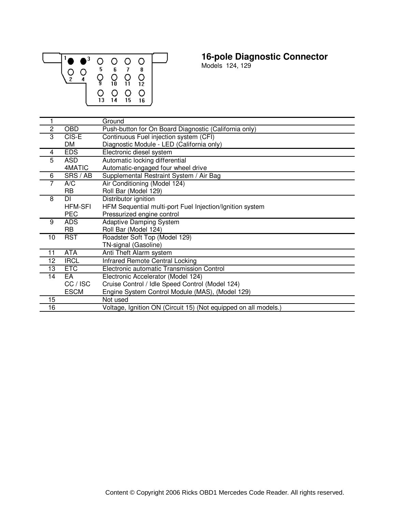

# **16-pole Diagnostic Connector**

Models 124, 129

|                 |                | Ground                                                          |
|-----------------|----------------|-----------------------------------------------------------------|
| $\overline{c}$  | <b>OBD</b>     | Push-button for On Board Diagnostic (California only)           |
| 3               | $CIS-E$        | Continuous Fuel injection system (CFI)                          |
|                 | DM             | Diagnostic Module - LED (California only)                       |
| 4               | <b>EDS</b>     | Electronic diesel system                                        |
| 5               | <b>ASD</b>     | Automatic locking differential                                  |
|                 | 4MATIC         | Automatic-engaged four wheel drive                              |
| 6               | SRS / AB       | Supplemental Restraint System / Air Bag                         |
|                 | A/C            | Air Conditioning (Model 124)                                    |
|                 | <b>RB</b>      | Roll Bar (Model 129)                                            |
| 8               | <b>DI</b>      | Distributor ignition                                            |
|                 | <b>HFM-SFI</b> | HFM Sequential multi-port Fuel Injection/Ignition system        |
|                 | <b>PEC</b>     | Pressurized engine control                                      |
| 9               | <b>ADS</b>     | <b>Adaptive Damping System</b>                                  |
|                 | <b>RB</b>      | Roll Bar (Model 124)                                            |
| 10              | <b>RST</b>     | Roadster Soft Top (Model 129)                                   |
|                 |                | TN-signal (Gasoline)                                            |
| 11              | <b>ATA</b>     | Anti Theft Alarm system                                         |
| 12              | <b>IRCL</b>    | Infrared Remote Central Locking                                 |
| 13              | <b>ETC</b>     | Electronic automatic Transmission Control                       |
| $\overline{14}$ | EA             | Electronic Accelerator (Model 124)                              |
|                 | CC / ISC       | Cruise Control / Idle Speed Control (Model 124)                 |
|                 | <b>ESCM</b>    | Engine System Control Module (MAS), (Model 129)                 |
| 15              |                | Not used                                                        |
| $\overline{16}$ |                | Voltage, Ignition ON (Circuit 15) (Not equipped on all models.) |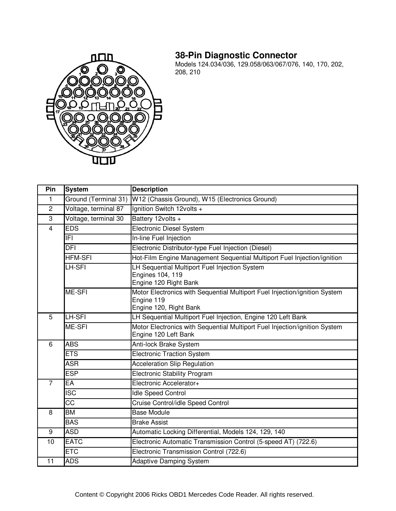# **38-Pin Diagnostic Connector**



Models 124.034/036, 129.058/063/067/076, 140, 170, 202, 208, 210

| Pin            | <b>System</b>        | <b>Description</b>                                                                                                 |  |
|----------------|----------------------|--------------------------------------------------------------------------------------------------------------------|--|
| 1              | Ground (Terminal 31) | W12 (Chassis Ground), W15 (Electronics Ground)                                                                     |  |
| $\overline{c}$ | Voltage, terminal 87 | Ignition Switch 12volts +                                                                                          |  |
| 3              | Voltage, terminal 30 | Battery 12volts +                                                                                                  |  |
| $\overline{4}$ | EDS                  | <b>Electronic Diesel System</b>                                                                                    |  |
|                | IFI.                 | In-line Fuel Injection                                                                                             |  |
|                | DFI                  | Electronic Distributor-type Fuel Injection (Diesel)                                                                |  |
|                | <b>HFM-SFI</b>       | Hot-Film Engine Management Sequential Multiport Fuel Injection/ignition                                            |  |
|                | LH-SFI               | LH Sequential Multiport Fuel Injection System<br><b>Engines 104, 119</b><br>Engine 120 Right Bank                  |  |
|                | ME-SFI               | Motor Electronics with Sequential Multiport Fuel Injection/ignition System<br>Engine 119<br>Engine 120, Right Bank |  |
| 5              | LH-SFI               | LH Sequential Multiport Fuel Injection, Engine 120 Left Bank                                                       |  |
|                | ME-SFI               | Motor Electronics with Sequential Multiport Fuel Injection/ignition System<br>Engine 120 Left Bank                 |  |
| 6              | <b>ABS</b>           | Anti-lock Brake System                                                                                             |  |
|                | ETS                  | <b>Electronic Traction System</b>                                                                                  |  |
|                | <b>ASR</b>           | <b>Acceleration Slip Regulation</b>                                                                                |  |
|                | <b>ESP</b>           | <b>Electronic Stability Program</b>                                                                                |  |
| $\overline{7}$ | EА                   | Electronic Accelerator+                                                                                            |  |
|                | ISC                  | <b>Idle Speed Control</b>                                                                                          |  |
|                | <b>CC</b>            | Cruise Control/idle Speed Control                                                                                  |  |
| 8              | BM                   | <b>Base Module</b>                                                                                                 |  |
|                | <b>BAS</b>           | <b>Brake Assist</b>                                                                                                |  |
| 9              | <b>ASD</b>           | Automatic Locking Differential, Models 124, 129, 140                                                               |  |
| 10             | <b>EATC</b>          | Electronic Automatic Transmission Control (5-speed AT) (722.6)                                                     |  |
|                | ETC                  | Electronic Transmission Control (722.6)                                                                            |  |
| 11             | <b>ADS</b>           | <b>Adaptive Damping System</b>                                                                                     |  |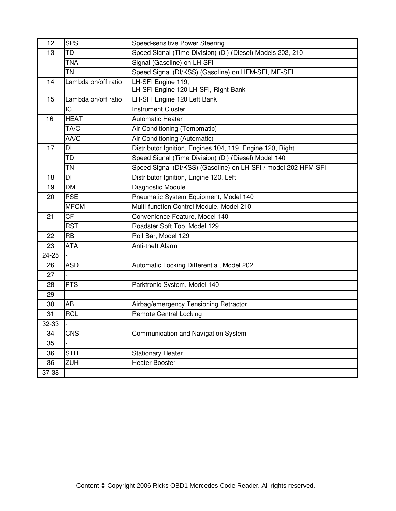| 12    | <b>SPS</b>          | Speed-sensitive Power Steering                                 |  |
|-------|---------------------|----------------------------------------------------------------|--|
| 13    | <b>TD</b>           | Speed Signal (Time Division) (Di) (Diesel) Models 202, 210     |  |
|       | <b>TNA</b>          | Signal (Gasoline) on LH-SFI                                    |  |
|       | <b>TN</b>           | Speed Signal (DI/KSS) (Gasoline) on HFM-SFI, ME-SFI            |  |
| 14    | Lambda on/off ratio | LH-SFI Engine 119,<br>LH-SFI Engine 120 LH-SFI, Right Bank     |  |
| 15    | Lambda on/off ratio | LH-SFI Engine 120 Left Bank                                    |  |
|       | IC                  | <b>Instrument Cluster</b>                                      |  |
| 16    | <b>HEAT</b>         | <b>Automatic Heater</b>                                        |  |
|       | TA/C                | Air Conditioning (Tempmatic)                                   |  |
|       | AA/C                | Air Conditioning (Automatic)                                   |  |
| 17    | DI                  | Distributor Ignition, Engines 104, 119, Engine 120, Right      |  |
|       | TD                  | Speed Signal (Time Division) (Di) (Diesel) Model 140           |  |
|       | <b>TN</b>           | Speed Signal (DI/KSS) (Gasoline) on LH-SFI / model 202 HFM-SFI |  |
| 18    | DI                  | Distributor Ignition, Engine 120, Left                         |  |
| 19    | <b>DM</b>           | Diagnostic Module                                              |  |
| 20    | <b>PSE</b>          | Pneumatic System Equipment, Model 140                          |  |
|       | <b>MFCM</b>         | Multi-function Control Module, Model 210                       |  |
| 21    | <b>CF</b>           | Convenience Feature, Model 140                                 |  |
|       | <b>RST</b>          | Roadster Soft Top, Model 129                                   |  |
| 22    | <b>RB</b>           | Roll Bar, Model 129                                            |  |
| 23    | <b>ATA</b>          | Anti-theft Alarm                                               |  |
| 24-25 |                     |                                                                |  |
| 26    | <b>ASD</b>          | Automatic Locking Differential, Model 202                      |  |
| 27    |                     |                                                                |  |
| 28    | <b>PTS</b>          | Parktronic System, Model 140                                   |  |
| 29    |                     |                                                                |  |
| 30    | AB                  | Airbag/emergency Tensioning Retractor                          |  |
| 31    | <b>RCL</b>          | <b>Remote Central Locking</b>                                  |  |
| 32-33 |                     |                                                                |  |
| 34    | <b>CNS</b>          | Communication and Navigation System                            |  |
| 35    |                     |                                                                |  |
| 36    | <b>STH</b>          | <b>Stationary Heater</b>                                       |  |
| 36    | ZUH                 | <b>Heater Booster</b>                                          |  |
| 37-38 |                     |                                                                |  |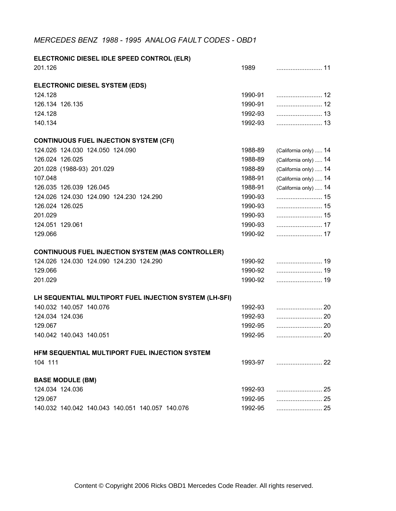## *MERCEDES BENZ 1988 - 1995 ANALOG FAULT CODES - OBD1*

**ELECTRONIC DIESEL IDLE SPEED CONTROL (ELR)**

| 201.126                                                  | 1989    |                       |
|----------------------------------------------------------|---------|-----------------------|
|                                                          |         |                       |
| <b>ELECTRONIC DIESEL SYSTEM (EDS)</b>                    |         |                       |
| 124.128                                                  | 1990-91 |                       |
| 126.134 126.135                                          | 1990-91 |                       |
| 124.128                                                  | 1992-93 |                       |
| 140.134                                                  | 1992-93 |                       |
| <b>CONTINUOUS FUEL INJECTION SYSTEM (CFI)</b>            |         |                       |
| 124.026 124.030 124.050 124.090                          | 1988-89 | (California only)  14 |
| 126.024 126.025                                          | 1988-89 | (California only)  14 |
| 201.028 (1988-93) 201.029                                | 1988-89 | (California only)  14 |
| 107.048                                                  | 1988-91 | (California only)  14 |
| 126.035 126.039 126.045                                  | 1988-91 | (California only)  14 |
| 124.026 124.030 124.090 124.230 124.290                  | 1990-93 |                       |
| 126.024 126.025                                          | 1990-93 |                       |
| 201.029                                                  | 1990-93 |                       |
| 124.051 129.061                                          | 1990-93 |                       |
| 129.066                                                  | 1990-92 |                       |
|                                                          |         |                       |
| <b>CONTINUOUS FUEL INJECTION SYSTEM (MAS CONTROLLER)</b> |         |                       |
| 124.026 124.030 124.090 124.230 124.290                  | 1990-92 |                       |
| 129.066                                                  | 1990-92 |                       |
| 201.029                                                  | 1990-92 |                       |
| LH SEQUENTIAL MULTIPORT FUEL INJECTION SYSTEM (LH-SFI)   |         |                       |
| 140.032 140.057 140.076                                  | 1992-93 |                       |
| 124.034 124.036                                          | 1992-93 |                       |
| 129.067                                                  | 1992-95 |                       |
| 140.042 140.043 140.051                                  | 1992-95 |                       |
|                                                          |         |                       |
| HFM SEQUENTIAL MULTIPORT FUEL INJECTION SYSTEM           |         |                       |
| 104 111                                                  | 1993-97 |                       |
| <b>BASE MODULE (BM)</b>                                  |         |                       |
| 124.034 124.036                                          | 1992-93 | 25                    |
| 129.067                                                  | 1992-95 | 25                    |
| 140.032 140.042 140.043 140.051 140.057 140.076          | 1992-95 |                       |
|                                                          |         |                       |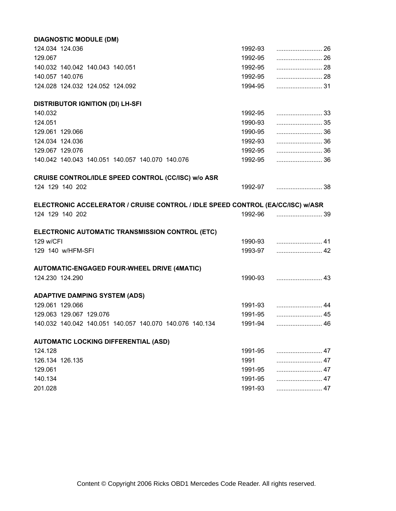| <b>DIAGNOSTIC MODULE (DM)</b>                                                  |         |    |
|--------------------------------------------------------------------------------|---------|----|
| 124.034 124.036                                                                | 1992-93 |    |
| 129.067                                                                        | 1992-95 | 26 |
| 140.032 140.042 140.043 140.051                                                | 1992-95 |    |
| 140.057 140.076                                                                | 1992-95 |    |
| 124.028 124.032 124.052 124.092                                                | 1994-95 |    |
| <b>DISTRIBUTOR IGNITION (DI) LH-SFI</b>                                        |         |    |
| 140.032                                                                        | 1992-95 |    |
| 124.051                                                                        | 1990-93 |    |
| 129.061 129.066                                                                | 1990-95 | 36 |
| 124.034 124.036                                                                | 1992-93 |    |
| 129.067 129.076                                                                | 1992-95 |    |
| 140.042 140.043 140.051 140.057 140.070 140.076                                | 1992-95 |    |
| CRUISE CONTROL/IDLE SPEED CONTROL (CC/ISC) w/o ASR                             |         |    |
| 124 129 140 202                                                                |         |    |
| ELECTRONIC ACCELERATOR / CRUISE CONTROL / IDLE SPEED CONTROL (EA/CC/ISC) w/ASR |         |    |
| 124 129 140 202                                                                |         |    |
| ELECTRONIC AUTOMATIC TRANSMISSION CONTROL (ETC)                                |         |    |
| 129 w/CFI                                                                      |         |    |
| 129 140 w/HFM-SFI                                                              | 1993-97 |    |
| <b>AUTOMATIC-ENGAGED FOUR-WHEEL DRIVE (4MATIC)</b>                             |         |    |
| 124.230 124.290                                                                |         |    |
| <b>ADAPTIVE DAMPING SYSTEM (ADS)</b>                                           |         |    |
| 129.061 129.066                                                                |         |    |
| 129.063 129.067 129.076                                                        |         |    |
| 140.032 140.042 140.051 140.057 140.070 140.076 140.134                        | 1991-94 |    |
| <b>AUTOMATIC LOCKING DIFFERENTIAL (ASD)</b>                                    |         |    |
| 124.128                                                                        | 1991-95 |    |
| 126.134 126.135                                                                | 1991    |    |
| 129.061                                                                        | 1991-95 |    |
| 140.134                                                                        | 1991-95 |    |
| 201.028                                                                        | 1991-93 |    |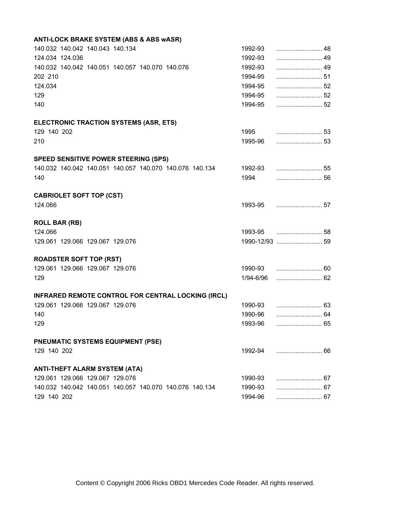| 1992-93   |  |
|-----------|--|
| 1992-93   |  |
| 1992-93   |  |
| 1994-95   |  |
| 1994-95   |  |
| 1994-95   |  |
| 1994-95   |  |
|           |  |
| 1995      |  |
| 1995-96   |  |
|           |  |
|           |  |
| 1994      |  |
|           |  |
|           |  |
|           |  |
|           |  |
|           |  |
|           |  |
|           |  |
| 1/94-6/96 |  |
|           |  |
|           |  |
| 1990-96   |  |
| 1993-96   |  |
|           |  |
| 1992-94   |  |
|           |  |
| 1990-93   |  |
| 1990-93   |  |
| 1994-96   |  |
|           |  |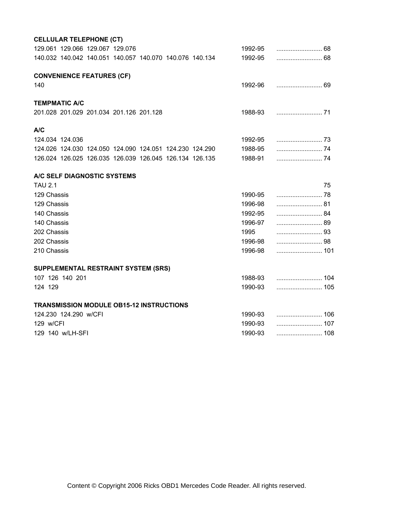| <b>CELLULAR TELEPHONE (CT)</b>                          |         |    |
|---------------------------------------------------------|---------|----|
| 129.061 129.066 129.067 129.076                         | 1992-95 |    |
| 140.032 140.042 140.051 140.057 140.070 140.076 140.134 | 1992-95 |    |
|                                                         |         |    |
| <b>CONVENIENCE FEATURES (CF)</b>                        |         |    |
| 140                                                     | 1992-96 |    |
| <b>TEMPMATIC A/C</b>                                    |         |    |
|                                                         |         |    |
| 201.028 201.029 201.034 201.126 201.128                 | 1988-93 |    |
| A/C                                                     |         |    |
| 124.034 124.036                                         | 1992-95 |    |
| 124.026 124.030 124.050 124.090 124.051 124.230 124.290 | 1988-95 |    |
| 126.024 126.025 126.035 126.039 126.045 126.134 126.135 | 1988-91 |    |
|                                                         |         |    |
| A/C SELF DIAGNOSTIC SYSTEMS                             |         |    |
| <b>TAU 2.1</b>                                          |         | 75 |
| 129 Chassis                                             | 1990-95 |    |
| 129 Chassis                                             | 1996-98 |    |
| 140 Chassis                                             | 1992-95 |    |
| 140 Chassis                                             | 1996-97 |    |
| 202 Chassis                                             | 1995    |    |
| 202 Chassis                                             | 1996-98 | 98 |
| 210 Chassis                                             | 1996-98 |    |
|                                                         |         |    |
| SUPPLEMENTAL RESTRAINT SYSTEM (SRS)                     |         |    |
| 107 126 140 201                                         | 1988-93 |    |
| 124 129                                                 | 1990-93 |    |
| <b>TRANSMISSION MODULE OB15-12 INSTRUCTIONS</b>         |         |    |
| 124.230 124.290 w/CFI                                   | 1990-93 |    |
| 129 w/CFI                                               | 1990-93 |    |
| 129 140 w/LH-SFI                                        | 1990-93 |    |
|                                                         |         |    |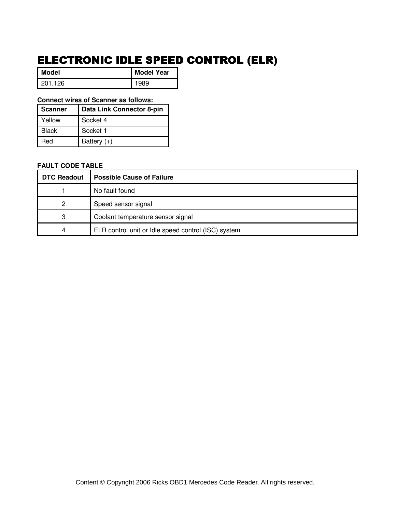# ELECTRONIC IDLE SPEED CONTROL (ELR)

 $\mathbb{R}$ 

| Model   | <b>Model Year</b> |
|---------|-------------------|
| 201.126 | 1989              |

### **Connect wires of Scanner as follows:**

| <b>Scanner</b> | Data Link Connector 8-pin |
|----------------|---------------------------|
| Yellow         | Socket 4                  |
| <b>Black</b>   | Socket 1                  |
| Red            | Battery $(+)$             |

| <b>DTC Readout</b> | <b>Possible Cause of Failure</b>                    |
|--------------------|-----------------------------------------------------|
|                    | No fault found                                      |
| 2                  | Speed sensor signal                                 |
| 3                  | Coolant temperature sensor signal                   |
| 4                  | ELR control unit or Idle speed control (ISC) system |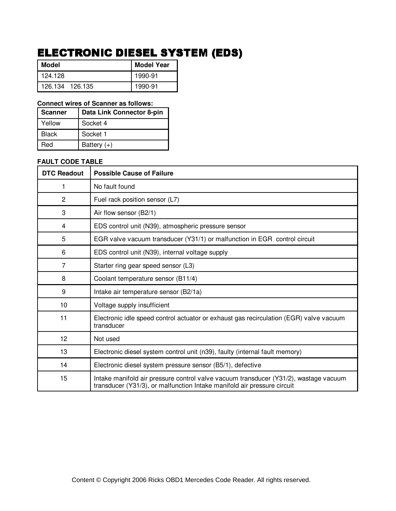# ELECTRONIC DIESEL SYSTEM (EDS)

| <b>Model</b>    | <b>Model Year</b> |
|-----------------|-------------------|
| l 124.128       | 1990-91           |
| 126.134 126.135 | 1990-91           |

#### **Connect wires of Scanner as follows:**

| <b>Scanner</b> | Data Link Connector 8-pin |
|----------------|---------------------------|
| Yellow         | Socket 4                  |
| <b>Black</b>   | Socket 1                  |
| Red            | Battery $(+)$             |

| <b>DTC Readout</b> | <b>Possible Cause of Failure</b>                                                                                                                                |
|--------------------|-----------------------------------------------------------------------------------------------------------------------------------------------------------------|
| 1                  | No fault found                                                                                                                                                  |
| $\overline{2}$     | Fuel rack position sensor (L7)                                                                                                                                  |
| 3                  | Air flow sensor (B2/1)                                                                                                                                          |
| 4                  | EDS control unit (N39), atmospheric pressure sensor                                                                                                             |
| 5                  | EGR valve vacuum transducer (Y31/1) or malfunction in EGR control circuit                                                                                       |
| 6                  | EDS control unit (N39), internal voltage supply                                                                                                                 |
| 7                  | Starter ring gear speed sensor (L3)                                                                                                                             |
| 8                  | Coolant temperature sensor (B11/4)                                                                                                                              |
| 9                  | Intake air temperature sensor (B2/1a)                                                                                                                           |
| 10 <sup>1</sup>    | Voltage supply insufficient                                                                                                                                     |
| 11                 | Electronic idle speed control actuator or exhaust gas recirculation (EGR) valve vacuum<br>transducer                                                            |
| 12                 | Not used                                                                                                                                                        |
| 13                 | Electronic diesel system control unit (n39), faulty (internal fault memory)                                                                                     |
| 14                 | Electronic diesel system pressure sensor (B5/1), defective                                                                                                      |
| 15                 | Intake manifold air pressure control valve vacuum transducer (Y31/2), wastage vacuum<br>transducer (Y31/3), or malfunction Intake manifold air pressure circuit |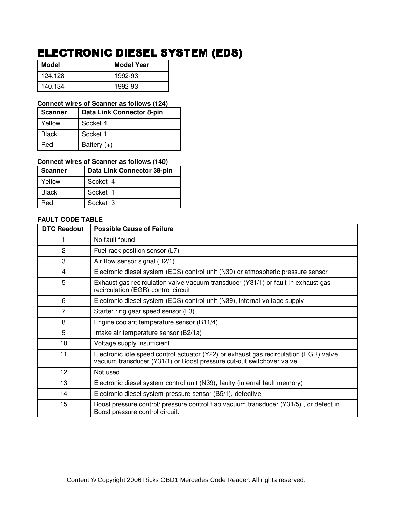# ELECTRONIC DIESEL SYSTEM (EDS)

| Model   | <b>Model Year</b> |
|---------|-------------------|
| 124.128 | 1992-93           |
| 140.134 | 1992-93           |

#### **Connect wires of Scanner as follows (124)**

| <b>Scanner</b> | Data Link Connector 8-pin |
|----------------|---------------------------|
| Yellow         | Socket 4                  |
| <b>Black</b>   | Socket 1                  |
| Red            | Battery $(+)$             |

## **Connect wires of Scanner as follows (140)**

| Scanner      | Data Link Connector 38-pin |
|--------------|----------------------------|
| Yellow       | Socket 4                   |
| <b>Black</b> | Socket 1                   |
| Red          | Socket 3                   |

| <b>DTC Readout</b> | <b>Possible Cause of Failure</b>                                                                                                                              |
|--------------------|---------------------------------------------------------------------------------------------------------------------------------------------------------------|
|                    | No fault found                                                                                                                                                |
| $\overline{c}$     | Fuel rack position sensor (L7)                                                                                                                                |
| 3                  | Air flow sensor signal (B2/1)                                                                                                                                 |
| 4                  | Electronic diesel system (EDS) control unit (N39) or atmospheric pressure sensor                                                                              |
| 5                  | Exhaust gas recirculation valve vacuum transducer (Y31/1) or fault in exhaust gas<br>recirculation (EGR) control circuit                                      |
| 6                  | Electronic diesel system (EDS) control unit (N39), internal voltage supply                                                                                    |
| 7                  | Starter ring gear speed sensor (L3)                                                                                                                           |
| 8                  | Engine coolant temperature sensor (B11/4)                                                                                                                     |
| 9                  | Intake air temperature sensor (B2/1a)                                                                                                                         |
| 10                 | Voltage supply insufficient                                                                                                                                   |
| 11                 | Electronic idle speed control actuator (Y22) or exhaust gas recirculation (EGR) valve<br>vacuum transducer (Y31/1) or Boost pressure cut-out switchover valve |
| 12                 | Not used                                                                                                                                                      |
| 13                 | Electronic diesel system control unit (N39), faulty (internal fault memory)                                                                                   |
| 14                 | Electronic diesel system pressure sensor (B5/1), defective                                                                                                    |
| 15                 | Boost pressure control/ pressure control flap vacuum transducer (Y31/5), or defect in<br>Boost pressure control circuit.                                      |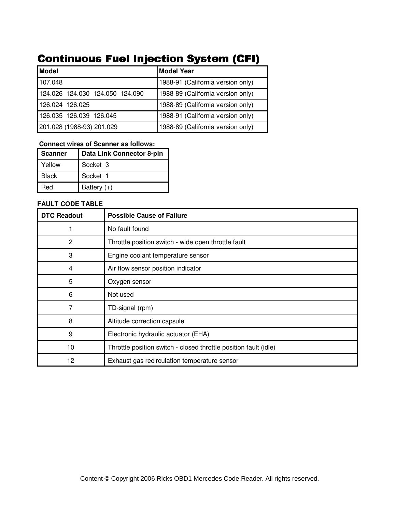# **Continuous Fuel Injection System (CFI)**

| Model                           | <b>Model Year</b>                 |
|---------------------------------|-----------------------------------|
| 107.048                         | 1988-91 (California version only) |
| 124.026 124.030 124.050 124.090 | 1988-89 (California version only) |
| 126.024 126.025                 | 1988-89 (California version only) |
| 126.035 126.039 126.045         | 1988-91 (California version only) |
| 201.028 (1988-93) 201.029       | 1988-89 (California version only) |

### **Connect wires of Scanner as follows:**

| <b>Scanner</b> | Data Link Connector 8-pin |
|----------------|---------------------------|
| Yellow         | Socket 3                  |
| <b>Black</b>   | Socket 1                  |
| Red            | Battery $(+)$             |

| <b>DTC Readout</b> | <b>Possible Cause of Failure</b>                                 |
|--------------------|------------------------------------------------------------------|
|                    | No fault found                                                   |
| 2                  | Throttle position switch - wide open throttle fault              |
| 3                  | Engine coolant temperature sensor                                |
| 4                  | Air flow sensor position indicator                               |
| 5                  | Oxygen sensor                                                    |
| 6                  | Not used                                                         |
| 7                  | TD-signal (rpm)                                                  |
| 8                  | Altitude correction capsule                                      |
| 9                  | Electronic hydraulic actuator (EHA)                              |
| 10                 | Throttle position switch - closed throttle position fault (idle) |
| 12                 | Exhaust gas recirculation temperature sensor                     |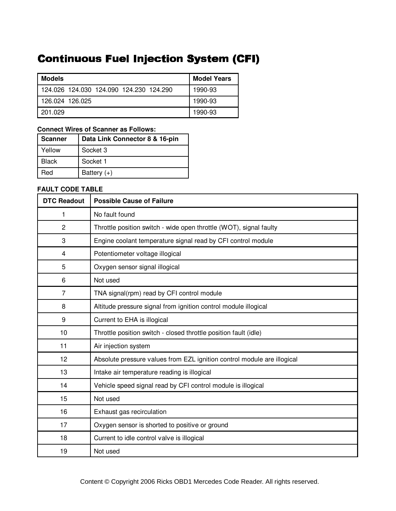# **Continuous Fuel Injection System (CFI)**

| <b>Models</b>                               | <b>Model Years</b> |
|---------------------------------------------|--------------------|
| 124,026, 124,030, 124,090, 124,230, 124,290 | 1990-93            |
| 126.024 126.025                             | 1990-93            |
| 201.029                                     | 1990-93            |

### **Connect Wires of Scanner as Follows:**

| <b>Scanner</b> | Data Link Connector 8 & 16-pin |  |  |
|----------------|--------------------------------|--|--|
| Yellow         | Socket 3                       |  |  |
| Black          | Socket 1                       |  |  |
| Red            | Battery $(+)$                  |  |  |

| <b>DTC Readout</b> | <b>Possible Cause of Failure</b>                                        |
|--------------------|-------------------------------------------------------------------------|
| 1                  | No fault found                                                          |
| $\overline{c}$     | Throttle position switch - wide open throttle (WOT), signal faulty      |
| 3                  | Engine coolant temperature signal read by CFI control module            |
| 4                  | Potentiometer voltage illogical                                         |
| 5                  | Oxygen sensor signal illogical                                          |
| 6                  | Not used                                                                |
| 7                  | TNA signal(rpm) read by CFI control module                              |
| 8                  | Altitude pressure signal from ignition control module illogical         |
| 9                  | Current to EHA is illogical                                             |
| 10                 | Throttle position switch - closed throttle position fault (idle)        |
| 11                 | Air injection system                                                    |
| 12                 | Absolute pressure values from EZL ignition control module are illogical |
| 13                 | Intake air temperature reading is illogical                             |
| 14                 | Vehicle speed signal read by CFI control module is illogical            |
| 15                 | Not used                                                                |
| 16                 | Exhaust gas recirculation                                               |
| 17                 | Oxygen sensor is shorted to positive or ground                          |
| 18                 | Current to idle control valve is illogical                              |
| 19                 | Not used                                                                |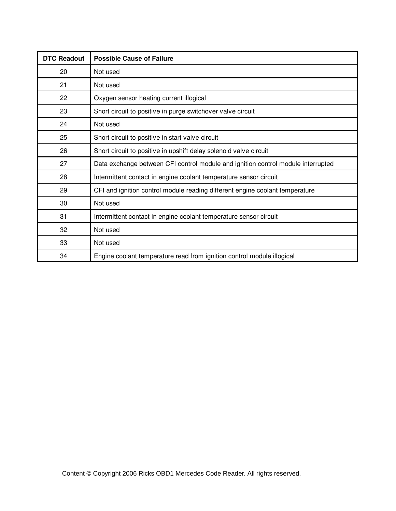| <b>DTC Readout</b> | <b>Possible Cause of Failure</b>                                                 |
|--------------------|----------------------------------------------------------------------------------|
| 20                 | Not used                                                                         |
| 21                 | Not used                                                                         |
| 22                 | Oxygen sensor heating current illogical                                          |
| 23                 | Short circuit to positive in purge switchover valve circuit                      |
| 24                 | Not used                                                                         |
| 25                 | Short circuit to positive in start valve circuit                                 |
| 26                 | Short circuit to positive in upshift delay solenoid valve circuit                |
| 27                 | Data exchange between CFI control module and ignition control module interrupted |
| 28                 | Intermittent contact in engine coolant temperature sensor circuit                |
| 29                 | CFI and ignition control module reading different engine coolant temperature     |
| 30                 | Not used                                                                         |
| 31                 | Intermittent contact in engine coolant temperature sensor circuit                |
| 32                 | Not used                                                                         |
| 33                 | Not used                                                                         |
| 34                 | Engine coolant temperature read from ignition control module illogical           |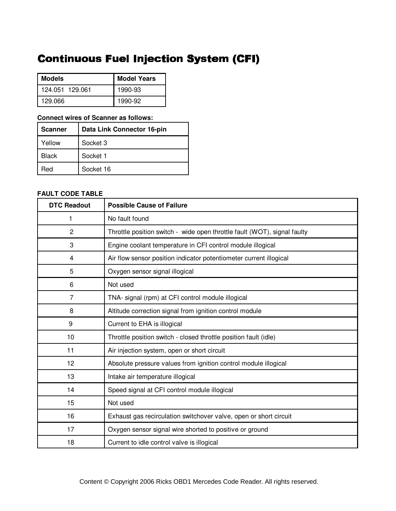# **Continuous Fuel Injection System (CFI)**

| <b>Models</b>   | <b>Model Years</b> |  |
|-----------------|--------------------|--|
| 124.051 129.061 | 1990-93            |  |
| 129.066         | 1990-92            |  |

#### **Connect wires of Scanner as follows:**

| <b>Scanner</b> | Data Link Connector 16-pin |
|----------------|----------------------------|
| Yellow         | Socket 3                   |
| <b>Black</b>   | Socket 1                   |
| Red            | Socket 16                  |

| <b>DTC Readout</b> | <b>Possible Cause of Failure</b>                                         |
|--------------------|--------------------------------------------------------------------------|
| 1                  | No fault found                                                           |
| $\overline{2}$     | Throttle position switch - wide open throttle fault (WOT), signal faulty |
| 3                  | Engine coolant temperature in CFI control module illogical               |
| 4                  | Air flow sensor position indicator potentiometer current illogical       |
| 5                  | Oxygen sensor signal illogical                                           |
| 6                  | Not used                                                                 |
| $\overline{7}$     | TNA- signal (rpm) at CFI control module illogical                        |
| 8                  | Altitude correction signal from ignition control module                  |
| 9                  | Current to EHA is illogical                                              |
| 10                 | Throttle position switch - closed throttle position fault (idle)         |
| 11                 | Air injection system, open or short circuit                              |
| 12                 | Absolute pressure values from ignition control module illogical          |
| 13                 | Intake air temperature illogical                                         |
| 14                 | Speed signal at CFI control module illogical                             |
| 15                 | Not used                                                                 |
| 16                 | Exhaust gas recirculation switchover valve, open or short circuit        |
| 17                 | Oxygen sensor signal wire shorted to positive or ground                  |
| 18                 | Current to idle control valve is illogical                               |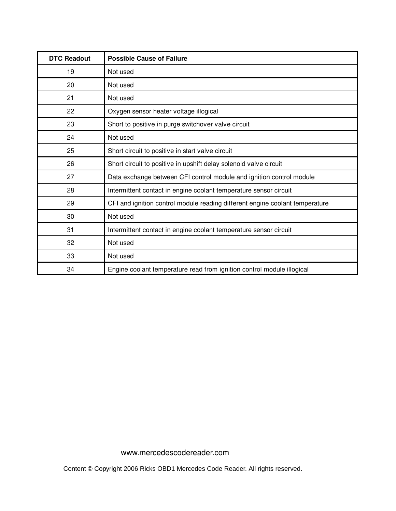| <b>DTC Readout</b> | <b>Possible Cause of Failure</b>                                             |
|--------------------|------------------------------------------------------------------------------|
| 19                 | Not used                                                                     |
| 20                 | Not used                                                                     |
| 21                 | Not used                                                                     |
| 22                 | Oxygen sensor heater voltage illogical                                       |
| 23                 | Short to positive in purge switchover valve circuit                          |
| 24                 | Not used                                                                     |
| 25                 | Short circuit to positive in start valve circuit                             |
| 26                 | Short circuit to positive in upshift delay solenoid valve circuit            |
| 27                 | Data exchange between CFI control module and ignition control module         |
| 28                 | Intermittent contact in engine coolant temperature sensor circuit            |
| 29                 | CFI and ignition control module reading different engine coolant temperature |
| 30                 | Not used                                                                     |
| 31                 | Intermittent contact in engine coolant temperature sensor circuit            |
| 32                 | Not used                                                                     |
| 33                 | Not used                                                                     |
| 34                 | Engine coolant temperature read from ignition control module illogical       |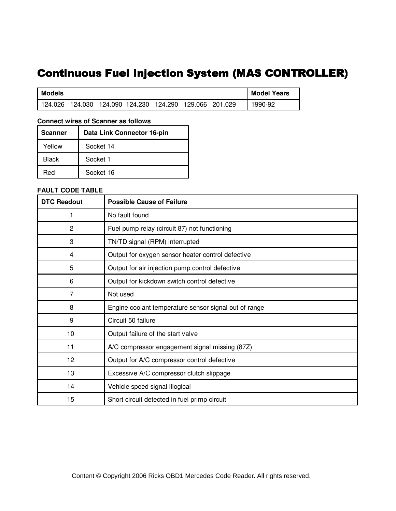# Continuous Fuel Injection System (MAS CONTROLLER)

| Models    |                         |  |                         |  | <b>Model Years</b> |
|-----------|-------------------------|--|-------------------------|--|--------------------|
| l 124.026 | 124.030 124.090 124.230 |  | 124.290 129.066 201.029 |  | 1990-92            |

#### **Connect wires of Scanner as follows**

| <b>Scanner</b> | Data Link Connector 16-pin |
|----------------|----------------------------|
| Yellow         | Socket 14                  |
| <b>Black</b>   | Socket 1                   |
| Red            | Socket 16                  |

| <b>DTC Readout</b> | <b>Possible Cause of Failure</b>                      |  |  |
|--------------------|-------------------------------------------------------|--|--|
| 1                  | No fault found                                        |  |  |
| $\overline{c}$     | Fuel pump relay (circuit 87) not functioning          |  |  |
| 3                  | TN/TD signal (RPM) interrupted                        |  |  |
| 4                  | Output for oxygen sensor heater control defective     |  |  |
| 5                  | Output for air injection pump control defective       |  |  |
| 6                  | Output for kickdown switch control defective          |  |  |
| 7                  | Not used                                              |  |  |
| 8                  | Engine coolant temperature sensor signal out of range |  |  |
| 9                  | Circuit 50 failure                                    |  |  |
| 10                 | Output failure of the start valve                     |  |  |
| 11                 | A/C compressor engagement signal missing (87Z)        |  |  |
| 12                 | Output for A/C compressor control defective           |  |  |
| 13                 | Excessive A/C compressor clutch slippage              |  |  |
| 14                 | Vehicle speed signal illogical                        |  |  |
| 15                 | Short circuit detected in fuel primp circuit          |  |  |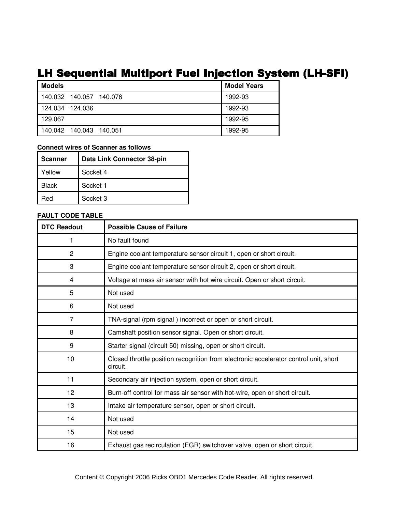# LH Sequential Multiport Fuel Injection System (LH-SFI)

| <b>Models</b>           | <b>Model Years</b> |
|-------------------------|--------------------|
| 140.032 140.057 140.076 | 1992-93            |
| 124.034 124.036         | 1992-93            |
| 129.067                 | 1992-95            |
| 140.042 140.043 140.051 | 1992-95            |

#### **Connect wires of Scanner as follows**

| <b>Scanner</b> | Data Link Connector 38-pin |
|----------------|----------------------------|
| Yellow         | Socket 4                   |
| <b>Black</b>   | Socket 1                   |
| Red            | Socket 3                   |

| <b>DTC Readout</b> | <b>Possible Cause of Failure</b>                                                                 |
|--------------------|--------------------------------------------------------------------------------------------------|
| 1                  | No fault found                                                                                   |
| $\overline{c}$     | Engine coolant temperature sensor circuit 1, open or short circuit.                              |
| 3                  | Engine coolant temperature sensor circuit 2, open or short circuit.                              |
| 4                  | Voltage at mass air sensor with hot wire circuit. Open or short circuit.                         |
| 5                  | Not used                                                                                         |
| 6                  | Not used                                                                                         |
| 7                  | TNA-signal (rpm signal) incorrect or open or short circuit.                                      |
| 8                  | Camshaft position sensor signal. Open or short circuit.                                          |
| 9                  | Starter signal (circuit 50) missing, open or short circuit.                                      |
| 10                 | Closed throttle position recognition from electronic accelerator control unit, short<br>circuit. |
| 11                 | Secondary air injection system, open or short circuit.                                           |
| 12                 | Burn-off control for mass air sensor with hot-wire, open or short circuit.                       |
| 13                 | Intake air temperature sensor, open or short circuit.                                            |
| 14                 | Not used                                                                                         |
| 15                 | Not used                                                                                         |
| 16                 | Exhaust gas recirculation (EGR) switchover valve, open or short circuit.                         |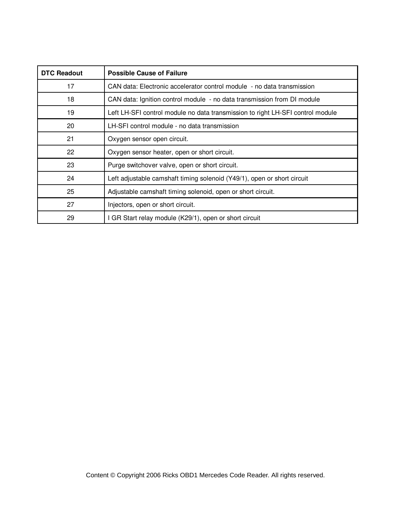| <b>DTC Readout</b> | <b>Possible Cause of Failure</b>                                               |
|--------------------|--------------------------------------------------------------------------------|
| 17                 | CAN data: Electronic accelerator control module - no data transmission         |
| 18                 | CAN data: Ignition control module - no data transmission from DI module        |
| 19                 | Left LH-SFI control module no data transmission to right LH-SFI control module |
| 20                 | LH-SFI control module - no data transmission                                   |
| 21                 | Oxygen sensor open circuit.                                                    |
| 22                 | Oxygen sensor heater, open or short circuit.                                   |
| 23                 | Purge switchover valve, open or short circuit.                                 |
| 24                 | Left adjustable camshaft timing solenoid (Y49/1), open or short circuit        |
| 25                 | Adjustable camshaft timing solenoid, open or short circuit.                    |
| 27                 | Injectors, open or short circuit.                                              |
| 29                 | I GR Start relay module (K29/1), open or short circuit                         |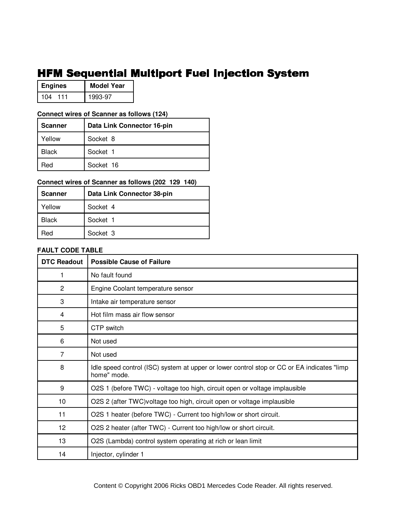# HFM Sequential Multiport Fuel Injection System

| <b>Engines</b> | <b>Model Year</b> |
|----------------|-------------------|
| 104<br>111     | 1993-97           |

#### **Connect wires of Scanner as follows (124)**

| <b>Scanner</b> | Data Link Connector 16-pin |
|----------------|----------------------------|
| Yellow         | Socket 8                   |
| Black          | Socket 1                   |
| Red            | Socket 16                  |

### **Connect wires of Scanner as follows (202 129 140)**

| Scanner      | Data Link Connector 38-pin |
|--------------|----------------------------|
| Yellow       | Socket 4                   |
| <b>Black</b> | Socket 1                   |
| ⊰ed          | Socket 3                   |

| <b>DTC Readout</b> | <b>Possible Cause of Failure</b>                                                                          |
|--------------------|-----------------------------------------------------------------------------------------------------------|
|                    | No fault found                                                                                            |
| 2                  | Engine Coolant temperature sensor                                                                         |
| 3                  | Intake air temperature sensor                                                                             |
| 4                  | Hot film mass air flow sensor                                                                             |
| 5                  | CTP switch                                                                                                |
| 6                  | Not used                                                                                                  |
| 7                  | Not used                                                                                                  |
| 8                  | Idle speed control (ISC) system at upper or lower control stop or CC or EA indicates "limp<br>home" mode. |
| 9                  | O2S 1 (before TWC) - voltage too high, circuit open or voltage implausible                                |
| 10                 | O2S 2 (after TWC) voltage too high, circuit open or voltage implausible                                   |
| 11                 | O2S 1 heater (before TWC) - Current too high/low or short circuit.                                        |
| 12                 | O2S 2 heater (after TWC) - Current too high/low or short circuit.                                         |
| 13                 | O2S (Lambda) control system operating at rich or lean limit                                               |
| 14                 | Injector, cylinder 1                                                                                      |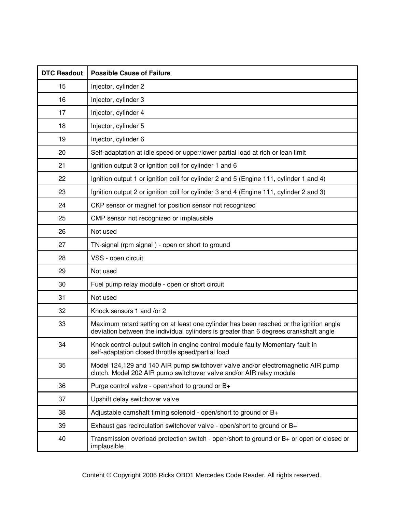| <b>DTC Readout</b> | <b>Possible Cause of Failure</b>                                                                                                                                                |
|--------------------|---------------------------------------------------------------------------------------------------------------------------------------------------------------------------------|
| 15                 | Injector, cylinder 2                                                                                                                                                            |
| 16                 | Injector, cylinder 3                                                                                                                                                            |
| 17                 | Injector, cylinder 4                                                                                                                                                            |
| 18                 | Injector, cylinder 5                                                                                                                                                            |
| 19                 | Injector, cylinder 6                                                                                                                                                            |
| 20                 | Self-adaptation at idle speed or upper/lower partial load at rich or lean limit                                                                                                 |
| 21                 | Ignition output 3 or ignition coil for cylinder 1 and 6                                                                                                                         |
| 22                 | Ignition output 1 or ignition coil for cylinder 2 and 5 (Engine 111, cylinder 1 and 4)                                                                                          |
| 23                 | Ignition output 2 or ignition coil for cylinder 3 and 4 (Engine 111, cylinder 2 and 3)                                                                                          |
| 24                 | CKP sensor or magnet for position sensor not recognized                                                                                                                         |
| 25                 | CMP sensor not recognized or implausible                                                                                                                                        |
| 26                 | Not used                                                                                                                                                                        |
| 27                 | TN-signal (rpm signal) - open or short to ground                                                                                                                                |
| 28                 | VSS - open circuit                                                                                                                                                              |
| 29                 | Not used                                                                                                                                                                        |
| 30                 | Fuel pump relay module - open or short circuit                                                                                                                                  |
| 31                 | Not used                                                                                                                                                                        |
| 32                 | Knock sensors 1 and /or 2                                                                                                                                                       |
| 33                 | Maximum retard setting on at least one cylinder has been reached or the ignition angle<br>deviation between the individual cylinders is greater than 6 degrees crankshaft angle |
| 34                 | Knock control-output switch in engine control module faulty Momentary fault in<br>self-adaptation closed throttle speed/partial load                                            |
| 35                 | Model 124,129 and 140 AIR pump switchover valve and/or electromagnetic AIR pump<br>clutch. Model 202 AIR pump switchover valve and/or AIR relay module                          |
| 36                 | Purge control valve - open/short to ground or B+                                                                                                                                |
| 37                 | Upshift delay switchover valve                                                                                                                                                  |
| 38                 | Adjustable camshaft timing solenoid - open/short to ground or B+                                                                                                                |
| 39                 | Exhaust gas recirculation switchover valve - open/short to ground or B+                                                                                                         |
| 40                 | Transmission overload protection switch - open/short to ground or $B+$ or open or closed or<br>implausible                                                                      |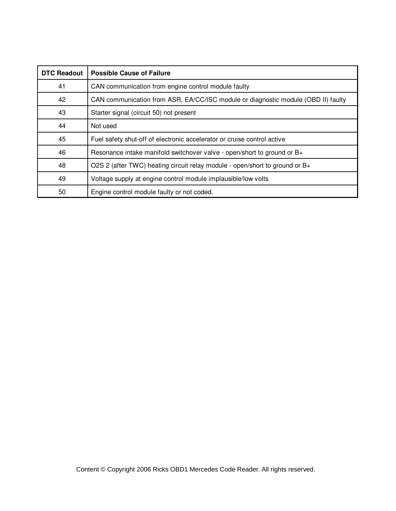| <b>DTC Readout</b> | <b>Possible Cause of Failure</b>                                                  |
|--------------------|-----------------------------------------------------------------------------------|
| 41                 | CAN communication from engine control module faulty                               |
| 42                 | CAN communication from ASR, EA/CC/ISC module or diagnostic module (OBD II) faulty |
| 43                 | Starter signal (circuit 50) not present                                           |
| 44                 | Not used                                                                          |
| 45                 | Fuel safety shut-off of electronic accelerator or cruise control active           |
| 46                 | Resonance intake manifold switchover valve - open/short to ground or B+           |
| 48                 | O2S 2 (after TWC) heating circuit relay module - open/short to ground or B+       |
| 49                 | Voltage supply at engine control module implausible/low volts                     |
| 50                 | Engine control module faulty or not coded.                                        |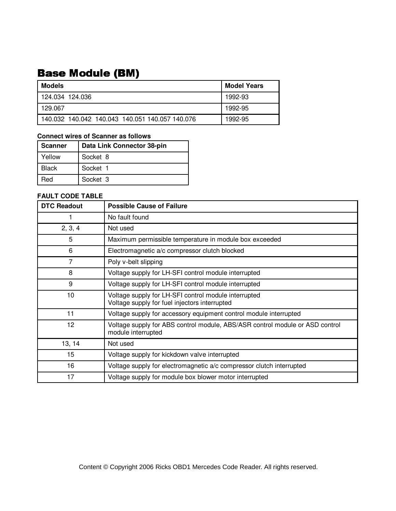# **Base Module (BM)**

| Models                                          | <b>Model Years</b> |
|-------------------------------------------------|--------------------|
| 124.034 124.036                                 | 1992-93            |
| 129.067                                         | 1992-95            |
| 140.032 140.042 140.043 140.051 140.057 140.076 | 1992-95            |

### **Connect wires of Scanner as follows**

| <b>Scanner</b> | Data Link Connector 38-pin |
|----------------|----------------------------|
| Yellow         | Socket 8                   |
| <b>Black</b>   | Socket 1                   |
| Red            | Socket 3                   |

| <b>DTC Readout</b> | <b>Possible Cause of Failure</b>                                                                      |
|--------------------|-------------------------------------------------------------------------------------------------------|
|                    | No fault found                                                                                        |
| 2, 3, 4            | Not used                                                                                              |
| 5                  | Maximum permissible temperature in module box exceeded                                                |
| 6                  | Electromagnetic a/c compressor clutch blocked                                                         |
| 7                  | Poly v-belt slipping                                                                                  |
| 8                  | Voltage supply for LH-SFI control module interrupted                                                  |
| 9                  | Voltage supply for LH-SFI control module interrupted                                                  |
| 10                 | Voltage supply for LH-SFI control module interrupted<br>Voltage supply for fuel injectors interrupted |
| 11                 | Voltage supply for accessory equipment control module interrupted                                     |
| 12                 | Voltage supply for ABS control module, ABS/ASR control module or ASD control<br>module interrupted    |
| 13, 14             | Not used                                                                                              |
| 15                 | Voltage supply for kickdown valve interrupted                                                         |
| 16                 | Voltage supply for electromagnetic a/c compressor clutch interrupted                                  |
| 17                 | Voltage supply for module box blower motor interrupted                                                |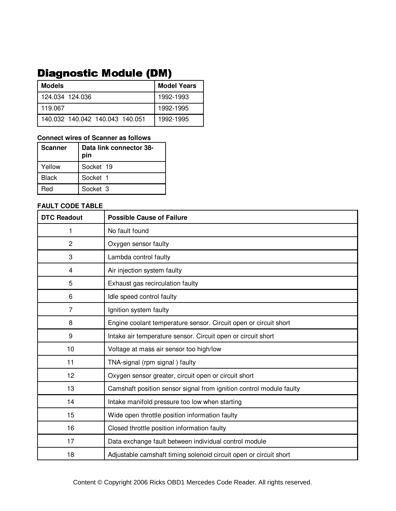# **Diagnostic Module (DM)**

| Models                          | <b>Model Years</b> |
|---------------------------------|--------------------|
| l 124.034 124.036               | 1992-1993          |
| 119.067                         | 1992-1995          |
| 140.032 140.042 140.043 140.051 | 1992-1995          |

#### **Connect wires of Scanner as follows**

| <b>Scanner</b> | Data link connector 38-<br>pin |
|----------------|--------------------------------|
| Yellow         | Socket 19                      |
| Black          | Socket 1                       |
| Red            | Socket 3                       |

| <b>DTC Readout</b> | <b>Possible Cause of Failure</b>                                    |
|--------------------|---------------------------------------------------------------------|
| 1                  | No fault found                                                      |
| $\overline{2}$     | Oxygen sensor faulty                                                |
| 3                  | Lambda control faulty                                               |
| 4                  | Air injection system faulty                                         |
| 5                  | Exhaust gas recirculation faulty                                    |
| 6                  | Idle speed control faulty                                           |
| $\overline{7}$     | Ignition system faulty                                              |
| 8                  | Engine coolant temperature sensor. Circuit open or circuit short    |
| 9                  | Intake air temperature sensor. Circuit open or circuit short        |
| 10                 | Voltage at mass air sensor too high/low                             |
| 11                 | TNA-signal (rpm signal) faulty                                      |
| 12                 | Oxygen sensor greater, circuit open or circuit short                |
| 13                 | Camshaft position sensor signal from ignition control module faulty |
| 14                 | Intake manifold pressure too low when starting                      |
| 15                 | Wide open throttle position information faulty                      |
| 16                 | Closed throttle position information faulty                         |
| 17                 | Data exchange fault between individual control module               |
| 18                 | Adjustable camshaft timing solenoid circuit open or circuit short   |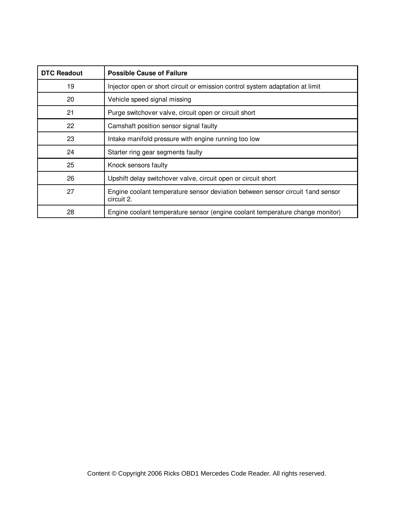| <b>DTC Readout</b> | <b>Possible Cause of Failure</b>                                                              |
|--------------------|-----------------------------------------------------------------------------------------------|
| 19                 | Injector open or short circuit or emission control system adaptation at limit                 |
| 20                 | Vehicle speed signal missing                                                                  |
| 21                 | Purge switchover valve, circuit open or circuit short                                         |
| 22                 | Camshaft position sensor signal faulty                                                        |
| 23                 | Intake manifold pressure with engine running too low                                          |
| 24                 | Starter ring gear segments faulty                                                             |
| 25                 | Knock sensors faulty                                                                          |
| 26                 | Upshift delay switchover valve, circuit open or circuit short                                 |
| 27                 | Engine coolant temperature sensor deviation between sensor circuit 1 and sensor<br>circuit 2. |
| 28                 | Engine coolant temperature sensor (engine coolant temperature change monitor)                 |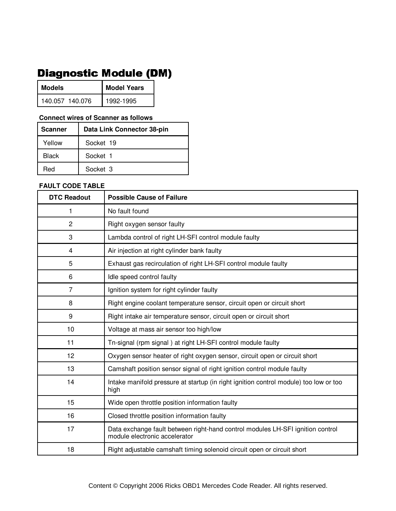# **Diagnostic Module (DM)**

| <b>Models</b>   | <b>Model Years</b> |  |
|-----------------|--------------------|--|
| 140.057 140.076 | 1992-1995          |  |

#### **Connect wires of Scanner as follows**

| <b>Scanner</b> | Data Link Connector 38-pin |
|----------------|----------------------------|
| Yellow         | Socket 19                  |
| Black          | Socket 1                   |
| Red            | Socket 3                   |

| <b>DTC Readout</b> | <b>Possible Cause of Failure</b>                                                                                |
|--------------------|-----------------------------------------------------------------------------------------------------------------|
| 1                  | No fault found                                                                                                  |
| $\overline{c}$     | Right oxygen sensor faulty                                                                                      |
| 3                  | Lambda control of right LH-SFI control module faulty                                                            |
| $\overline{4}$     | Air injection at right cylinder bank faulty                                                                     |
| 5                  | Exhaust gas recirculation of right LH-SFI control module faulty                                                 |
| 6                  | Idle speed control faulty                                                                                       |
| 7                  | Ignition system for right cylinder faulty                                                                       |
| 8                  | Right engine coolant temperature sensor, circuit open or circuit short                                          |
| $\boldsymbol{9}$   | Right intake air temperature sensor, circuit open or circuit short                                              |
| 10                 | Voltage at mass air sensor too high/low                                                                         |
| 11                 | Tn-signal (rpm signal) at right LH-SFI control module faulty                                                    |
| 12                 | Oxygen sensor heater of right oxygen sensor, circuit open or circuit short                                      |
| 13                 | Camshaft position sensor signal of right ignition control module faulty                                         |
| 14                 | Intake manifold pressure at startup (in right ignition control module) too low or too<br>high                   |
| 15                 | Wide open throttle position information faulty                                                                  |
| 16                 | Closed throttle position information faulty                                                                     |
| 17                 | Data exchange fault between right-hand control modules LH-SFI ignition control<br>module electronic accelerator |
| 18                 | Right adjustable camshaft timing solenoid circuit open or circuit short                                         |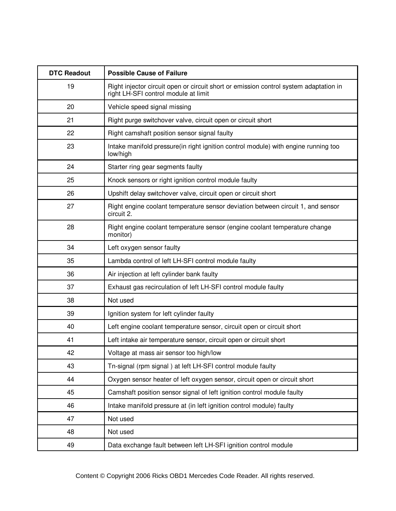| <b>DTC Readout</b> | <b>Possible Cause of Failure</b>                                                                                              |
|--------------------|-------------------------------------------------------------------------------------------------------------------------------|
| 19                 | Right injector circuit open or circuit short or emission control system adaptation in<br>right LH-SFI control module at limit |
| 20                 | Vehicle speed signal missing                                                                                                  |
| 21                 | Right purge switchover valve, circuit open or circuit short                                                                   |
| 22                 | Right camshaft position sensor signal faulty                                                                                  |
| 23                 | Intake manifold pressure(in right ignition control module) with engine running too<br>low/high                                |
| 24                 | Starter ring gear segments faulty                                                                                             |
| 25                 | Knock sensors or right ignition control module faulty                                                                         |
| 26                 | Upshift delay switchover valve, circuit open or circuit short                                                                 |
| 27                 | Right engine coolant temperature sensor deviation between circuit 1, and sensor<br>circuit 2.                                 |
| 28                 | Right engine coolant temperature sensor (engine coolant temperature change<br>monitor)                                        |
| 34                 | Left oxygen sensor faulty                                                                                                     |
| 35                 | Lambda control of left LH-SFI control module faulty                                                                           |
| 36                 | Air injection at left cylinder bank faulty                                                                                    |
| 37                 | Exhaust gas recirculation of left LH-SFI control module faulty                                                                |
| 38                 | Not used                                                                                                                      |
| 39                 | Ignition system for left cylinder faulty                                                                                      |
| 40                 | Left engine coolant temperature sensor, circuit open or circuit short                                                         |
| 41                 | Left intake air temperature sensor, circuit open or circuit short                                                             |
| 42                 | Voltage at mass air sensor too high/low                                                                                       |
| 43                 | Tn-signal (rpm signal) at left LH-SFI control module faulty                                                                   |
| 44                 | Oxygen sensor heater of left oxygen sensor, circuit open or circuit short                                                     |
| 45                 | Camshaft position sensor signal of left ignition control module faulty                                                        |
| 46                 | Intake manifold pressure at (in left ignition control module) faulty                                                          |
| 47                 | Not used                                                                                                                      |
| 48                 | Not used                                                                                                                      |
| 49                 | Data exchange fault between left LH-SFI ignition control module                                                               |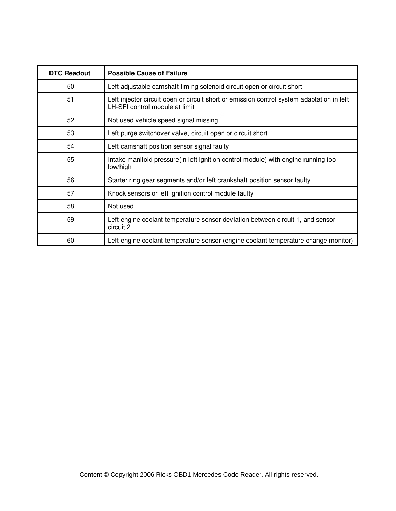| <b>DTC Readout</b> | <b>Possible Cause of Failure</b>                                                                                            |
|--------------------|-----------------------------------------------------------------------------------------------------------------------------|
| 50                 | Left adjustable camshaft timing solenoid circuit open or circuit short                                                      |
| 51                 | Left injector circuit open or circuit short or emission control system adaptation in left<br>LH-SFI control module at limit |
| 52                 | Not used vehicle speed signal missing                                                                                       |
| 53                 | Left purge switchover valve, circuit open or circuit short                                                                  |
| 54                 | Left camshaft position sensor signal faulty                                                                                 |
| 55                 | Intake manifold pressure(in left ignition control module) with engine running too<br>low/high                               |
| 56                 | Starter ring gear segments and/or left crankshaft position sensor faulty                                                    |
| 57                 | Knock sensors or left ignition control module faulty                                                                        |
| 58                 | Not used                                                                                                                    |
| 59                 | Left engine coolant temperature sensor deviation between circuit 1, and sensor<br>circuit 2.                                |
| 60                 | Left engine coolant temperature sensor (engine coolant temperature change monitor)                                          |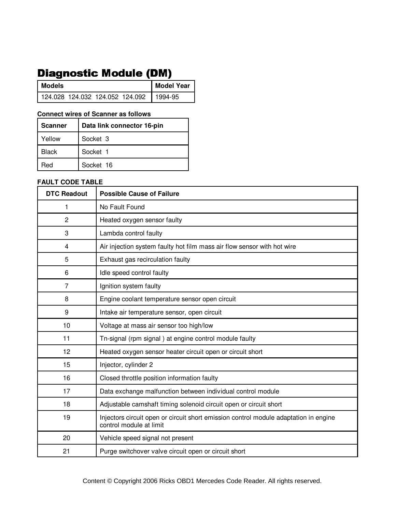# **Diagnostic Module (DM)**

| I Models                        |  | <b>Model Year</b> |
|---------------------------------|--|-------------------|
| 124.028 124.032 124.052 124.092 |  | 1994-95           |

### **Connect wires of Scanner as follows**

| <b>Scanner</b> | Data link connector 16-pin |
|----------------|----------------------------|
| Yellow         | Socket 3                   |
| <b>Black</b>   | Socket 1                   |
| Red            | Socket 16                  |

| <b>DTC Readout</b> | <b>Possible Cause of Failure</b>                                                                                |
|--------------------|-----------------------------------------------------------------------------------------------------------------|
| 1                  | No Fault Found                                                                                                  |
| $\overline{2}$     | Heated oxygen sensor faulty                                                                                     |
| 3                  | Lambda control faulty                                                                                           |
| 4                  | Air injection system faulty hot film mass air flow sensor with hot wire                                         |
| 5                  | Exhaust gas recirculation faulty                                                                                |
| 6                  | Idle speed control faulty                                                                                       |
| 7                  | Ignition system faulty                                                                                          |
| 8                  | Engine coolant temperature sensor open circuit                                                                  |
| 9                  | Intake air temperature sensor, open circuit                                                                     |
| 10                 | Voltage at mass air sensor too high/low                                                                         |
| 11                 | Tn-signal (rpm signal) at engine control module faulty                                                          |
| 12                 | Heated oxygen sensor heater circuit open or circuit short                                                       |
| 15                 | Injector, cylinder 2                                                                                            |
| 16                 | Closed throttle position information faulty                                                                     |
| 17                 | Data exchange malfunction between individual control module                                                     |
| 18                 | Adjustable camshaft timing solenoid circuit open or circuit short                                               |
| 19                 | Injectors circuit open or circuit short emission control module adaptation in engine<br>control module at limit |
| 20                 | Vehicle speed signal not present                                                                                |
| 21                 | Purge switchover valve circuit open or circuit short                                                            |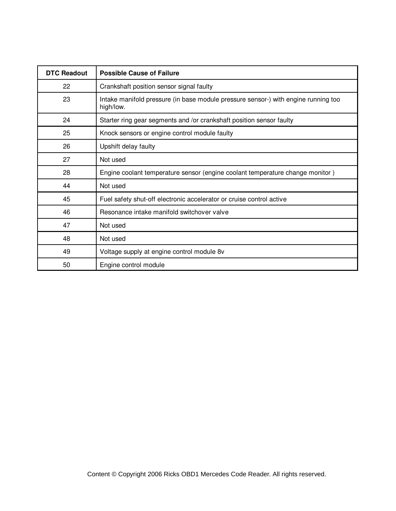| <b>DTC Readout</b> | <b>Possible Cause of Failure</b>                                                                |
|--------------------|-------------------------------------------------------------------------------------------------|
| 22                 | Crankshaft position sensor signal faulty                                                        |
| 23                 | Intake manifold pressure (in base module pressure sensor-) with engine running too<br>high/low. |
| 24                 | Starter ring gear segments and /or crankshaft position sensor faulty                            |
| 25                 | Knock sensors or engine control module faulty                                                   |
| 26                 | Upshift delay faulty                                                                            |
| 27                 | Not used                                                                                        |
| 28                 | Engine coolant temperature sensor (engine coolant temperature change monitor)                   |
| 44                 | Not used                                                                                        |
| 45                 | Fuel safety shut-off electronic accelerator or cruise control active                            |
| 46                 | Resonance intake manifold switchover valve                                                      |
| 47                 | Not used                                                                                        |
| 48                 | Not used                                                                                        |
| 49                 | Voltage supply at engine control module 8v                                                      |
| 50                 | Engine control module                                                                           |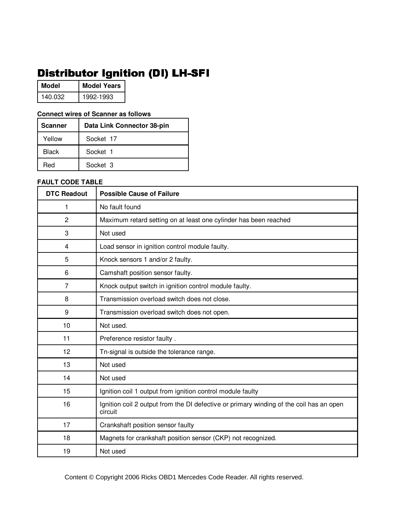# Distributor Ignition (DI) LH-SFI

| Model   | <b>Model Years</b> |
|---------|--------------------|
| 140.032 | 1992-1993          |

## **Connect wires of Scanner as follows**

| <b>Scanner</b> | Data Link Connector 38-pin |
|----------------|----------------------------|
| Yellow         | Socket 17                  |
| <b>Black</b>   | Socket 1                   |
| Red            | Socket 3                   |

| <b>DTC Readout</b> | <b>Possible Cause of Failure</b>                                                                   |
|--------------------|----------------------------------------------------------------------------------------------------|
| 1                  | No fault found                                                                                     |
| $\overline{2}$     | Maximum retard setting on at least one cylinder has been reached                                   |
| 3                  | Not used                                                                                           |
| 4                  | Load sensor in ignition control module faulty.                                                     |
| 5                  | Knock sensors 1 and/or 2 faulty.                                                                   |
| 6                  | Camshaft position sensor faulty.                                                                   |
| 7                  | Knock output switch in ignition control module faulty.                                             |
| 8                  | Transmission overload switch does not close.                                                       |
| 9                  | Transmission overload switch does not open.                                                        |
| 10                 | Not used.                                                                                          |
| 11                 | Preference resistor faulty.                                                                        |
| 12                 | Tn-signal is outside the tolerance range.                                                          |
| 13                 | Not used                                                                                           |
| 14                 | Not used                                                                                           |
| 15                 | Ignition coil 1 output from ignition control module faulty                                         |
| 16                 | Ignition coil 2 output from the DI defective or primary winding of the coil has an open<br>circuit |
| 17                 | Crankshaft position sensor faulty                                                                  |
| 18                 | Magnets for crankshaft position sensor (CKP) not recognized.                                       |
| 19                 | Not used                                                                                           |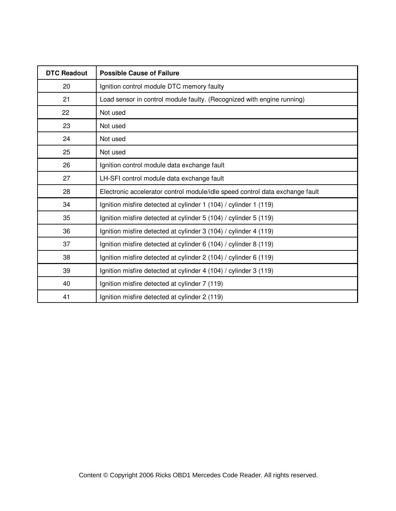| <b>DTC Readout</b> | <b>Possible Cause of Failure</b>                                             |
|--------------------|------------------------------------------------------------------------------|
| 20                 | Ignition control module DTC memory faulty                                    |
| 21                 | Load sensor in control module faulty. (Recognized with engine running)       |
| 22                 | Not used                                                                     |
| 23                 | Not used                                                                     |
| 24                 | Not used                                                                     |
| 25                 | Not used                                                                     |
| 26                 | Ignition control module data exchange fault                                  |
| 27                 | LH-SFI control module data exchange fault                                    |
| 28                 | Electronic accelerator control module/idle speed control data exchange fault |
| 34                 | Ignition misfire detected at cylinder 1 (104) / cylinder 1 (119)             |
| 35                 | Ignition misfire detected at cylinder 5 (104) / cylinder 5 (119)             |
| 36                 | Ignition misfire detected at cylinder 3 (104) / cylinder 4 (119)             |
| 37                 | Ignition misfire detected at cylinder 6 (104) / cylinder 8 (119)             |
| 38                 | Ignition misfire detected at cylinder 2 (104) / cylinder 6 (119)             |
| 39                 | Ignition misfire detected at cylinder 4 (104) / cylinder 3 (119)             |
| 40                 | Ignition misfire detected at cylinder 7 (119)                                |
| 41                 | Ignition misfire detected at cylinder 2 (119)                                |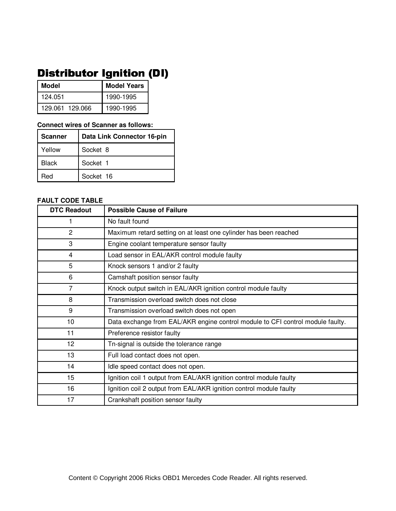# Distributor Ignition (DI)

| Model           | <b>Model Years</b> |
|-----------------|--------------------|
| 124.051         | 1990-1995          |
| 129.061 129.066 | 1990-1995          |

#### **Connect wires of Scanner as follows:**

| <b>Scanner</b> | Data Link Connector 16-pin |
|----------------|----------------------------|
| Yellow         | Socket 8                   |
| <b>Black</b>   | Socket 1                   |
| Red            | Socket 16                  |

| <b>DTC Readout</b> | <b>Possible Cause of Failure</b>                                               |
|--------------------|--------------------------------------------------------------------------------|
|                    | No fault found                                                                 |
| $\overline{2}$     | Maximum retard setting on at least one cylinder has been reached               |
| 3                  | Engine coolant temperature sensor faulty                                       |
| 4                  | Load sensor in EAL/AKR control module faulty                                   |
| 5                  | Knock sensors 1 and/or 2 faulty                                                |
| 6                  | Camshaft position sensor faulty                                                |
| $\overline{7}$     | Knock output switch in EAL/AKR ignition control module faulty                  |
| 8                  | Transmission overload switch does not close                                    |
| 9                  | Transmission overload switch does not open                                     |
| 10                 | Data exchange from EAL/AKR engine control module to CFI control module faulty. |
| 11                 | Preference resistor faulty                                                     |
| 12                 | Tn-signal is outside the tolerance range                                       |
| 13                 | Full load contact does not open.                                               |
| 14                 | Idle speed contact does not open.                                              |
| 15                 | Ignition coil 1 output from EAL/AKR ignition control module faulty             |
| 16                 | Ignition coil 2 output from EAL/AKR ignition control module faulty             |
| 17                 | Crankshaft position sensor faulty                                              |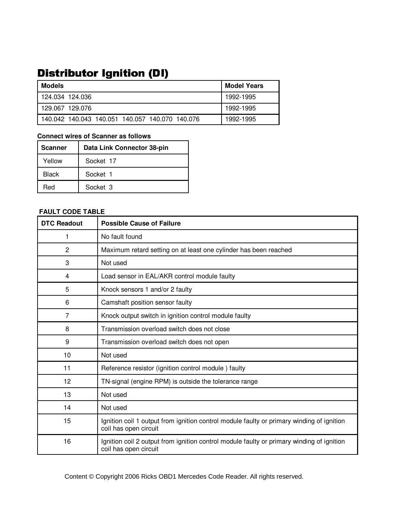# Distributor Ignition (DI)

| Models                                          | <b>Model Years</b> |
|-------------------------------------------------|--------------------|
| 124.034 124.036                                 | 1992-1995          |
| 129.067 129.076                                 | 1992-1995          |
| 140.042 140.043 140.051 140.057 140.070 140.076 | 1992-1995          |

### **Connect wires of Scanner as follows**

| <b>Scanner</b> | Data Link Connector 38-pin |
|----------------|----------------------------|
| Yellow         | Socket 17                  |
| Black          | Socket 1                   |
| Red            | Socket 3                   |

| <b>DTC Readout</b> | <b>Possible Cause of Failure</b>                                                                                   |
|--------------------|--------------------------------------------------------------------------------------------------------------------|
| 1                  | No fault found                                                                                                     |
| $\overline{2}$     | Maximum retard setting on at least one cylinder has been reached                                                   |
| 3                  | Not used                                                                                                           |
| 4                  | Load sensor in EAL/AKR control module faulty                                                                       |
| 5                  | Knock sensors 1 and/or 2 faulty                                                                                    |
| 6                  | Camshaft position sensor faulty                                                                                    |
| 7                  | Knock output switch in ignition control module faulty                                                              |
| 8                  | Transmission overload switch does not close                                                                        |
| 9                  | Transmission overload switch does not open                                                                         |
| 10                 | Not used                                                                                                           |
| 11                 | Reference resistor (ignition control module) faulty                                                                |
| 12                 | TN-signal (engine RPM) is outside the tolerance range                                                              |
| 13                 | Not used                                                                                                           |
| 14                 | Not used                                                                                                           |
| 15                 | Ignition coil 1 output from ignition control module faulty or primary winding of ignition<br>coil has open circuit |
| 16                 | Ignition coil 2 output from ignition control module faulty or primary winding of ignition<br>coil has open circuit |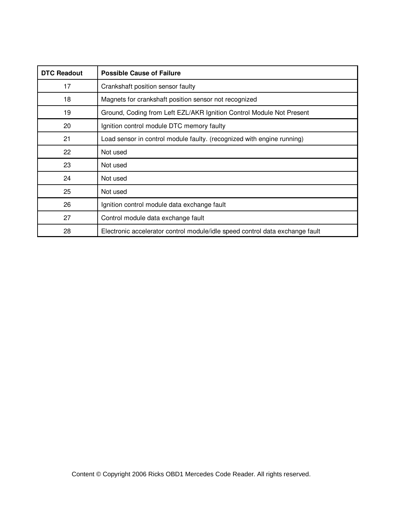| <b>DTC Readout</b> | <b>Possible Cause of Failure</b>                                             |
|--------------------|------------------------------------------------------------------------------|
| 17                 | Crankshaft position sensor faulty                                            |
| 18                 | Magnets for crankshaft position sensor not recognized                        |
| 19                 | Ground, Coding from Left EZL/AKR Ignition Control Module Not Present         |
| 20                 | Ignition control module DTC memory faulty                                    |
| 21                 | Load sensor in control module faulty. (recognized with engine running)       |
| 22                 | Not used                                                                     |
| 23                 | Not used                                                                     |
| 24                 | Not used                                                                     |
| 25                 | Not used                                                                     |
| 26                 | Ignition control module data exchange fault                                  |
| 27                 | Control module data exchange fault                                           |
| 28                 | Electronic accelerator control module/idle speed control data exchange fault |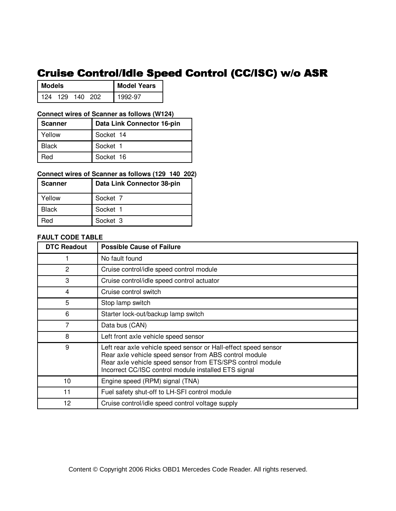# Cruise Control/Idle Speed Control (CC/ISC) w/o ASR

| <b>Models</b> |  |         | <b>Model Years</b> |         |
|---------------|--|---------|--------------------|---------|
| l 124         |  | 129 140 | 202                | 1992-97 |

### **Connect wires of Scanner as follows (W124)**

| <b>Scanner</b> | Data Link Connector 16-pin |
|----------------|----------------------------|
| Yellow         | Socket 14                  |
| <b>Black</b>   | Socket 1                   |
| Red            | Socket 16                  |

### **Connect wires of Scanner as follows (129 140 202)**

| <b>Scanner</b> | Data Link Connector 38-pin |
|----------------|----------------------------|
| Yellow         | Socket 7                   |
| <b>Black</b>   | Socket 1                   |
| ?eq            | Socket 3                   |

### **FAULT CODE TABLE**

| <b>DTC Readout</b> | <b>Possible Cause of Failure</b>                                                                                                                                                                                                                |
|--------------------|-------------------------------------------------------------------------------------------------------------------------------------------------------------------------------------------------------------------------------------------------|
|                    | No fault found                                                                                                                                                                                                                                  |
| $\overline{2}$     | Cruise control/idle speed control module                                                                                                                                                                                                        |
| 3                  | Cruise control/idle speed control actuator                                                                                                                                                                                                      |
| 4                  | Cruise control switch                                                                                                                                                                                                                           |
| 5                  | Stop lamp switch                                                                                                                                                                                                                                |
| 6                  | Starter lock-out/backup lamp switch                                                                                                                                                                                                             |
| 7                  | Data bus (CAN)                                                                                                                                                                                                                                  |
| 8                  | Left front axle vehicle speed sensor                                                                                                                                                                                                            |
| 9                  | Left rear axle vehicle speed sensor or Hall-effect speed sensor<br>Rear axle vehicle speed sensor from ABS control module<br>Rear axle vehicle speed sensor from ETS/SPS control module<br>Incorrect CC/ISC control module installed ETS signal |
| 10                 | Engine speed (RPM) signal (TNA)                                                                                                                                                                                                                 |
| 11                 | Fuel safety shut-off to LH-SFI control module                                                                                                                                                                                                   |
| 12                 | Cruise control/idle speed control voltage supply                                                                                                                                                                                                |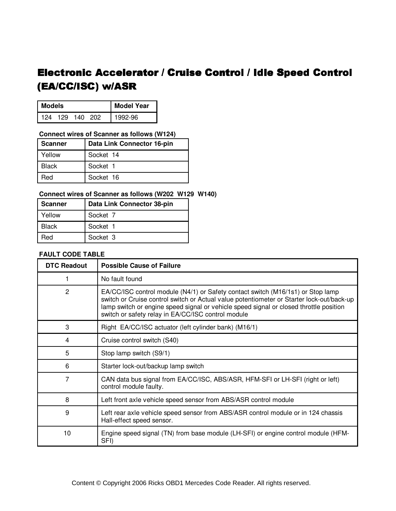# Electronic Accelerator / Cruise Control / Idle Speed Control (EA/CC/ISC) w/ASR

| <b>Models</b> |  |             | Model Year |         |
|---------------|--|-------------|------------|---------|
| 124           |  | 129 140 202 |            | 1992-96 |

#### **Connect wires of Scanner as follows (W124)**

| <b>Scanner</b> | Data Link Connector 16-pin |
|----------------|----------------------------|
| Yellow         | Socket 14                  |
| <b>Black</b>   | Socket 1                   |
| Red            | Socket 16                  |

## **Connect wires of Scanner as follows (W202 W129 W140)**

| <b>Scanner</b> | Data Link Connector 38-pin |
|----------------|----------------------------|
| Yellow         | Socket 7                   |
| <b>Black</b>   | Socket 1                   |
| Red            | Socket 3                   |

| <b>DTC Readout</b> | <b>Possible Cause of Failure</b>                                                                                                                                                                                                                                                                                             |
|--------------------|------------------------------------------------------------------------------------------------------------------------------------------------------------------------------------------------------------------------------------------------------------------------------------------------------------------------------|
|                    | No fault found                                                                                                                                                                                                                                                                                                               |
| 2                  | EA/CC/ISC control module (N4/1) or Safety contact switch (M16/1s1) or Stop lamp<br>switch or Cruise control switch or Actual value potentiometer or Starter lock-out/back-up<br>lamp switch or engine speed signal or vehicle speed signal or closed throttle position<br>switch or safety relay in EA/CC/ISC control module |
| 3                  | Right EA/CC/ISC actuator (left cylinder bank) (M16/1)                                                                                                                                                                                                                                                                        |
| 4                  | Cruise control switch (S40)                                                                                                                                                                                                                                                                                                  |
| 5                  | Stop lamp switch (S9/1)                                                                                                                                                                                                                                                                                                      |
| 6                  | Starter lock-out/backup lamp switch                                                                                                                                                                                                                                                                                          |
| 7                  | CAN data bus signal from EA/CC/ISC, ABS/ASR, HFM-SFI or LH-SFI (right or left)<br>control module faulty.                                                                                                                                                                                                                     |
| 8                  | Left front axle vehicle speed sensor from ABS/ASR control module                                                                                                                                                                                                                                                             |
| 9                  | Left rear axle vehicle speed sensor from ABS/ASR control module or in 124 chassis<br>Hall-effect speed sensor.                                                                                                                                                                                                               |
| 10                 | Engine speed signal (TN) from base module (LH-SFI) or engine control module (HFM-<br>SFI)                                                                                                                                                                                                                                    |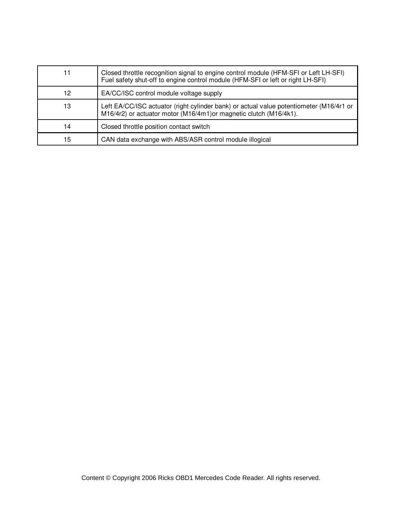|    | Closed throttle recognition signal to engine control module (HFM-SFI or Left LH-SFI)<br>Fuel safety shut-off to engine control module (HFM-SFI or left or right LH-SFI) |
|----|-------------------------------------------------------------------------------------------------------------------------------------------------------------------------|
| 12 | EA/CC/ISC control module voltage supply                                                                                                                                 |
| 13 | Left EA/CC/ISC actuator (right cylinder bank) or actual value potentiometer (M16/4r1 or<br>M16/4r2) or actuator motor (M16/4m1) or magnetic clutch (M16/4k1).           |
| 14 | Closed throttle position contact switch                                                                                                                                 |
| 15 | CAN data exchange with ABS/ASR control module illogical                                                                                                                 |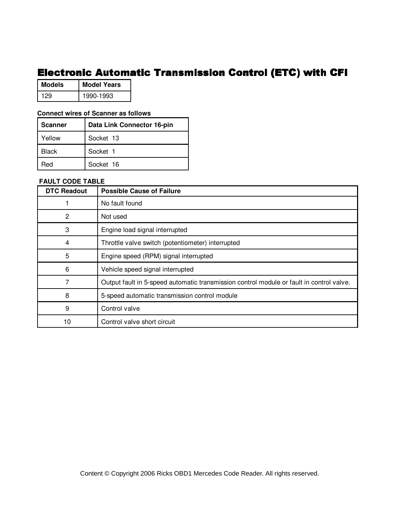## Electronic Automatic Transmission Control (ETC) with CFI

| <b>Models</b> | <b>Model Years</b> |
|---------------|--------------------|
| 129           | 1990-1993          |

### **Connect wires of Scanner as follows**

| Scanner | Data Link Connector 16-pin |
|---------|----------------------------|
| Yellow  | Socket 13                  |
| Black   | Socket 1                   |
| Red     | Socket 16                  |

| <b>DTC Readout</b> | <b>Possible Cause of Failure</b>                                                         |
|--------------------|------------------------------------------------------------------------------------------|
|                    | No fault found                                                                           |
| 2                  | Not used                                                                                 |
| 3                  | Engine load signal interrupted                                                           |
| 4                  | Throttle valve switch (potentiometer) interrupted                                        |
| 5                  | Engine speed (RPM) signal interrupted                                                    |
| 6                  | Vehicle speed signal interrupted                                                         |
| 7                  | Output fault in 5-speed automatic transmission control module or fault in control valve. |
| 8                  | 5-speed automatic transmission control module                                            |
| 9                  | Control valve                                                                            |
| 10                 | Control valve short circuit                                                              |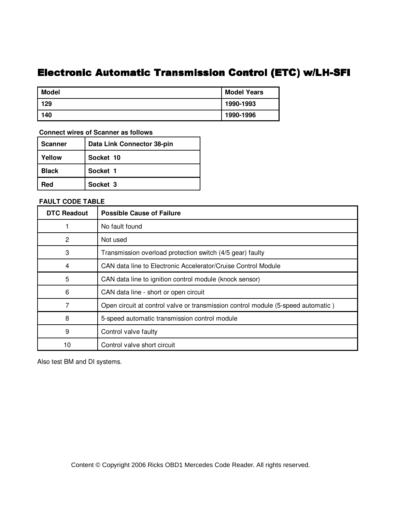## Electronic Automatic Transmission Control (ETC) w/LH-SFI

| Model | <b>Model Years</b> |
|-------|--------------------|
| 129   | 1990-1993          |
| 140   | 1990-1996          |

 **Connect wires of Scanner as follows**

| <b>Scanner</b> | Data Link Connector 38-pin |
|----------------|----------------------------|
| Yellow         | Socket 10                  |
| Black          | Socket 1                   |
| Red            | Socket 3                   |

 **FAULT CODE TABLE**

| <b>DTC Readout</b> | <b>Possible Cause of Failure</b>                                                 |  |
|--------------------|----------------------------------------------------------------------------------|--|
|                    | No fault found                                                                   |  |
| 2                  | Not used                                                                         |  |
| 3                  | Transmission overload protection switch (4/5 gear) faulty                        |  |
| 4                  | CAN data line to Electronic Accelerator/Cruise Control Module                    |  |
| 5                  | CAN data line to ignition control module (knock sensor)                          |  |
| 6                  | CAN data line - short or open circuit                                            |  |
|                    | Open circuit at control valve or transmission control module (5-speed automatic) |  |
| 8                  | 5-speed automatic transmission control module                                    |  |
| 9                  | Control valve faulty                                                             |  |
| 10                 | Control valve short circuit                                                      |  |

Also test BM and DI systems.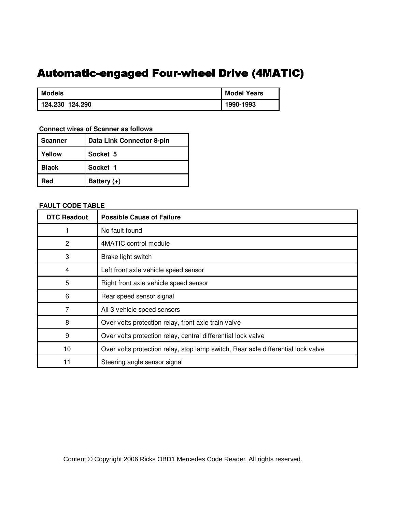## Automatic-engaged Four-wheel Drive (4MATIC)

| <b>Models</b>   | <b>Model Years</b> |
|-----------------|--------------------|
| 124.230 124.290 | 1990-1993          |

 **Connect wires of Scanner as follows**

| <b>Scanner</b> | Data Link Connector 8-pin |
|----------------|---------------------------|
| Yellow         | Socket 5                  |
| <b>Black</b>   | Socket 1                  |
| Red            | Battery (+)               |

## **FAULT CODE TABLE**

| <b>DTC Readout</b> | <b>Possible Cause of Failure</b>                                                 |
|--------------------|----------------------------------------------------------------------------------|
|                    | No fault found                                                                   |
| $\overline{2}$     | 4MATIC control module                                                            |
| 3                  | Brake light switch                                                               |
| 4                  | Left front axle vehicle speed sensor                                             |
| 5                  | Right front axle vehicle speed sensor                                            |
| 6                  | Rear speed sensor signal                                                         |
| 7                  | All 3 vehicle speed sensors                                                      |
| 8                  | Over volts protection relay, front axle train valve                              |
| 9                  | Over volts protection relay, central differential lock valve                     |
| 10                 | Over volts protection relay, stop lamp switch, Rear axle differential lock valve |
| 11                 | Steering angle sensor signal                                                     |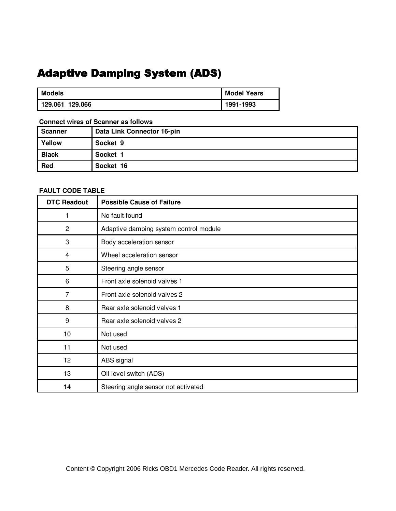# **Adaptive Damping System (ADS)**

| <b>Models</b>   | <b>Model Years</b> |
|-----------------|--------------------|
| 129.061 129.066 | 1991-1993          |

### **Connect wires of Scanner as follows**

| <b>Scanner</b> | Data Link Connector 16-pin |  |
|----------------|----------------------------|--|
| Yellow         | Socket 9                   |  |
| <b>Black</b>   | Socket 1                   |  |
| Red            | Socket 16                  |  |

| <b>DTC Readout</b> | <b>Possible Cause of Failure</b>       |
|--------------------|----------------------------------------|
| 1                  | No fault found                         |
| 2                  | Adaptive damping system control module |
| 3                  | Body acceleration sensor               |
| 4                  | Wheel acceleration sensor              |
| 5                  | Steering angle sensor                  |
| 6                  | Front axle solenoid valves 1           |
| 7                  | Front axle solenoid valves 2           |
| 8                  | Rear axle solenoid valves 1            |
| 9                  | Rear axle solenoid valves 2            |
| 10                 | Not used                               |
| 11                 | Not used                               |
| 12                 | ABS signal                             |
| 13                 | Oil level switch (ADS)                 |
| 14                 | Steering angle sensor not activated    |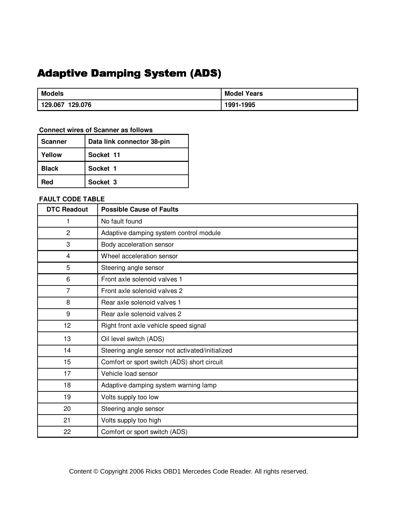# **Adaptive Damping System (ADS)**

| <b>Models</b>      | <b>Model Years</b> |
|--------------------|--------------------|
| 129.076<br>129.067 | 1991-1995          |

### **Connect wires of Scanner as follows**

| <b>Scanner</b> | Data link connector 38-pin |
|----------------|----------------------------|
| Yellow         | Socket 11                  |
| <b>Black</b>   | Socket 1                   |
| Red            | Socket 3                   |

| <b>DTC Readout</b> | <b>Possible Cause of Faults</b>                 |
|--------------------|-------------------------------------------------|
| 1                  | No fault found                                  |
| $\overline{c}$     | Adaptive damping system control module          |
| 3                  | Body acceleration sensor                        |
| $\overline{4}$     | Wheel acceleration sensor                       |
| 5                  | Steering angle sensor                           |
| 6                  | Front axle solenoid valves 1                    |
| $\overline{7}$     | Front axle solenoid valves 2                    |
| 8                  | Rear axle solenoid valves 1                     |
| 9                  | Rear axle solenoid valves 2                     |
| 12                 | Right front axle vehicle speed signal           |
| 13                 | Oil level switch (ADS)                          |
| 14                 | Steering angle sensor not activated/initialized |
| 15                 | Comfort or sport switch (ADS) short circuit     |
| 17                 | Vehicle load sensor                             |
| 18                 | Adaptive damping system warning lamp            |
| 19                 | Volts supply too low                            |
| 20                 | Steering angle sensor                           |
| 21                 | Volts supply too high                           |
| 22                 | Comfort or sport switch (ADS)                   |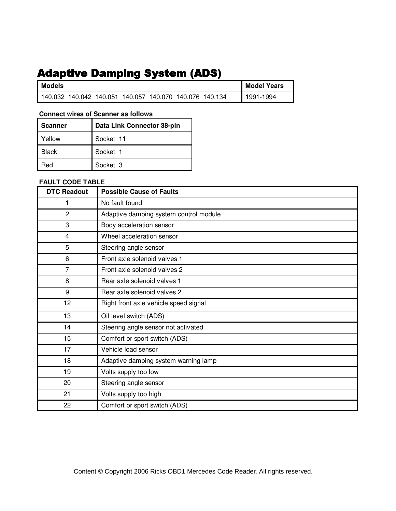# **Adaptive Damping System (ADS)**

| <b>Models</b>                                           |  |  | <b>Model Years</b> |
|---------------------------------------------------------|--|--|--------------------|
| 140.032 140.042 140.051 140.057 140.070 140.076 140.134 |  |  | 1991-1994          |

### **Connect wires of Scanner as follows**

| <b>Scanner</b> | Data Link Connector 38-pin |
|----------------|----------------------------|
| Yellow         | Socket 11                  |
| <b>Black</b>   | Socket 1                   |
| Red            | Socket 3                   |

| <b>DTC Readout</b> | <b>Possible Cause of Faults</b>        |
|--------------------|----------------------------------------|
| 1                  | No fault found                         |
| $\overline{c}$     | Adaptive damping system control module |
| 3                  | Body acceleration sensor               |
| 4                  | Wheel acceleration sensor              |
| 5                  | Steering angle sensor                  |
| 6                  | Front axle solenoid valves 1           |
| 7                  | Front axle solenoid valves 2           |
| 8                  | Rear axle solenoid valves 1            |
| 9                  | Rear axle solenoid valves 2            |
| 12                 | Right front axle vehicle speed signal  |
| 13                 | Oil level switch (ADS)                 |
| 14                 | Steering angle sensor not activated    |
| 15                 | Comfort or sport switch (ADS)          |
| 17                 | Vehicle load sensor                    |
| 18                 | Adaptive damping system warning lamp   |
| 19                 | Volts supply too low                   |
| 20                 | Steering angle sensor                  |
| 21                 | Volts supply too high                  |
| 22                 | Comfort or sport switch (ADS)          |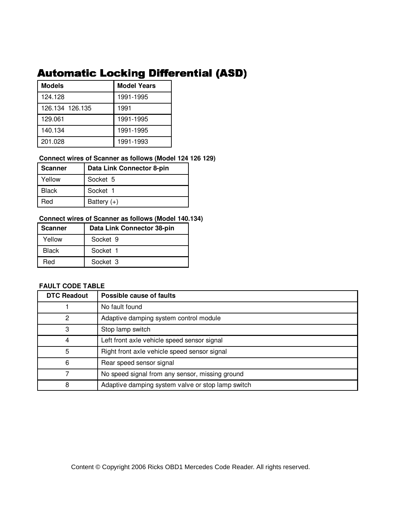## Automatic Locking Differential (ASD)

| <b>Models</b>   | <b>Model Years</b> |  |
|-----------------|--------------------|--|
| 124.128         | 1991-1995          |  |
| 126.134 126.135 | 1991               |  |
| 129.061         | 1991-1995          |  |
| 140.134         | 1991-1995          |  |
| 201.028         | 1991-1993          |  |

## **Connect wires of Scanner as follows (Model 124 126 129)**

| Scanner      | Data Link Connector 8-pin |
|--------------|---------------------------|
| Yellow       | Socket 5                  |
| <b>Black</b> | Socket 1                  |
| Red          | Battery $(+)$             |

## **Connect wires of Scanner as follows (Model 140.134)**

| <b>Scanner</b> | Data Link Connector 38-pin |
|----------------|----------------------------|
| Yellow         | Socket 9                   |
| <b>Black</b>   | Socket 1                   |
| Red            | Socket 3                   |

| <b>DTC Readout</b> | Possible cause of faults                          |
|--------------------|---------------------------------------------------|
|                    | No fault found                                    |
| 2                  | Adaptive damping system control module            |
| 3                  | Stop lamp switch                                  |
| 4                  | Left front axle vehicle speed sensor signal       |
| 5                  | Right front axle vehicle speed sensor signal      |
| 6                  | Rear speed sensor signal                          |
|                    | No speed signal from any sensor, missing ground   |
| 8                  | Adaptive damping system valve or stop lamp switch |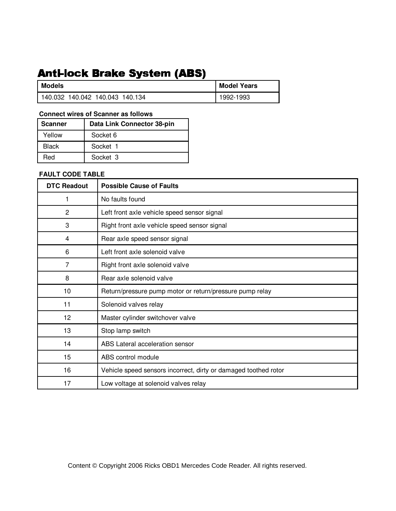# Anti-lock Brake System (ABS)

| Models                          | <b>Model Years</b> |
|---------------------------------|--------------------|
| 140.032 140.042 140.043 140.134 | 1992-1993          |

## **Connect wires of Scanner as follows**

| <b>Scanner</b> | Data Link Connector 38-pin |
|----------------|----------------------------|
| Yellow         | Socket 6                   |
| <b>Black</b>   | Socket 1                   |
| Red            | Socket 3                   |

### **FAULT CODE TABLE**

| <b>DTC Readout</b> | <b>Possible Cause of Faults</b>                                 |
|--------------------|-----------------------------------------------------------------|
| 1                  | No faults found                                                 |
| $\overline{2}$     | Left front axle vehicle speed sensor signal                     |
| 3                  | Right front axle vehicle speed sensor signal                    |
| 4                  | Rear axle speed sensor signal                                   |
| 6                  | Left front axle solenoid valve                                  |
| 7                  | Right front axle solenoid valve                                 |
| 8                  | Rear axle solenoid valve                                        |
| 10                 | Return/pressure pump motor or return/pressure pump relay        |
| 11                 | Solenoid valves relay                                           |
| 12 <sub>2</sub>    | Master cylinder switchover valve                                |
| 13                 | Stop lamp switch                                                |
| 14                 | ABS Lateral acceleration sensor                                 |
| 15                 | ABS control module                                              |
| 16                 | Vehicle speed sensors incorrect, dirty or damaged toothed rotor |
| 17                 | Low voltage at solenoid valves relay                            |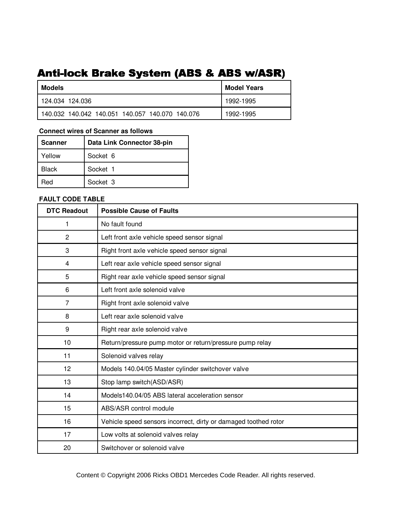# Anti-lock Brake System (ABS & ABS w/ASR)

| Models                                          | <b>Model Years</b> |
|-------------------------------------------------|--------------------|
| 124.034 124.036                                 | 1992-1995          |
| 140.032 140.042 140.051 140.057 140.070 140.076 | 1992-1995          |

### **Connect wires of Scanner as follows**

| <b>Scanner</b> | Data Link Connector 38-pin |
|----------------|----------------------------|
| Yellow         | Socket 6                   |
| Black          | Socket 1                   |
| Red            | Socket 3                   |

### **FAULT CODE TABLE**

| <b>DTC Readout</b> | <b>Possible Cause of Faults</b>                                 |
|--------------------|-----------------------------------------------------------------|
| 1                  | No fault found                                                  |
| $\overline{c}$     | Left front axle vehicle speed sensor signal                     |
| 3                  | Right front axle vehicle speed sensor signal                    |
| 4                  | Left rear axle vehicle speed sensor signal                      |
| 5                  | Right rear axle vehicle speed sensor signal                     |
| 6                  | Left front axle solenoid valve                                  |
| $\overline{7}$     | Right front axle solenoid valve                                 |
| 8                  | Left rear axle solenoid valve                                   |
| 9                  | Right rear axle solenoid valve                                  |
| 10                 | Return/pressure pump motor or return/pressure pump relay        |
| 11                 | Solenoid valves relay                                           |
| 12                 | Models 140.04/05 Master cylinder switchover valve               |
| 13                 | Stop lamp switch(ASD/ASR)                                       |
| 14                 | Models140.04/05 ABS lateral acceleration sensor                 |
| 15                 | ABS/ASR control module                                          |
| 16                 | Vehicle speed sensors incorrect, dirty or damaged toothed rotor |
| 17                 | Low volts at solenoid valves relay                              |
| 20                 | Switchover or solenoid valve                                    |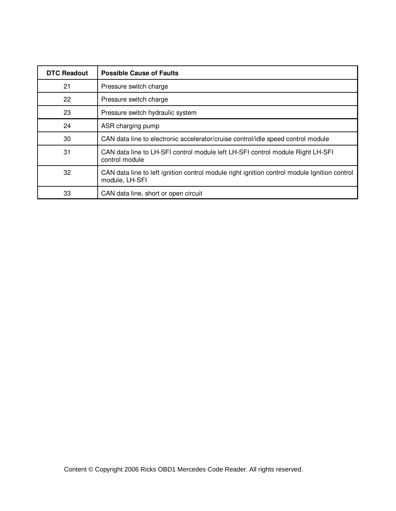| <b>DTC Readout</b> | <b>Possible Cause of Faults</b>                                                                                |
|--------------------|----------------------------------------------------------------------------------------------------------------|
| 21                 | Pressure switch charge                                                                                         |
| 22                 | Pressure switch charge                                                                                         |
| 23                 | Pressure switch hydraulic system                                                                               |
| 24                 | ASR charging pump                                                                                              |
| 30                 | CAN data line to electronic accelerator/cruise control/idle speed control module                               |
| 31                 | CAN data line to LH-SFI control module left LH-SFI control module Right LH-SFI<br>control module               |
| 32                 | CAN data line to left ignition control module right ignition control module Ignition control<br>module, LH-SFI |
| 33                 | CAN data line, short or open circuit                                                                           |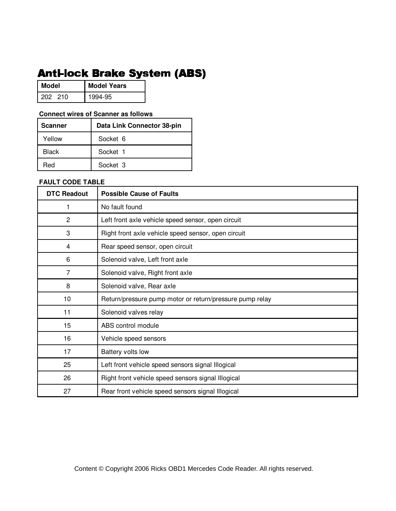# Anti-lock Brake System (ABS)

| Model   | <b>Model Years</b> |
|---------|--------------------|
| 202 210 | 1994-95            |

### **Connect wires of Scanner as follows**

| ∣ Scanner | Data Link Connector 38-pin |
|-----------|----------------------------|
| Yellow    | Socket 6                   |
| Black     | Socket 1                   |
| Red       | Socket 3                   |

| <b>DTC Readout</b> | <b>Possible Cause of Faults</b>                          |
|--------------------|----------------------------------------------------------|
|                    | No fault found                                           |
| $\overline{c}$     | Left front axle vehicle speed sensor, open circuit       |
| 3                  | Right front axle vehicle speed sensor, open circuit      |
| $\overline{4}$     | Rear speed sensor, open circuit                          |
| 6                  | Solenoid valve, Left front axle                          |
| 7                  | Solenoid valve, Right front axle                         |
| 8                  | Solenoid valve, Rear axle                                |
| 10                 | Return/pressure pump motor or return/pressure pump relay |
| 11                 | Solenoid valves relay                                    |
| 15                 | ABS control module                                       |
| 16                 | Vehicle speed sensors                                    |
| 17                 | Battery volts low                                        |
| 25                 | Left front vehicle speed sensors signal Illogical        |
| 26                 | Right front vehicle speed sensors signal Illogical       |
| 27                 | Rear front vehicle speed sensors signal Illogical        |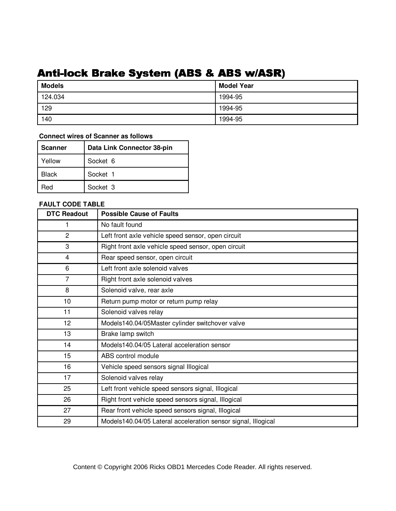# Anti-lock Brake System (ABS & ABS w/ASR)

| <b>Models</b> | <b>Model Year</b> |
|---------------|-------------------|
| 124.034       | 1994-95           |
| 129           | 1994-95           |
| 140           | 1994-95           |

## **Connect wires of Scanner as follows**

| Scanner | Data Link Connector 38-pin |
|---------|----------------------------|
| Yellow  | Socket 6                   |
| Black   | Socket 1                   |
| ≀ed     | Socket 3                   |

| <b>DTC Readout</b> | <b>Possible Cause of Faults</b>                               |
|--------------------|---------------------------------------------------------------|
| 1                  | No fault found                                                |
| $\overline{c}$     | Left front axle vehicle speed sensor, open circuit            |
| 3                  | Right front axle vehicle speed sensor, open circuit           |
| 4                  | Rear speed sensor, open circuit                               |
| 6                  | Left front axle solenoid valves                               |
| $\overline{7}$     | Right front axle solenoid valves                              |
| 8                  | Solenoid valve, rear axle                                     |
| 10                 | Return pump motor or return pump relay                        |
| 11                 | Solenoid valves relay                                         |
| 12                 | Models140.04/05Master cylinder switchover valve               |
| 13                 | Brake lamp switch                                             |
| 14                 | Models140.04/05 Lateral acceleration sensor                   |
| 15                 | ABS control module                                            |
| 16                 | Vehicle speed sensors signal Illogical                        |
| 17                 | Solenoid valves relay                                         |
| 25                 | Left front vehicle speed sensors signal, Illogical            |
| 26                 | Right front vehicle speed sensors signal, Illogical           |
| 27                 | Rear front vehicle speed sensors signal, Illogical            |
| 29                 | Models140.04/05 Lateral acceleration sensor signal, Illogical |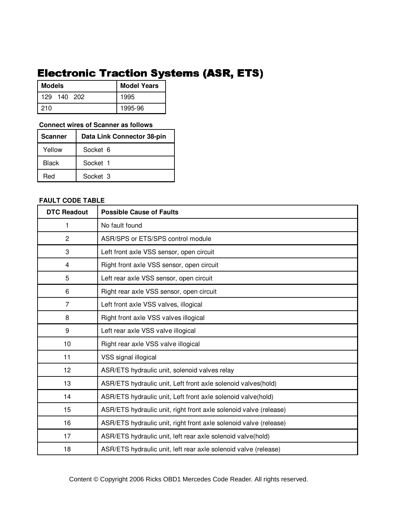# **Electronic Traction Systems (ASR, ETS)**

| <b>Models</b>      | <b>Model Years</b> |
|--------------------|--------------------|
| 140<br>129<br>-202 | 1995               |
| l 210              | 1995-96            |

### **Connect wires of Scanner as follows**

| <b>Scanner</b> | Data Link Connector 38-pin |
|----------------|----------------------------|
| Yellow         | Socket 6                   |
| Black          | Socket 1                   |
| Red            | Socket 3                   |

### **FAULT CODE TABLE**

| <b>DTC Readout</b> | <b>Possible Cause of Faults</b>                                   |
|--------------------|-------------------------------------------------------------------|
| 1                  | No fault found                                                    |
| $\overline{2}$     | ASR/SPS or ETS/SPS control module                                 |
| 3                  | Left front axle VSS sensor, open circuit                          |
| $\overline{4}$     | Right front axle VSS sensor, open circuit                         |
| 5                  | Left rear axle VSS sensor, open circuit                           |
| $6\phantom{1}6$    | Right rear axle VSS sensor, open circuit                          |
| $\overline{7}$     | Left front axle VSS valves, illogical                             |
| 8                  | Right front axle VSS valves illogical                             |
| 9                  | Left rear axle VSS valve illogical                                |
| 10                 | Right rear axle VSS valve illogical                               |
| 11                 | VSS signal illogical                                              |
| 12                 | ASR/ETS hydraulic unit, solenoid valves relay                     |
| 13                 | ASR/ETS hydraulic unit, Left front axle solenoid valves(hold)     |
| 14                 | ASR/ETS hydraulic unit, Left front axle solenoid valve(hold)      |
| 15                 | ASR/ETS hydraulic unit, right front axle solenoid valve (release) |
| 16                 | ASR/ETS hydraulic unit, right front axle solenoid valve (release) |
| 17                 | ASR/ETS hydraulic unit, left rear axle solenoid valve(hold)       |
| 18                 | ASR/ETS hydraulic unit, left rear axle solenoid valve (release)   |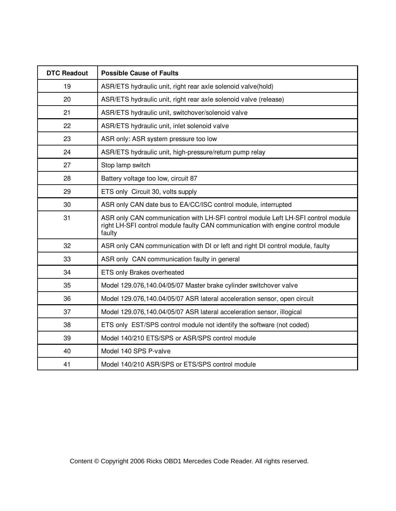| <b>DTC Readout</b> | <b>Possible Cause of Faults</b>                                                                                                                                               |
|--------------------|-------------------------------------------------------------------------------------------------------------------------------------------------------------------------------|
| 19                 | ASR/ETS hydraulic unit, right rear axle solenoid valve(hold)                                                                                                                  |
| 20                 | ASR/ETS hydraulic unit, right rear axle solenoid valve (release)                                                                                                              |
| 21                 | ASR/ETS hydraulic unit, switchover/solenoid valve                                                                                                                             |
| 22                 | ASR/ETS hydraulic unit, inlet solenoid valve                                                                                                                                  |
| 23                 | ASR only: ASR system pressure too low                                                                                                                                         |
| 24                 | ASR/ETS hydraulic unit, high-pressure/return pump relay                                                                                                                       |
| 27                 | Stop lamp switch                                                                                                                                                              |
| 28                 | Battery voltage too low, circuit 87                                                                                                                                           |
| 29                 | ETS only Circuit 30, volts supply                                                                                                                                             |
| 30                 | ASR only CAN date bus to EA/CC/ISC control module, interrupted                                                                                                                |
| 31                 | ASR only CAN communication with LH-SFI control module Left LH-SFI control module<br>right LH-SFI control module faulty CAN communication with engine control module<br>faulty |
| 32                 | ASR only CAN communication with DI or left and right DI control module, faulty                                                                                                |
| 33                 | ASR only CAN communication faulty in general                                                                                                                                  |
| 34                 | ETS only Brakes overheated                                                                                                                                                    |
| 35                 | Model 129.076,140.04/05/07 Master brake cylinder switchover valve                                                                                                             |
| 36                 | Model 129.076,140.04/05/07 ASR lateral acceleration sensor, open circuit                                                                                                      |
| 37                 | Model 129.076,140.04/05/07 ASR lateral acceleration sensor, illogical                                                                                                         |
| 38                 | ETS only EST/SPS control module not identify the software (not coded)                                                                                                         |
| 39                 | Model 140/210 ETS/SPS or ASR/SPS control module                                                                                                                               |
| 40                 | Model 140 SPS P-valve                                                                                                                                                         |
| 41                 | Model 140/210 ASR/SPS or ETS/SPS control module                                                                                                                               |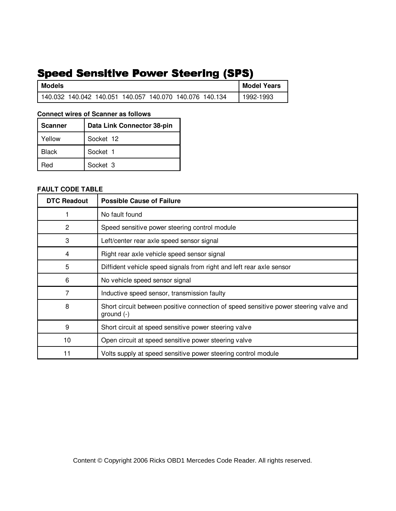# Speed Sensitive Power Steering (SPS)

| <b>Models</b>                                           |  |  | <b>Model Years</b> |
|---------------------------------------------------------|--|--|--------------------|
| 140.032 140.042 140.051 140.057 140.070 140.076 140.134 |  |  | 1992-1993          |

### **Connect wires of Scanner as follows**

| <b>Scanner</b> | Data Link Connector 38-pin |
|----------------|----------------------------|
| Yellow         | Socket 12                  |
| <b>Black</b>   | Socket 1                   |
| Red            | Socket 3                   |

## **FAULT CODE TABLE**

| <b>DTC Readout</b> | <b>Possible Cause of Failure</b>                                                                      |
|--------------------|-------------------------------------------------------------------------------------------------------|
|                    | No fault found                                                                                        |
| $\overline{2}$     | Speed sensitive power steering control module                                                         |
| 3                  | Left/center rear axle speed sensor signal                                                             |
| 4                  | Right rear axle vehicle speed sensor signal                                                           |
| 5                  | Diffident vehicle speed signals from right and left rear axle sensor                                  |
| 6                  | No vehicle speed sensor signal                                                                        |
| 7                  | Inductive speed sensor, transmission faulty                                                           |
| 8                  | Short circuit between positive connection of speed sensitive power steering valve and<br>ground $(-)$ |
| 9                  | Short circuit at speed sensitive power steering valve                                                 |
| 10                 | Open circuit at speed sensitive power steering valve                                                  |
| 11                 | Volts supply at speed sensitive power steering control module                                         |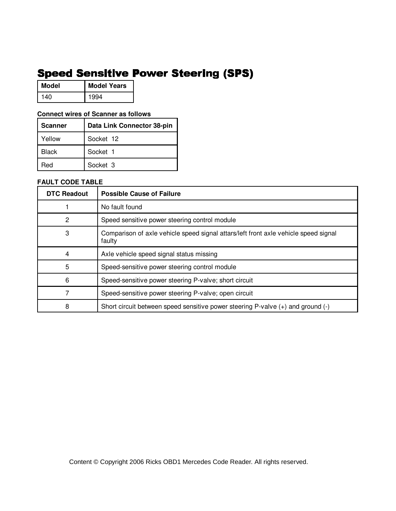# **Speed Sensitive Power Steering (SPS)**

| Model | <b>Model Years</b> |
|-------|--------------------|
| 140   | 1994               |

### **Connect wires of Scanner as follows**

| <b>Scanner</b> | Data Link Connector 38-pin |
|----------------|----------------------------|
| Yellow         | Socket 12                  |
| Black          | Socket 1                   |
| Red            | Socket 3                   |

| <b>DTC Readout</b> | <b>Possible Cause of Failure</b>                                                              |
|--------------------|-----------------------------------------------------------------------------------------------|
|                    | No fault found                                                                                |
| 2                  | Speed sensitive power steering control module                                                 |
| 3                  | Comparison of axle vehicle speed signal attars/left front axle vehicle speed signal<br>faulty |
|                    | Axle vehicle speed signal status missing                                                      |
| 5                  | Speed-sensitive power steering control module                                                 |
| 6                  | Speed-sensitive power steering P-valve; short circuit                                         |
|                    | Speed-sensitive power steering P-valve; open circuit                                          |
| 8                  | Short circuit between speed sensitive power steering P-valve (+) and ground (-)               |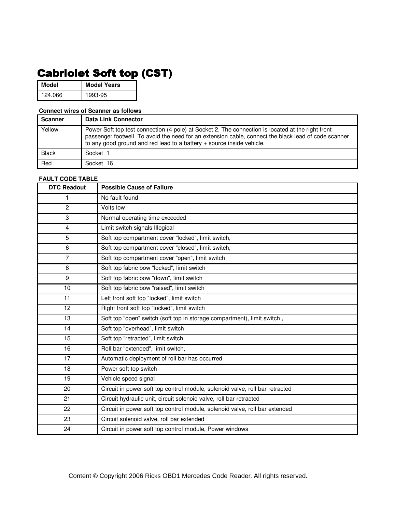# **Cabriolet Soft top (CST)**

**Model Model Years** 124.066 1993-95

### **Connect wires of Scanner as follows**

| <b>Scanner</b> | Data Link Connector                                                                                                                                                                                                                                                                |
|----------------|------------------------------------------------------------------------------------------------------------------------------------------------------------------------------------------------------------------------------------------------------------------------------------|
| Yellow         | Power Soft top test connection (4 pole) at Socket 2. The connection is located at the right front<br>passenger footwell. To avoid the need for an extension cable, connect the black lead of code scanner<br>to any good ground and red lead to a battery + source inside vehicle. |
| <b>Black</b>   | Socket 1                                                                                                                                                                                                                                                                           |
| Red            | Socket 16                                                                                                                                                                                                                                                                          |

| <b>DTC Readout</b> | <b>Possible Cause of Failure</b>                                             |
|--------------------|------------------------------------------------------------------------------|
| 1                  | No fault found                                                               |
| $\overline{c}$     | Volts low                                                                    |
| 3                  | Normal operating time exceeded                                               |
| $\overline{4}$     | Limit switch signals Illogical                                               |
| 5                  | Soft top compartment cover "locked", limit switch,                           |
| 6                  | Soft top compartment cover "closed", limit switch,                           |
| $\overline{7}$     | Soft top compartment cover "open", limit switch                              |
| 8                  | Soft top fabric bow "locked", limit switch                                   |
| $\boldsymbol{9}$   | Soft top fabric bow "down", limit switch                                     |
| 10                 | Soft top fabric bow "raised", limit switch                                   |
| 11                 | Left front soft top "locked", limit switch                                   |
| 12                 | Right front soft top "locked", limit switch                                  |
| 13                 | Soft top "open" switch (soft top in storage compartment), limit switch,      |
| 14                 | Soft top "overhead", limit switch                                            |
| 15                 | Soft top "retracted", limit switch                                           |
| 16                 | Roll bar "extended", limit switch,                                           |
| 17                 | Automatic deployment of roll bar has occurred                                |
| 18                 | Power soft top switch                                                        |
| 19                 | Vehicle speed signal                                                         |
| 20                 | Circuit in power soft top control module, solenoid valve, roll bar retracted |
| 21                 | Circuit hydraulic unit, circuit solenoid valve, roll bar retracted           |
| 22                 | Circuit in power soft top control module, solenoid valve, roll bar extended  |
| 23                 | Circuit solenoid valve, roll bar extended                                    |
| 24                 | Circuit in power soft top control module, Power windows                      |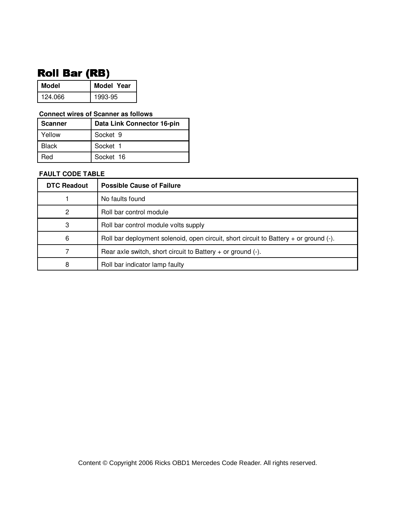# **Roll Bar (RB)**

| Model   | <b>Model Year</b> |
|---------|-------------------|
| 124.066 | 1993-95           |

### **Connect wires of Scanner as follows**

| <b>Scanner</b> | Data Link Connector 16-pin |
|----------------|----------------------------|
| Yellow         | Socket 9                   |
| <b>Black</b>   | Socket 1                   |
| Red            | Socket 16                  |

| <b>DTC Readout</b> | <b>Possible Cause of Failure</b>                                                           |
|--------------------|--------------------------------------------------------------------------------------------|
|                    | No faults found                                                                            |
| 2                  | Roll bar control module                                                                    |
| 3                  | Roll bar control module volts supply                                                       |
| 6                  | Roll bar deployment solenoid, open circuit, short circuit to Battery $+$ or ground $(-)$ . |
|                    | Rear axle switch, short circuit to Battery $+$ or ground $(-)$ .                           |
| 8                  | Roll bar indicator lamp faulty                                                             |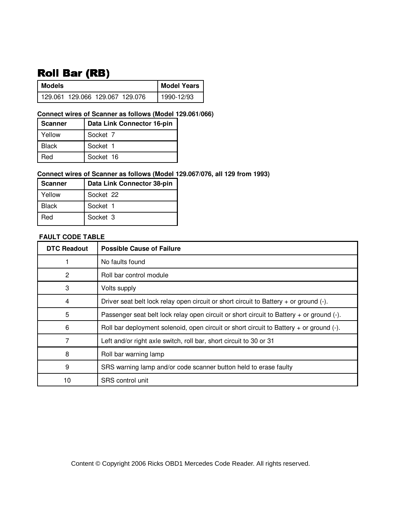# **Roll Bar (RB)**

| l Models                        |  | <b>Model Years</b> |
|---------------------------------|--|--------------------|
| 129.061 129.066 129.067 129.076 |  | 1990-12/93         |

### **Connect wires of Scanner as follows (Model 129.061/066)**

| <b>Scanner</b> | Data Link Connector 16-pin |
|----------------|----------------------------|
| Yellow         | Socket 7                   |
| <b>Black</b>   | Socket 1                   |
| Red            | Socket 16                  |

## **Connect wires of Scanner as follows (Model 129.067/076, all 129 from 1993)**

| <b>Scanner</b> | Data Link Connector 38-pin |
|----------------|----------------------------|
| Yellow         | Socket 22                  |
| <b>Black</b>   | Socket 1                   |
| Red            | Socket 3                   |

### **FAULT CODE TABLE**

| <b>DTC Readout</b> | <b>Possible Cause of Failure</b>                                                             |
|--------------------|----------------------------------------------------------------------------------------------|
|                    | No faults found                                                                              |
| 2                  | Roll bar control module                                                                      |
| 3                  | Volts supply                                                                                 |
| 4                  | Driver seat belt lock relay open circuit or short circuit to Battery $+$ or ground $(-)$ .   |
| 5                  | Passenger seat belt lock relay open circuit or short circuit to Battery + or ground (-).     |
| 6                  | Roll bar deployment solenoid, open circuit or short circuit to Battery $+$ or ground $(-)$ . |
| 7                  | Left and/or right axle switch, roll bar, short circuit to 30 or 31                           |
| 8                  | Roll bar warning lamp                                                                        |
| 9                  | SRS warning lamp and/or code scanner button held to erase faulty                             |
| 10                 | SRS control unit                                                                             |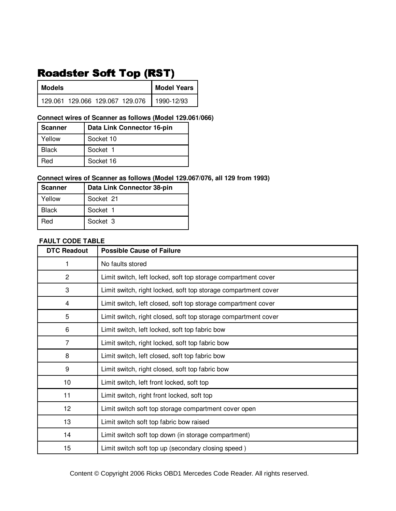# Roadster Soft Top (RST)

| Models |  | <b>Model Years</b>                           |
|--------|--|----------------------------------------------|
|        |  | 129.061 129.066 129.067 129.076   1990-12/93 |

## **Connect wires of Scanner as follows (Model 129.061/066)**

| <b>Scanner</b> | Data Link Connector 16-pin |
|----------------|----------------------------|
| Yellow         | Socket 10                  |
| <b>Black</b>   | Socket 1                   |
| Red            | Socket 16                  |

## **Connect wires of Scanner as follows (Model 129.067/076, all 129 from 1993)**

| l Scanner    | Data Link Connector 38-pin |
|--------------|----------------------------|
| Yellow       | Socket 21                  |
| <b>Black</b> | Socket 1                   |
| Red          | Socket 3                   |

### **FAULT CODE TABLE**

| <b>DTC Readout</b> | <b>Possible Cause of Failure</b>                               |
|--------------------|----------------------------------------------------------------|
| 1                  | No faults stored                                               |
| 2                  | Limit switch, left locked, soft top storage compartment cover  |
| 3                  | Limit switch, right locked, soft top storage compartment cover |
| 4                  | Limit switch, left closed, soft top storage compartment cover  |
| 5                  | Limit switch, right closed, soft top storage compartment cover |
| 6                  | Limit switch, left locked, soft top fabric bow                 |
| $\overline{7}$     | Limit switch, right locked, soft top fabric bow                |
| 8                  | Limit switch, left closed, soft top fabric bow                 |
| 9                  | Limit switch, right closed, soft top fabric bow                |
| 10                 | Limit switch, left front locked, soft top                      |
| 11                 | Limit switch, right front locked, soft top                     |
| 12                 | Limit switch soft top storage compartment cover open           |
| 13                 | Limit switch soft top fabric bow raised                        |
| 14                 | Limit switch soft top down (in storage compartment)            |
| 15                 | Limit switch soft top up (secondary closing speed)             |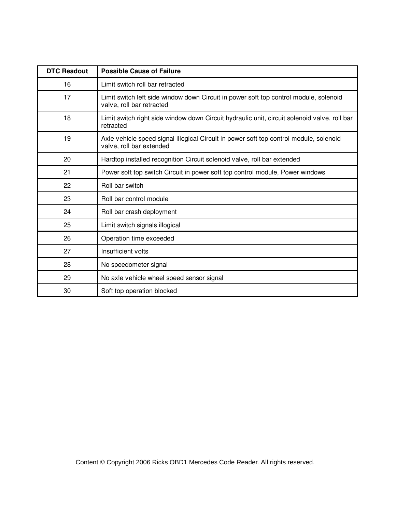| <b>DTC Readout</b> | <b>Possible Cause of Failure</b>                                                                                   |
|--------------------|--------------------------------------------------------------------------------------------------------------------|
| 16                 | Limit switch roll bar retracted                                                                                    |
| 17                 | Limit switch left side window down Circuit in power soft top control module, solenoid<br>valve, roll bar retracted |
| 18                 | Limit switch right side window down Circuit hydraulic unit, circuit solenoid valve, roll bar<br>retracted          |
| 19                 | Axle vehicle speed signal illogical Circuit in power soft top control module, solenoid<br>valve, roll bar extended |
| 20                 | Hardtop installed recognition Circuit solenoid valve, roll bar extended                                            |
| 21                 | Power soft top switch Circuit in power soft top control module, Power windows                                      |
| 22                 | Roll bar switch                                                                                                    |
| 23                 | Roll bar control module                                                                                            |
| 24                 | Roll bar crash deployment                                                                                          |
| 25                 | Limit switch signals illogical                                                                                     |
| 26                 | Operation time exceeded                                                                                            |
| 27                 | Insufficient volts                                                                                                 |
| 28                 | No speedometer signal                                                                                              |
| 29                 | No axle vehicle wheel speed sensor signal                                                                          |
| 30                 | Soft top operation blocked                                                                                         |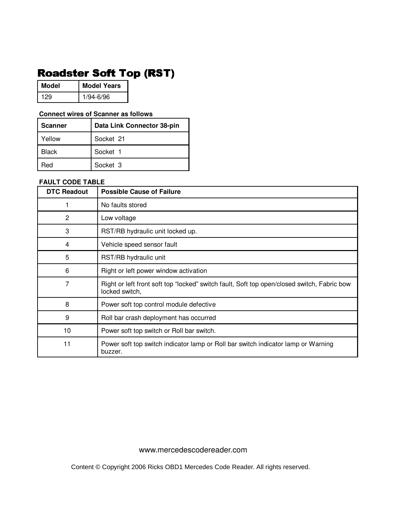# Roadster Soft Top (RST)

| Model | <b>Model Years</b> |
|-------|--------------------|
| 1 2 Q | 1/94-6/96          |

### **Connect wires of Scanner as follows**

| l Scanner    | Data Link Connector 38-pin |
|--------------|----------------------------|
| Yellow       | Socket 21                  |
| <b>Black</b> | Socket 1                   |
| ≺eu          | Socket 3                   |

### **FAULT CODE TABLE**

| <b>DTC Readout</b> | <b>Possible Cause of Failure</b>                                                                              |
|--------------------|---------------------------------------------------------------------------------------------------------------|
|                    | No faults stored                                                                                              |
| 2                  | Low voltage                                                                                                   |
| 3                  | RST/RB hydraulic unit locked up.                                                                              |
| 4                  | Vehicle speed sensor fault                                                                                    |
| 5                  | RST/RB hydraulic unit                                                                                         |
| 6                  | Right or left power window activation                                                                         |
| 7                  | Right or left front soft top "locked" switch fault, Soft top open/closed switch, Fabric bow<br>locked switch, |
| 8                  | Power soft top control module defective                                                                       |
| 9                  | Roll bar crash deployment has occurred                                                                        |
| 10                 | Power soft top switch or Roll bar switch.                                                                     |
| 11                 | Power soft top switch indicator lamp or Roll bar switch indicator lamp or Warning<br>buzzer.                  |

www.mercedescodereader.com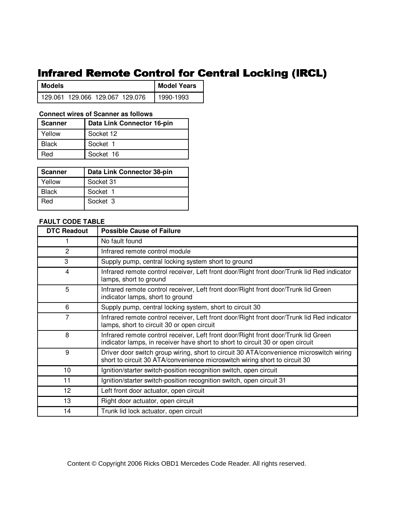## Infrared Remote Control for Central Locking (IRCL)

| Models                            |  | <b>Model Years</b> |  |           |
|-----------------------------------|--|--------------------|--|-----------|
| l 129.061 129.066 129.067 129.076 |  |                    |  | 1990-1993 |

### **Connect wires of Scanner as follows**

| <b>Scanner</b> | Data Link Connector 16-pin |
|----------------|----------------------------|
| Yellow         | Socket 12                  |
| <b>Black</b>   | Socket 1                   |
| Red            | Socket 16                  |

| Scanner | Data Link Connector 38-pin |
|---------|----------------------------|
| Yellow  | Socket 31                  |
| Black   | Socket 1                   |
| Red     | Socket 3                   |

### **FAULT CODE TABLE**

| <b>DTC Readout</b> | <b>Possible Cause of Failure</b>                                                                                                                                      |
|--------------------|-----------------------------------------------------------------------------------------------------------------------------------------------------------------------|
|                    | No fault found                                                                                                                                                        |
| 2                  | Infrared remote control module                                                                                                                                        |
| 3                  | Supply pump, central locking system short to ground                                                                                                                   |
| 4                  | Infrared remote control receiver, Left front door/Right front door/Trunk lid Red indicator<br>lamps, short to ground                                                  |
| 5                  | Infrared remote control receiver, Left front door/Right front door/Trunk lid Green<br>indicator lamps, short to ground                                                |
| 6                  | Supply pump, central locking system, short to circuit 30                                                                                                              |
| 7                  | Infrared remote control receiver, Left front door/Right front door/Trunk lid Red indicator<br>lamps, short to circuit 30 or open circuit                              |
| 8                  | Infrared remote control receiver, Left front door/Right front door/Trunk lid Green<br>indicator lamps, in receiver have short to short to circuit 30 or open circuit  |
| 9                  | Driver door switch group wiring, short to circuit 30 ATA/convenience microswitch wiring<br>short to circuit 30 ATA/convenience microswitch wiring short to circuit 30 |
| 10                 | Ignition/starter switch-position recognition switch, open circuit                                                                                                     |
| 11                 | Ignition/starter switch-position recognition switch, open circuit 31                                                                                                  |
| 12                 | Left front door actuator, open circuit                                                                                                                                |
| 13                 | Right door actuator, open circuit                                                                                                                                     |
| 14                 | Trunk lid lock actuator, open circuit                                                                                                                                 |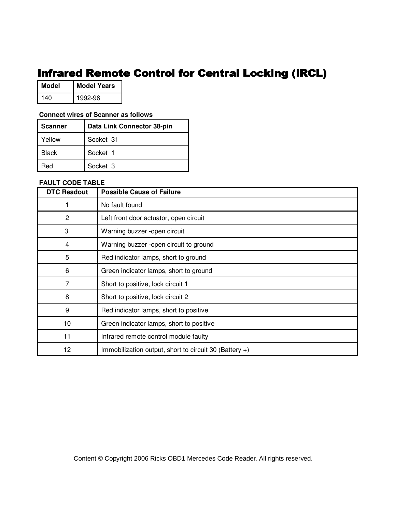## Infrared Remote Control for Central Locking (IRCL)

| Model | <b>Model Years</b> |
|-------|--------------------|
| 140   | 1992-96            |

### **Connect wires of Scanner as follows**

| l Scanner    | Data Link Connector 38-pin |
|--------------|----------------------------|
| Yellow       | Socket 31                  |
| <b>Black</b> | Socket 1                   |
| Red          | Socket 3                   |

### **FAULT CODE TABLE**

| <b>DTC Readout</b> | <b>Possible Cause of Failure</b>                          |
|--------------------|-----------------------------------------------------------|
|                    | No fault found                                            |
| $\overline{2}$     | Left front door actuator, open circuit                    |
| 3                  | Warning buzzer -open circuit                              |
| 4                  | Warning buzzer -open circuit to ground                    |
| 5                  | Red indicator lamps, short to ground                      |
| 6                  | Green indicator lamps, short to ground                    |
| 7                  | Short to positive, lock circuit 1                         |
| 8                  | Short to positive, lock circuit 2                         |
| 9                  | Red indicator lamps, short to positive                    |
| 10                 | Green indicator lamps, short to positive                  |
| 11                 | Infrared remote control module faulty                     |
| 12                 | Immobilization output, short to circuit 30 (Battery $+$ ) |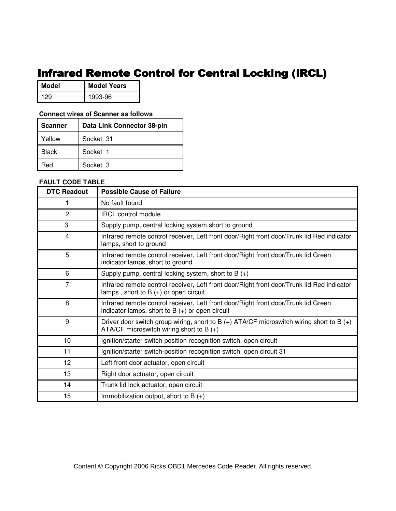## Infrared Remote Control for Central Locking (IRCL)

| Model | <b>Model Years</b> |
|-------|--------------------|
| 199   | 1993-96            |

### **Connect wires of Scanner as follows**

| <b>Scanner</b> | Data Link Connector 38-pin |
|----------------|----------------------------|
| Yellow         | Socket 31                  |
| <b>Black</b>   | Socket 1                   |
| Red            | Socket 3                   |

| <b>DTC Readout</b> | <b>Possible Cause of Failure</b>                                                                                                           |
|--------------------|--------------------------------------------------------------------------------------------------------------------------------------------|
|                    | No fault found                                                                                                                             |
| $\overline{c}$     | <b>IRCL control module</b>                                                                                                                 |
| 3                  | Supply pump, central locking system short to ground                                                                                        |
| 4                  | Infrared remote control receiver, Left front door/Right front door/Trunk lid Red indicator<br>lamps, short to ground                       |
| 5                  | Infrared remote control receiver, Left front door/Right front door/Trunk lid Green<br>indicator lamps, short to ground                     |
| 6                  | Supply pump, central locking system, short to B $(+)$                                                                                      |
| 7                  | Infrared remote control receiver, Left front door/Right front door/Trunk lid Red indicator<br>lamps, short to $B (+)$ or open circuit      |
| 8                  | Infrared remote control receiver, Left front door/Right front door/Trunk lid Green<br>indicator lamps, short to $B (+)$ or open circuit    |
| 9                  | Driver door switch group wiring, short to B $(+)$ ATA/CF microswitch wiring short to B $(+)$<br>ATA/CF microswitch wiring short to B $(+)$ |
| 10                 | Ignition/starter switch-position recognition switch, open circuit                                                                          |
| 11                 | Ignition/starter switch-position recognition switch, open circuit 31                                                                       |
| 12                 | Left front door actuator, open circuit                                                                                                     |
| 13                 | Right door actuator, open circuit                                                                                                          |
| 14                 | Trunk lid lock actuator, open circuit                                                                                                      |
| 15                 | Immobilization output, short to B $(+)$                                                                                                    |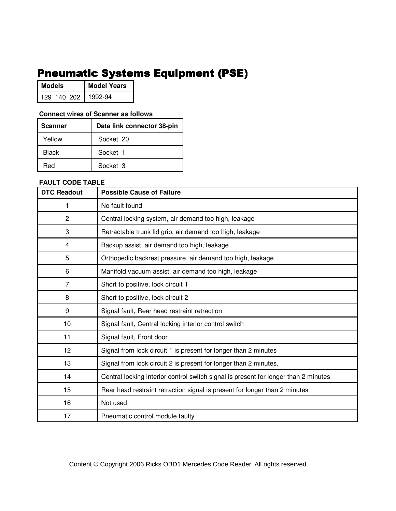# **Pneumatic Systems Equipment (PSE)**

| <b>Models</b>       | <b>Model Years</b> |
|---------------------|--------------------|
| 129 140 202 1992-94 |                    |

### **Connect wires of Scanner as follows**

| <b>Scanner</b> | Data link connector 38-pin |
|----------------|----------------------------|
| Yellow         | Socket 20                  |
| Black          | Socket 1                   |
| Red            | Socket 3                   |

## **FAULT CODE TABLE**

| <b>DTC Readout</b> | <b>Possible Cause of Failure</b>                                                    |  |  |  |  |
|--------------------|-------------------------------------------------------------------------------------|--|--|--|--|
| 1                  | No fault found                                                                      |  |  |  |  |
| $\overline{c}$     | Central locking system, air demand too high, leakage                                |  |  |  |  |
| 3                  | Retractable trunk lid grip, air demand too high, leakage                            |  |  |  |  |
| 4                  | Backup assist, air demand too high, leakage                                         |  |  |  |  |
| 5                  | Orthopedic backrest pressure, air demand too high, leakage                          |  |  |  |  |
| 6                  | Manifold vacuum assist, air demand too high, leakage                                |  |  |  |  |
| $\overline{7}$     | Short to positive, lock circuit 1                                                   |  |  |  |  |
| 8                  | Short to positive, lock circuit 2                                                   |  |  |  |  |
| 9                  | Signal fault, Rear head restraint retraction                                        |  |  |  |  |
| 10                 | Signal fault, Central locking interior control switch                               |  |  |  |  |
| 11                 | Signal fault, Front door                                                            |  |  |  |  |
| 12                 | Signal from lock circuit 1 is present for longer than 2 minutes                     |  |  |  |  |
| 13                 | Signal from lock circuit 2 is present for longer than 2 minutes,                    |  |  |  |  |
| 14                 | Central locking interior control switch signal is present for longer than 2 minutes |  |  |  |  |
| 15                 | Rear head restraint retraction signal is present for longer than 2 minutes          |  |  |  |  |
| 16                 | Not used                                                                            |  |  |  |  |
| 17                 | Pneumatic control module faulty                                                     |  |  |  |  |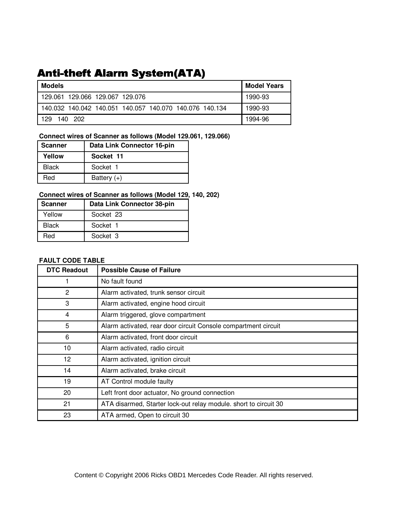# **Anti-theft Alarm System(ATA)**

| <b>Models</b>                                           | <b>Model Years</b> |
|---------------------------------------------------------|--------------------|
| 129.061 129.066 129.067 129.076                         | 1990-93            |
| 140.032 140.042 140.051 140.057 140.070 140.076 140.134 | 1990-93            |
| 129<br>140 202                                          | 1994-96            |

## **Connect wires of Scanner as follows (Model 129.061, 129.066)**

| l Scanner    | Data Link Connector 16-pin |
|--------------|----------------------------|
| Yellow       | Socket 11                  |
| <b>Black</b> | Socket 1                   |
| Red          | Battery $(+)$              |

## **Connect wires of Scanner as follows (Model 129, 140, 202)**

| Scanner      | Data Link Connector 38-pin |  |
|--------------|----------------------------|--|
| Yellow       | Socket 23                  |  |
| <b>Black</b> | Socket 1                   |  |
| Red          | Socket 3                   |  |

| <b>DTC Readout</b> | <b>Possible Cause of Failure</b>                                 |  |  |  |  |
|--------------------|------------------------------------------------------------------|--|--|--|--|
|                    | No fault found                                                   |  |  |  |  |
| 2                  | Alarm activated, trunk sensor circuit                            |  |  |  |  |
| 3                  | Alarm activated, engine hood circuit                             |  |  |  |  |
| 4                  | Alarm triggered, glove compartment                               |  |  |  |  |
| 5                  | Alarm activated, rear door circuit Console compartment circuit   |  |  |  |  |
| 6                  | Alarm activated, front door circuit                              |  |  |  |  |
| 10                 | Alarm activated, radio circuit                                   |  |  |  |  |
| 12                 | Alarm activated, ignition circuit                                |  |  |  |  |
| 14                 | Alarm activated, brake circuit                                   |  |  |  |  |
| 19                 | AT Control module faulty                                         |  |  |  |  |
| 20                 | Left front door actuator, No ground connection                   |  |  |  |  |
| 21                 | ATA disarmed, Starter lock-out relay module. short to circuit 30 |  |  |  |  |
| 23                 | ATA armed, Open to circuit 30                                    |  |  |  |  |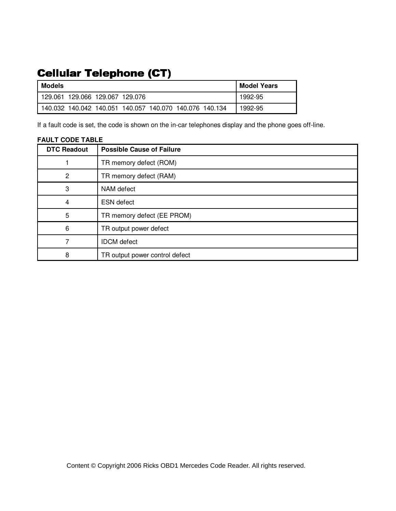# **Cellular Telephone (CT)**

| Models                                                    | <b>Model Years</b> |
|-----------------------------------------------------------|--------------------|
| l 129.061 129.066 129.067 129.076                         | 1992-95            |
| ' 140.032 140.042 140.051 140.057 140.070 140.076 140.134 | 1992-95            |

If a fault code is set, the code is shown on the in-car telephones display and the phone goes off-line.

## **FAULT CODE TABLE**

| <b>DTC Readout</b> | <b>Possible Cause of Failure</b> |  |  |
|--------------------|----------------------------------|--|--|
|                    | TR memory defect (ROM)           |  |  |
| $\overline{2}$     | TR memory defect (RAM)           |  |  |
| 3                  | NAM defect                       |  |  |
| 4                  | <b>ESN</b> defect                |  |  |
| 5                  | TR memory defect (EE PROM)       |  |  |
| 6                  | TR output power defect           |  |  |
|                    | <b>IDCM</b> defect               |  |  |
| 8                  | TR output power control defect   |  |  |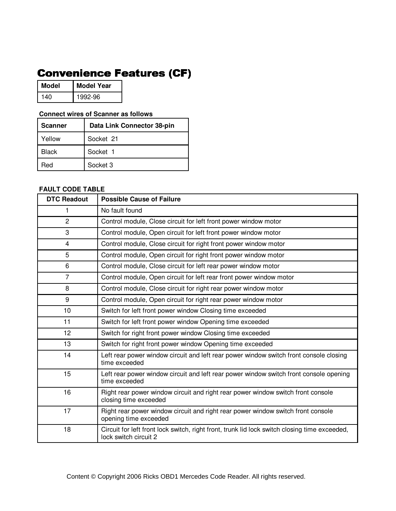# **Convenience Features (CF)**

| Model | <b>Model Year</b> |
|-------|-------------------|
| 140   | 1992-96           |

### **Connect wires of Scanner as follows**

| <b>Scanner</b> | Data Link Connector 38-pin |  |  |
|----------------|----------------------------|--|--|
| Yellow         | Socket 21                  |  |  |
| Black          | Socket 1                   |  |  |
| Red            | Socket 3                   |  |  |

| <b>DTC Readout</b> | <b>Possible Cause of Failure</b>                                                                                       |  |  |  |  |
|--------------------|------------------------------------------------------------------------------------------------------------------------|--|--|--|--|
| 1                  | No fault found                                                                                                         |  |  |  |  |
| $\overline{2}$     | Control module, Close circuit for left front power window motor                                                        |  |  |  |  |
| 3                  | Control module, Open circuit for left front power window motor                                                         |  |  |  |  |
| $\overline{4}$     | Control module, Close circuit for right front power window motor                                                       |  |  |  |  |
| 5                  | Control module, Open circuit for right front power window motor                                                        |  |  |  |  |
| 6                  | Control module, Close circuit for left rear power window motor                                                         |  |  |  |  |
| $\overline{7}$     | Control module, Open circuit for left rear front power window motor                                                    |  |  |  |  |
| 8                  | Control module, Close circuit for right rear power window motor                                                        |  |  |  |  |
| 9                  | Control module, Open circuit for right rear power window motor                                                         |  |  |  |  |
| 10                 | Switch for left front power window Closing time exceeded                                                               |  |  |  |  |
| 11                 | Switch for left front power window Opening time exceeded                                                               |  |  |  |  |
| 12                 | Switch for right front power window Closing time exceeded                                                              |  |  |  |  |
| 13                 | Switch for right front power window Opening time exceeded                                                              |  |  |  |  |
| 14                 | Left rear power window circuit and left rear power window switch front console closing<br>time exceeded                |  |  |  |  |
| 15                 | Left rear power window circuit and left rear power window switch front console opening<br>time exceeded                |  |  |  |  |
| 16                 | Right rear power window circuit and right rear power window switch front console<br>closing time exceeded              |  |  |  |  |
| 17                 | Right rear power window circuit and right rear power window switch front console<br>opening time exceeded              |  |  |  |  |
| 18                 | Circuit for left front lock switch, right front, trunk lid lock switch closing time exceeded,<br>lock switch circuit 2 |  |  |  |  |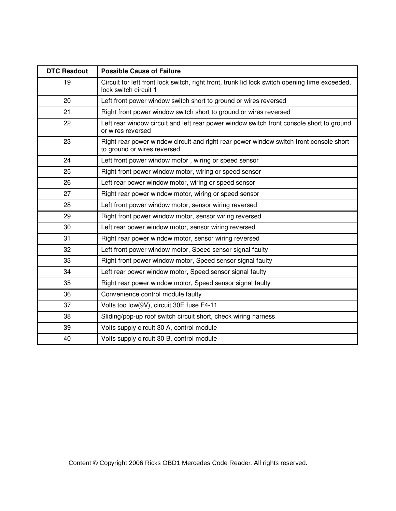| <b>DTC Readout</b> | <b>Possible Cause of Failure</b>                                                                                       |  |  |  |  |
|--------------------|------------------------------------------------------------------------------------------------------------------------|--|--|--|--|
| 19                 | Circuit for left front lock switch, right front, trunk lid lock switch opening time exceeded,<br>lock switch circuit 1 |  |  |  |  |
| 20                 | Left front power window switch short to ground or wires reversed                                                       |  |  |  |  |
| 21                 | Right front power window switch short to ground or wires reversed                                                      |  |  |  |  |
| 22                 | Left rear window circuit and left rear power window switch front console short to ground<br>or wires reversed          |  |  |  |  |
| 23                 | Right rear power window circuit and right rear power window switch front console short<br>to ground or wires reversed  |  |  |  |  |
| 24                 | Left front power window motor, wiring or speed sensor                                                                  |  |  |  |  |
| 25                 | Right front power window motor, wiring or speed sensor                                                                 |  |  |  |  |
| 26                 | Left rear power window motor, wiring or speed sensor                                                                   |  |  |  |  |
| 27                 | Right rear power window motor, wiring or speed sensor                                                                  |  |  |  |  |
| 28                 | Left front power window motor, sensor wiring reversed                                                                  |  |  |  |  |
| 29                 | Right front power window motor, sensor wiring reversed                                                                 |  |  |  |  |
| 30                 | Left rear power window motor, sensor wiring reversed                                                                   |  |  |  |  |
| 31                 | Right rear power window motor, sensor wiring reversed                                                                  |  |  |  |  |
| 32                 | Left front power window motor, Speed sensor signal faulty                                                              |  |  |  |  |
| 33                 | Right front power window motor, Speed sensor signal faulty                                                             |  |  |  |  |
| 34                 | Left rear power window motor, Speed sensor signal faulty                                                               |  |  |  |  |
| 35                 | Right rear power window motor, Speed sensor signal faulty                                                              |  |  |  |  |
| 36                 | Convenience control module faulty                                                                                      |  |  |  |  |
| 37                 | Volts too low(9V), circuit 30E fuse F4-11                                                                              |  |  |  |  |
| 38                 | Sliding/pop-up roof switch circuit short, check wiring harness                                                         |  |  |  |  |
| 39                 | Volts supply circuit 30 A, control module                                                                              |  |  |  |  |
| 40                 | Volts supply circuit 30 B, control module                                                                              |  |  |  |  |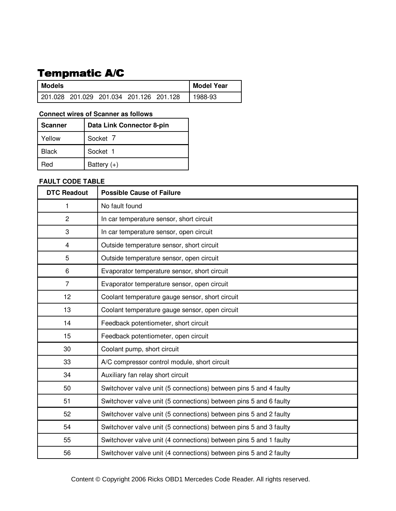# Tempmatic A/C

| <b>Models</b>                           |  |  |  | <b>Model Year</b> |         |
|-----------------------------------------|--|--|--|-------------------|---------|
| 201.028 201.029 201.034 201.126 201.128 |  |  |  |                   | 1988-93 |

### **Connect wires of Scanner as follows**

| I Scanner    | Data Link Connector 8-pin |
|--------------|---------------------------|
| Yellow       | Socket 7                  |
| <b>Black</b> | Socket 1                  |
| Red          | Battery $(+)$             |

### **FAULT CODE TABLE**

| <b>DTC Readout</b> | <b>Possible Cause of Failure</b>                                  |
|--------------------|-------------------------------------------------------------------|
| 1                  | No fault found                                                    |
| $\overline{c}$     | In car temperature sensor, short circuit                          |
| 3                  | In car temperature sensor, open circuit                           |
| 4                  | Outside temperature sensor, short circuit                         |
| 5                  | Outside temperature sensor, open circuit                          |
| 6                  | Evaporator temperature sensor, short circuit                      |
| $\overline{7}$     | Evaporator temperature sensor, open circuit                       |
| 12                 | Coolant temperature gauge sensor, short circuit                   |
| 13                 | Coolant temperature gauge sensor, open circuit                    |
| 14                 | Feedback potentiometer, short circuit                             |
| 15                 | Feedback potentiometer, open circuit                              |
| 30                 | Coolant pump, short circuit                                       |
| 33                 | A/C compressor control module, short circuit                      |
| 34                 | Auxiliary fan relay short circuit                                 |
| 50                 | Switchover valve unit (5 connections) between pins 5 and 4 faulty |
| 51                 | Switchover valve unit (5 connections) between pins 5 and 6 faulty |
| 52                 | Switchover valve unit (5 connections) between pins 5 and 2 faulty |
| 54                 | Switchover valve unit (5 connections) between pins 5 and 3 faulty |
| 55                 | Switchover valve unit (4 connections) between pins 5 and 1 faulty |
| 56                 | Switchover valve unit (4 connections) between pins 5 and 2 faulty |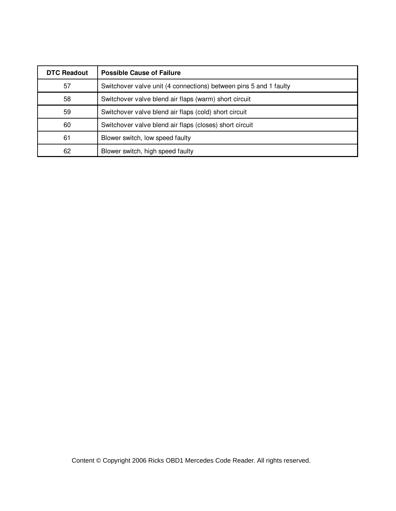| <b>DTC Readout</b> | <b>Possible Cause of Failure</b>                                  |
|--------------------|-------------------------------------------------------------------|
| 57                 | Switchover valve unit (4 connections) between pins 5 and 1 faulty |
| 58                 | Switchover valve blend air flaps (warm) short circuit             |
| 59                 | Switchover valve blend air flaps (cold) short circuit             |
| 60                 | Switchover valve blend air flaps (closes) short circuit           |
| 61                 | Blower switch, low speed faulty                                   |
| 62                 | Blower switch, high speed faulty                                  |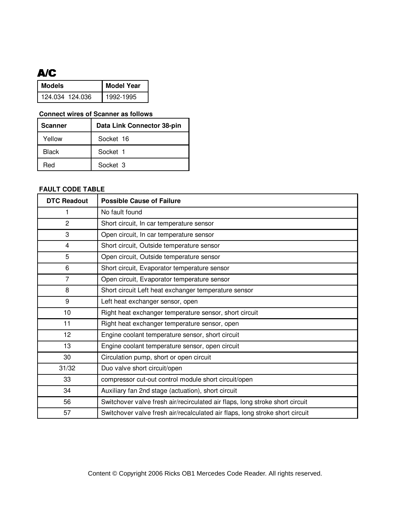### **A/C**

| Models          | <b>Model Year</b> |
|-----------------|-------------------|
| 124.034 124.036 | 1992-1995         |

#### **Connect wires of Scanner as follows**

| Scanner | Data Link Connector 38-pin |  |
|---------|----------------------------|--|
| Yellow  | Socket 16                  |  |
| Black   | Socket 1                   |  |
| Red     | Socket 3                   |  |

### **FAULT CODE TABLE**

| <b>DTC Readout</b> | <b>Possible Cause of Failure</b>                                             |
|--------------------|------------------------------------------------------------------------------|
| 1                  | No fault found                                                               |
| $\overline{2}$     | Short circuit, In car temperature sensor                                     |
| 3                  | Open circuit, In car temperature sensor                                      |
| $\overline{4}$     | Short circuit, Outside temperature sensor                                    |
| 5                  | Open circuit, Outside temperature sensor                                     |
| 6                  | Short circuit, Evaporator temperature sensor                                 |
| $\overline{7}$     | Open circuit, Evaporator temperature sensor                                  |
| 8                  | Short circuit Left heat exchanger temperature sensor                         |
| 9                  | Left heat exchanger sensor, open                                             |
| 10                 | Right heat exchanger temperature sensor, short circuit                       |
| 11                 | Right heat exchanger temperature sensor, open                                |
| 12                 | Engine coolant temperature sensor, short circuit                             |
| 13                 | Engine coolant temperature sensor, open circuit                              |
| 30                 | Circulation pump, short or open circuit                                      |
| 31/32              | Duo valve short circuit/open                                                 |
| 33                 | compressor cut-out control module short circuit/open                         |
| 34                 | Auxiliary fan 2nd stage (actuation), short circuit                           |
| 56                 | Switchover valve fresh air/recirculated air flaps, long stroke short circuit |
| 57                 | Switchover valve fresh air/recalculated air flaps, long stroke short circuit |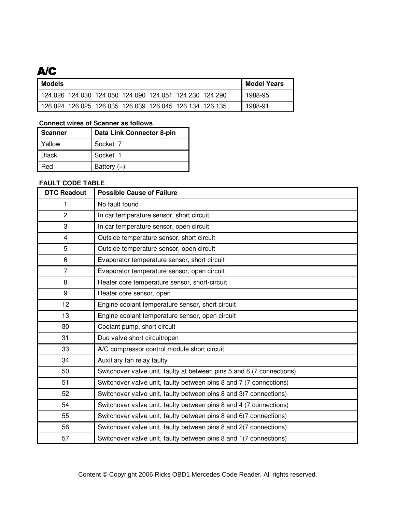### **A/C**

| <b>Models</b> |                                                         |  |  | Model Years |
|---------------|---------------------------------------------------------|--|--|-------------|
|               | 124.026 124.030 124.050 124.090 124.051 124.230 124.290 |  |  | 1988-95     |
|               | 126.024 126.025 126.035 126.039 126.045 126.134 126.135 |  |  | 1988-91     |

#### **Connect wires of Scanner as follows**

| Scanner | Data Link Connector 8-pin |  |
|---------|---------------------------|--|
| Yellow  | Socket 7                  |  |
| Black   | Socket 1                  |  |
| Red     | Battery $(+)$             |  |

### **FAULT CODE TABLE**

| <b>DTC Readout</b> | <b>Possible Cause of Failure</b>                                      |  |
|--------------------|-----------------------------------------------------------------------|--|
| 1                  | No fault found                                                        |  |
| $\overline{2}$     | In car temperature sensor, short circuit                              |  |
| 3                  | In car temperature sensor, open circuit                               |  |
| 4                  | Outside temperature sensor, short circuit                             |  |
| 5                  | Outside temperature sensor, open circuit                              |  |
| 6                  | Evaporator temperature sensor, short circuit                          |  |
| $\overline{7}$     | Evaporator temperature sensor, open circuit                           |  |
| 8                  | Heater core temperature sensor, short-circuit                         |  |
| 9                  | Heater core sensor, open                                              |  |
| 12                 | Engine coolant temperature sensor, short circuit                      |  |
| 13                 | Engine coolant temperature sensor, open circuit                       |  |
| 30                 | Coolant pump, short circuit                                           |  |
| 31                 | Duo valve short circuit/open                                          |  |
| 33                 | A/C compressor control module short circuit                           |  |
| 34                 | Auxiliary fan relay faulty                                            |  |
| 50                 | Switchover valve unit, faulty at between pins 5 and 8 (7 connections) |  |
| 51                 | Switchover valve unit, faulty between pins 8 and 7 (7 connections)    |  |
| 52                 | Switchover valve unit, faulty between pins 8 and 3(7 connections)     |  |
| 54                 | Switchover valve unit, faulty between pins 8 and 4 (7 connections)    |  |
| 55                 | Switchover valve unit, faulty between pins 8 and 6(7 connections)     |  |
| 56                 | Switchover valve unit, faulty between pins 8 and 2(7 connections)     |  |
| 57                 | Switchover valve unit, faulty between pins 8 and 1(7 connections)     |  |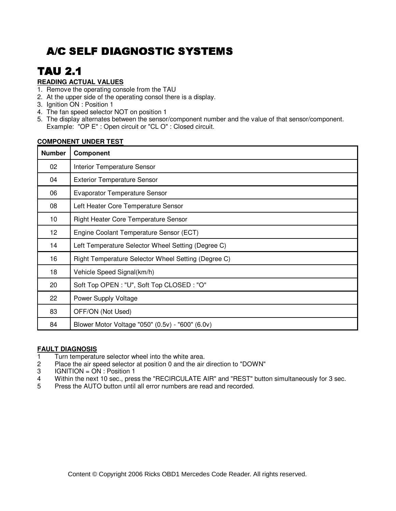# **TAU 2.1**

### **READING ACTUAL VALUES**

- 1. Remove the operating console from the TAU
- 2. At the upper side of the operating consol there is a display.
- 3. Ignition ON : Position 1
- 4. The fan speed selector NOT on position 1
- 5. The display alternates between the sensor/component number and the value of that sensor/component. Example: "OP E" : Open circuit or "CL O" : Closed circuit.

| <b>Number</b>   | Component                                           |
|-----------------|-----------------------------------------------------|
| 02              | <b>Interior Temperature Sensor</b>                  |
| 04              | <b>Exterior Temperature Sensor</b>                  |
| 06              | <b>Evaporator Temperature Sensor</b>                |
| 08              | Left Heater Core Temperature Sensor                 |
| 10              | <b>Right Heater Core Temperature Sensor</b>         |
| 12 <sub>2</sub> | Engine Coolant Temperature Sensor (ECT)             |
| 14              | Left Temperature Selector Wheel Setting (Degree C)  |
| 16              | Right Temperature Selector Wheel Setting (Degree C) |
| 18              | Vehicle Speed Signal(km/h)                          |
| 20              | Soft Top OPEN : "U", Soft Top CLOSED : "O"          |
| 22              | Power Supply Voltage                                |
| 83              | OFF/ON (Not Used)                                   |
| 84              | Blower Motor Voltage "050" (0.5v) - "600" (6.0v)    |

#### **COMPONENT UNDER TEST**

#### **FAULT DIAGNOSIS**

- 1 Turn temperature selector wheel into the white area.<br>2 Place the air speed selector at position 0 and the air
- Place the air speed selector at position 0 and the air direction to "DOWN"
- 3 IGNITION = ON : Position 1
- 4 Within the next 10 sec., press the "RECIRCULATE AIR" and "REST" button simultaneously for 3 sec.
- 5 Press the AUTO button until all error numbers are read and recorded.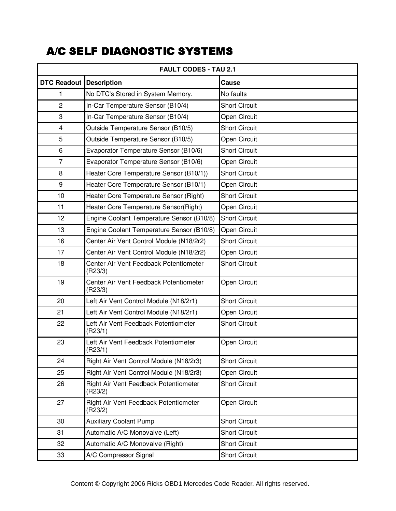| <b>FAULT CODES - TAU 2.1</b>   |                                                   |                      |  |
|--------------------------------|---------------------------------------------------|----------------------|--|
| <b>DTC Readout Description</b> |                                                   | Cause                |  |
| 1                              | No DTC's Stored in System Memory.                 | No faults            |  |
| $\overline{c}$                 | In-Car Temperature Sensor (B10/4)                 | <b>Short Circuit</b> |  |
| $\ensuremath{\mathsf{3}}$      | In-Car Temperature Sensor (B10/4)                 | Open Circuit         |  |
| 4                              | Outside Temperature Sensor (B10/5)                | <b>Short Circuit</b> |  |
| 5                              | Outside Temperature Sensor (B10/5)                | Open Circuit         |  |
| $\,6\,$                        | Evaporator Temperature Sensor (B10/6)             | <b>Short Circuit</b> |  |
| $\overline{7}$                 | Evaporator Temperature Sensor (B10/6)             | Open Circuit         |  |
| 8                              | Heater Core Temperature Sensor (B10/1))           | <b>Short Circuit</b> |  |
| 9                              | Heater Core Temperature Sensor (B10/1)            | Open Circuit         |  |
| 10                             | Heater Core Temperature Sensor (Right)            | <b>Short Circuit</b> |  |
| 11                             | Heater Core Temperature Sensor(Right)             | Open Circuit         |  |
| 12                             | Engine Coolant Temperature Sensor (B10/8)         | <b>Short Circuit</b> |  |
| 13                             | Engine Coolant Temperature Sensor (B10/8)         | Open Circuit         |  |
| 16                             | Center Air Vent Control Module (N18/2r2)          | <b>Short Circuit</b> |  |
| 17                             | Center Air Vent Control Module (N18/2r2)          | Open Circuit         |  |
| 18                             | Center Air Vent Feedback Potentiometer<br>(R23/3) | <b>Short Circuit</b> |  |
| 19                             | Center Air Vent Feedback Potentiometer<br>(R23/3) | Open Circuit         |  |
| 20                             | Left Air Vent Control Module (N18/2r1)            | <b>Short Circuit</b> |  |
| 21                             | Left Air Vent Control Module (N18/2r1)            | Open Circuit         |  |
| 22                             | Left Air Vent Feedback Potentiometer<br>(R23/1)   | <b>Short Circuit</b> |  |
| 23                             | Left Air Vent Feedback Potentiometer<br>(R23/1)   | <b>Open Circuit</b>  |  |
| 24                             | Right Air Vent Control Module (N18/2r3)           | <b>Short Circuit</b> |  |
| 25                             | Right Air Vent Control Module (N18/2r3)           | Open Circuit         |  |
| 26                             | Right Air Vent Feedback Potentiometer<br>(R23/2)  | <b>Short Circuit</b> |  |
| 27                             | Right Air Vent Feedback Potentiometer<br>(R23/2)  | Open Circuit         |  |
| 30                             | <b>Auxiliary Coolant Pump</b>                     | <b>Short Circuit</b> |  |
| 31                             | Automatic A/C Monovalve (Left)                    | <b>Short Circuit</b> |  |
| 32                             | Automatic A/C Monovalve (Right)                   | <b>Short Circuit</b> |  |
| 33                             | A/C Compressor Signal                             | <b>Short Circuit</b> |  |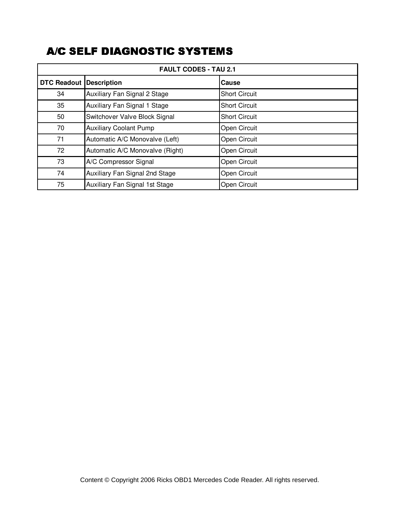| <b>FAULT CODES - TAU 2.1</b> |                                 |                      |  |
|------------------------------|---------------------------------|----------------------|--|
| <b>DTC Readout</b>           | <b>Description</b>              | Cause                |  |
| 34                           | Auxiliary Fan Signal 2 Stage    | <b>Short Circuit</b> |  |
| 35                           | Auxiliary Fan Signal 1 Stage    | <b>Short Circuit</b> |  |
| 50                           | Switchover Valve Block Signal   | <b>Short Circuit</b> |  |
| 70                           | <b>Auxiliary Coolant Pump</b>   | Open Circuit         |  |
| 71                           | Automatic A/C Monovalve (Left)  | Open Circuit         |  |
| 72                           | Automatic A/C Monovalve (Right) | Open Circuit         |  |
| 73                           | A/C Compressor Signal           | Open Circuit         |  |
| 74                           | Auxiliary Fan Signal 2nd Stage  | Open Circuit         |  |
| 75                           | Auxiliary Fan Signal 1st Stage  | Open Circuit         |  |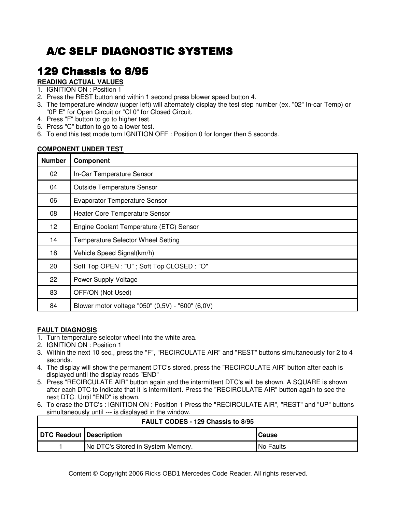# 129 Chassis to 8/95

### **READING ACTUAL VALUES**

- 1. IGNITION ON : Position 1
- 2. Press the REST button and within 1 second press blower speed button 4.
- 3. The temperature window (upper left) will alternately display the test step number (ex. "02" In-car Temp) or "0P E" for Open Circuit or "Cl 0" for Closed Circuit.
- 4. Press "F" button to go to higher test.
- 5. Press "C" button to go to a lower test.
- 6. To end this test mode turn IGNITION OFF : Position 0 for longer then 5 seconds.

#### **COMPONENT UNDER TEST**

| <b>Number</b> | Component                                        |
|---------------|--------------------------------------------------|
| 02            | In-Car Temperature Sensor                        |
| 04            | <b>Outside Temperature Sensor</b>                |
| 06            | <b>Evaporator Temperature Sensor</b>             |
| 08            | Heater Core Temperature Sensor                   |
| 12            | Engine Coolant Temperature (ETC) Sensor          |
| 14            | <b>Temperature Selector Wheel Setting</b>        |
| 18            | Vehicle Speed Signal(km/h)                       |
| 20            | Soft Top OPEN: "U"; Soft Top CLOSED: "O"         |
| 22            | Power Supply Voltage                             |
| 83            | OFF/ON (Not Used)                                |
| 84            | Blower motor voltage "050" (0,5V) - "600" (6,0V) |

#### **FAULT DIAGNOSIS**

- 1. Turn temperature selector wheel into the white area.
- 2. IGNITION ON : Position 1
- 3. Within the next 10 sec., press the "F", "RECIRCULATE AIR" and "REST" buttons simultaneously for 2 to 4 seconds.
- 4. The display will show the permanent DTC's stored. press the "RECIRCULATE AIR" button after each is displayed until the display reads "END"
- 5. Press "RECIRCULATE AIR" button again and the intermittent DTC's will be shown. A SQUARE is shown after each DTC to indicate that it is intermittent. Press the "RECIRCULATE AIR" button again to see the next DTC. Until "END" is shown.
- 6. To erase the DTC's : IGNITION ON : Position 1 Press the "RECIRCULATE AIR", "REST" and "UP" buttons simultaneously until --- is displayed in the window.

| <b>FAULT CODES - 129 Chassis to 8/95</b> |                                   |                   |  |
|------------------------------------------|-----------------------------------|-------------------|--|
| DTC Readout Description                  |                                   | l Cause           |  |
|                                          | No DTC's Stored in System Memory. | <b>INo Faults</b> |  |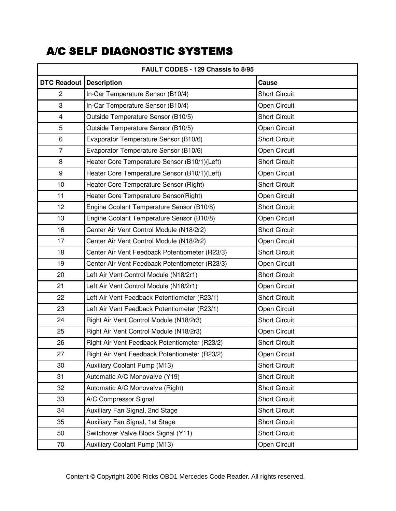| FAULT CODES - 129 Chassis to 8/95 |                                                |                      |  |
|-----------------------------------|------------------------------------------------|----------------------|--|
| <b>DTC Readout</b>                | <b>Description</b>                             | Cause                |  |
| $\overline{c}$                    | In-Car Temperature Sensor (B10/4)              | <b>Short Circuit</b> |  |
| 3                                 | In-Car Temperature Sensor (B10/4)              | Open Circuit         |  |
| $\overline{4}$                    | Outside Temperature Sensor (B10/5)             | <b>Short Circuit</b> |  |
| 5                                 | Outside Temperature Sensor (B10/5)             | Open Circuit         |  |
| $\,6\,$                           | Evaporator Temperature Sensor (B10/6)          | <b>Short Circuit</b> |  |
| $\overline{7}$                    | Evaporator Temperature Sensor (B10/6)          | Open Circuit         |  |
| 8                                 | Heater Core Temperature Sensor (B10/1)(Left)   | <b>Short Circuit</b> |  |
| 9                                 | Heater Core Temperature Sensor (B10/1)(Left)   | Open Circuit         |  |
| 10                                | Heater Core Temperature Sensor (Right)         | <b>Short Circuit</b> |  |
| 11                                | Heater Core Temperature Sensor(Right)          | Open Circuit         |  |
| 12                                | Engine Coolant Temperature Sensor (B10/8)      | <b>Short Circuit</b> |  |
| 13                                | Engine Coolant Temperature Sensor (B10/8)      | Open Circuit         |  |
| 16                                | Center Air Vent Control Module (N18/2r2)       | <b>Short Circuit</b> |  |
| 17                                | Center Air Vent Control Module (N18/2r2)       | Open Circuit         |  |
| 18                                | Center Air Vent Feedback Potentiometer (R23/3) | <b>Short Circuit</b> |  |
| 19                                | Center Air Vent Feedback Potentiometer (R23/3) | Open Circuit         |  |
| 20                                | Left Air Vent Control Module (N18/2r1)         | <b>Short Circuit</b> |  |
| 21                                | Left Air Vent Control Module (N18/2r1)         | Open Circuit         |  |
| 22                                | Left Air Vent Feedback Potentiometer (R23/1)   | <b>Short Circuit</b> |  |
| 23                                | Left Air Vent Feedback Potentiometer (R23/1)   | Open Circuit         |  |
| 24                                | Right Air Vent Control Module (N18/2r3)        | <b>Short Circuit</b> |  |
| 25                                | Right Air Vent Control Module (N18/2r3)        | Open Circuit         |  |
| 26                                | Right Air Vent Feedback Potentiometer (R23/2)  | <b>Short Circuit</b> |  |
| 27                                | Right Air Vent Feedback Potentiometer (R23/2)  | Open Circuit         |  |
| 30                                | Auxiliary Coolant Pump (M13)                   | <b>Short Circuit</b> |  |
| 31                                | Automatic A/C Monovalve (Y19)                  | <b>Short Circuit</b> |  |
| 32                                | Automatic A/C Monovalve (Right)                | <b>Short Circuit</b> |  |
| 33                                | A/C Compressor Signal                          | <b>Short Circuit</b> |  |
| 34                                | Auxiliary Fan Signal, 2nd Stage                | <b>Short Circuit</b> |  |
| 35                                | Auxiliary Fan Signal, 1st Stage                | <b>Short Circuit</b> |  |
| 50                                | Switchover Valve Block Signal (Y11)            | <b>Short Circuit</b> |  |
| 70                                | Auxiliary Coolant Pump (M13)                   | Open Circuit         |  |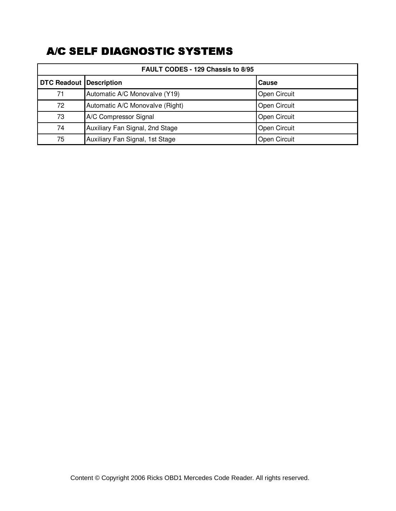| <b>FAULT CODES - 129 Chassis to 8/95</b> |                                 |                     |
|------------------------------------------|---------------------------------|---------------------|
| <b>DTC Readout Description</b>           |                                 | Cause               |
| 71                                       | Automatic A/C Monovalve (Y19)   | <b>Open Circuit</b> |
| 72                                       | Automatic A/C Monovalve (Right) | <b>Open Circuit</b> |
| 73                                       | A/C Compressor Signal           | <b>Open Circuit</b> |
| 74                                       | Auxiliary Fan Signal, 2nd Stage | <b>Open Circuit</b> |
| 75                                       | Auxiliary Fan Signal, 1st Stage | Open Circuit        |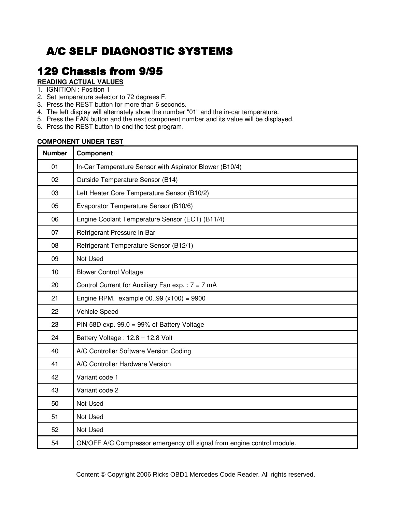### **129 Chassis from 9/95**

#### **READING ACTUAL VALUES**

- 1. IGNITION : Position 1
- 2. Set temperature selector to 72 degrees F.
- 3. Press the REST button for more than 6 seconds.
- 4. The left display will alternately show the number "01" and the in-car temperature.
- 5. Press the FAN button and the next component number and its value will be displayed.
- 6. Press the REST button to end the test program.

### **COMPONENT UNDER TEST**

| <b>Number</b> | Component                                                              |
|---------------|------------------------------------------------------------------------|
| 01            | In-Car Temperature Sensor with Aspirator Blower (B10/4)                |
| 02            | Outside Temperature Sensor (B14)                                       |
| 03            | Left Heater Core Temperature Sensor (B10/2)                            |
| 05            | Evaporator Temperature Sensor (B10/6)                                  |
| 06            | Engine Coolant Temperature Sensor (ECT) (B11/4)                        |
| 07            | Refrigerant Pressure in Bar                                            |
| 08            | Refrigerant Temperature Sensor (B12/1)                                 |
| 09            | Not Used                                                               |
| 10            | <b>Blower Control Voltage</b>                                          |
| 20            | Control Current for Auxiliary Fan exp. : $7 = 7$ mA                    |
| 21            | Engine RPM. example $0099$ ( $x100$ ) = 9900                           |
| 22            | Vehicle Speed                                                          |
| 23            | PIN 58D exp. $99.0 = 99\%$ of Battery Voltage                          |
| 24            | Battery Voltage: 12.8 = 12,8 Volt                                      |
| 40            | A/C Controller Software Version Coding                                 |
| 41            | A/C Controller Hardware Version                                        |
| 42            | Variant code 1                                                         |
| 43            | Variant code 2                                                         |
| 50            | Not Used                                                               |
| 51            | Not Used                                                               |
| 52            | Not Used                                                               |
| 54            | ON/OFF A/C Compressor emergency off signal from engine control module. |

Content © Copyright 2006 Ricks OBD1 Mercedes Code Reader. All rights reserved.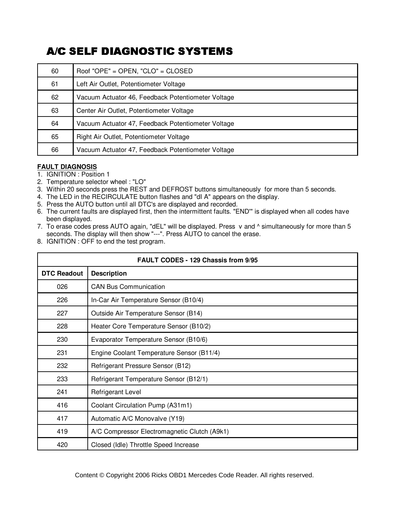| 60 | Roof "OPE" = OPEN, "CLO" = CLOSED                  |
|----|----------------------------------------------------|
| 61 | Left Air Outlet, Potentiometer Voltage             |
| 62 | Vacuum Actuator 46, Feedback Potentiometer Voltage |
| 63 | Center Air Outlet, Potentiometer Voltage           |
| 64 | Vacuum Actuator 47, Feedback Potentiometer Voltage |
| 65 | Right Air Outlet, Potentiometer Voltage            |
| 66 | Vacuum Actuator 47, Feedback Potentiometer Voltage |

### **FAULT DIAGNOSIS**

- 1. IGNITION : Position 1
- 2. Temperature selector wheel : "LO"
- 3. Within 20 seconds press the REST and DEFROST buttons simultaneously for more than 5 seconds.
- 4. The LED in the RECIRCULATE button flashes and "dI A" appears on the display.
- 5. Press the AUTO button until all DTC's are displayed and recorded.
- 6. The current faults are displayed first, then the intermittent faults. "END'" is displayed when all codes have been displayed.
- 7. To erase codes press AUTO again, "dEL" will be displayed. Press v and ^ simultaneously for more than 5 seconds. The display will then show "---". Press AUTO to cancel the erase.
- 8. IGNITION : OFF to end the test program.

| FAULT CODES - 129 Chassis from 9/95 |                                              |  |
|-------------------------------------|----------------------------------------------|--|
| <b>DTC Readout</b>                  | <b>Description</b>                           |  |
| 026                                 | <b>CAN Bus Communication</b>                 |  |
| 226                                 | In-Car Air Temperature Sensor (B10/4)        |  |
| 227                                 | Outside Air Temperature Sensor (B14)         |  |
| 228                                 | Heater Core Temperature Sensor (B10/2)       |  |
| 230                                 | Evaporator Temperature Sensor (B10/6)        |  |
| 231                                 | Engine Coolant Temperature Sensor (B11/4)    |  |
| 232                                 | Refrigerant Pressure Sensor (B12)            |  |
| 233                                 | Refrigerant Temperature Sensor (B12/1)       |  |
| 241                                 | Refrigerant Level                            |  |
| 416                                 | Coolant Circulation Pump (A31m1)             |  |
| 417                                 | Automatic A/C Monovalve (Y19)                |  |
| 419                                 | A/C Compressor Electromagnetic Clutch (A9k1) |  |
| 420                                 | Closed (Idle) Throttle Speed Increase        |  |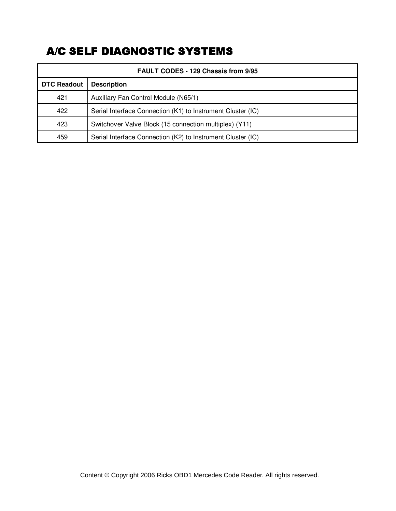| <b>FAULT CODES - 129 Chassis from 9/95</b> |                                                             |  |
|--------------------------------------------|-------------------------------------------------------------|--|
| <b>DTC Readout</b>                         | <b>Description</b>                                          |  |
| 421                                        | Auxiliary Fan Control Module (N65/1)                        |  |
| 422                                        | Serial Interface Connection (K1) to Instrument Cluster (IC) |  |
| 423                                        | Switchover Valve Block (15 connection multiplex) (Y11)      |  |
| 459                                        | Serial Interface Connection (K2) to Instrument Cluster (IC) |  |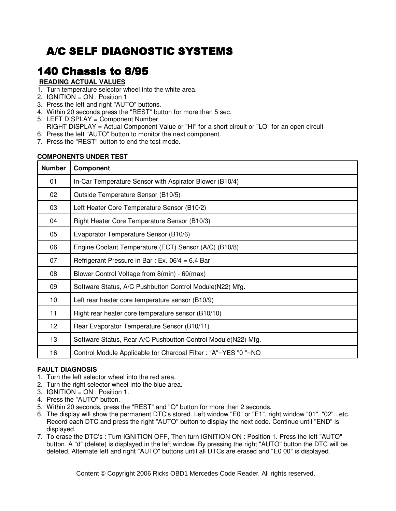## 140 Chassis to 8/95

### **READING ACTUAL VALUES**

- 1. Turn temperature selector wheel into the white area.
- 2. IGNITION = ON : Position 1
- 3. Press the left and right "AUTO" buttons.
- 4. Within 20 seconds press the "REST" button for more than 5 sec.
- 5. LEFT DISPLAY = Component Number
- RIGHT DISPLAY = Actual Component Value or "HI" for a short circuit or "LO" for an open circuit
- 6. Press the left "AUTO" button to monitor the next component.
- 7. Press the "REST" button to end the test mode.

#### **COMPONENTS UNDER TEST**

| <b>Number</b>   | Component                                                      |
|-----------------|----------------------------------------------------------------|
| 01              | In-Car Temperature Sensor with Aspirator Blower (B10/4)        |
| 02              | Outside Temperature Sensor (B10/5)                             |
| 03              | Left Heater Core Temperature Sensor (B10/2)                    |
| 04              | Right Heater Core Temperature Sensor (B10/3)                   |
| 05              | Evaporator Temperature Sensor (B10/6)                          |
| 06              | Engine Coolant Temperature (ECT) Sensor (A/C) (B10/8)          |
| 07              | Refrigerant Pressure in Bar: Ex. $06'4 = 6.4$ Bar              |
| 08              | Blower Control Voltage from 8(min) - 60(max)                   |
| 09              | Software Status, A/C Pushbutton Control Module(N22) Mfg.       |
| 10              | Left rear heater core temperature sensor (B10/9)               |
| 11              | Right rear heater core temperature sensor (B10/10)             |
| 12 <sup>2</sup> | Rear Evaporator Temperature Sensor (B10/11)                    |
| 13              | Software Status, Rear A/C Pushbutton Control Module(N22) Mfg.  |
| 16              | Control Module Applicable for Charcoal Filter: "A"=YES "0 "=NO |

#### **FAULT DIAGNOSIS**

- 1. Turn the left selector wheel into the red area.
- 2. Turn the right selector wheel into the blue area.
- 3. IGNITION =  $ON : Position 1$ .
- 4. Press the "AUTO" button.
- 5. Within 20 seconds, press the "REST" and "O" button for more than 2 seconds.
- 6. The display will show the permanent DTC's stored. Left window "E0" or "E1", right window "01", "02"...etc. Record each DTC and press the right "AUTO" button to display the next code. Continue until "END" is displayed.
- 7. To erase the DTC's : Turn IGNITION OFF, Then turn IGNITION ON : Position 1. Press the left "AUTO" button. A "d" (delete) is displayed in the left window. By pressing the right "AUTO" button the DTC will be deleted. Alternate left and right "AUTO" buttons until all DTCs are erased and "E0 00" is displayed.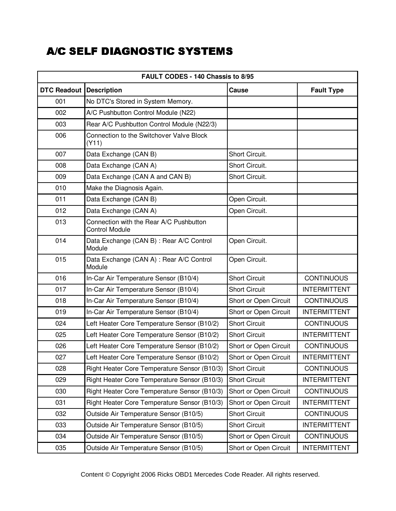| FAULT CODES - 140 Chassis to 8/95 |                                                                  |                       |                     |
|-----------------------------------|------------------------------------------------------------------|-----------------------|---------------------|
| <b>DTC Readout Description</b>    |                                                                  | <b>Cause</b>          | <b>Fault Type</b>   |
| 001                               | No DTC's Stored in System Memory.                                |                       |                     |
| 002                               | A/C Pushbutton Control Module (N22)                              |                       |                     |
| 003                               | Rear A/C Pushbutton Control Module (N22/3)                       |                       |                     |
| 006                               | Connection to the Switchover Valve Block<br>(Y11)                |                       |                     |
| 007                               | Data Exchange (CAN B)                                            | Short Circuit.        |                     |
| 008                               | Data Exchange (CAN A)                                            | Short Circuit.        |                     |
| 009                               | Data Exchange (CAN A and CAN B)                                  | Short Circuit.        |                     |
| 010                               | Make the Diagnosis Again.                                        |                       |                     |
| 011                               | Data Exchange (CAN B)                                            | Open Circuit.         |                     |
| 012                               | Data Exchange (CAN A)                                            | Open Circuit.         |                     |
| 013                               | Connection with the Rear A/C Pushbutton<br><b>Control Module</b> |                       |                     |
| 014                               | Data Exchange (CAN B) : Rear A/C Control<br>Module               | Open Circuit.         |                     |
| 015                               | Data Exchange (CAN A) : Rear A/C Control<br>Module               | Open Circuit.         |                     |
| 016                               | In-Car Air Temperature Sensor (B10/4)                            | <b>Short Circuit</b>  | <b>CONTINUOUS</b>   |
| 017                               | In-Car Air Temperature Sensor (B10/4)                            | <b>Short Circuit</b>  | <b>INTERMITTENT</b> |
| 018                               | In-Car Air Temperature Sensor (B10/4)                            | Short or Open Circuit | <b>CONTINUOUS</b>   |
| 019                               | In-Car Air Temperature Sensor (B10/4)                            | Short or Open Circuit | <b>INTERMITTENT</b> |
| 024                               | Left Heater Core Temperature Sensor (B10/2)                      | <b>Short Circuit</b>  | <b>CONTINUOUS</b>   |
| 025                               | Left Heater Core Temperature Sensor (B10/2)                      | <b>Short Circuit</b>  | <b>INTERMITTENT</b> |
| 026                               | Left Heater Core Temperature Sensor (B10/2)                      | Short or Open Circuit | <b>CONTINUOUS</b>   |
| 027                               | Left Heater Core Temperature Sensor (B10/2)                      | Short or Open Circuit | <b>INTERMITTENT</b> |
| 028                               | Right Heater Core Temperature Sensor (B10/3)                     | <b>Short Circuit</b>  | <b>CONTINUOUS</b>   |
| 029                               | Right Heater Core Temperature Sensor (B10/3)                     | <b>Short Circuit</b>  | <b>INTERMITTENT</b> |
| 030                               | Right Heater Core Temperature Sensor (B10/3)                     | Short or Open Circuit | <b>CONTINUOUS</b>   |
| 031                               | Right Heater Core Temperature Sensor (B10/3)                     | Short or Open Circuit | <b>INTERMITTENT</b> |
| 032                               | Outside Air Temperature Sensor (B10/5)                           | <b>Short Circuit</b>  | <b>CONTINUOUS</b>   |
| 033                               | Outside Air Temperature Sensor (B10/5)                           | <b>Short Circuit</b>  | <b>INTERMITTENT</b> |
| 034                               | Outside Air Temperature Sensor (B10/5)                           | Short or Open Circuit | <b>CONTINUOUS</b>   |
| 035                               | Outside Air Temperature Sensor (B10/5)                           | Short or Open Circuit | <b>INTERMITTENT</b> |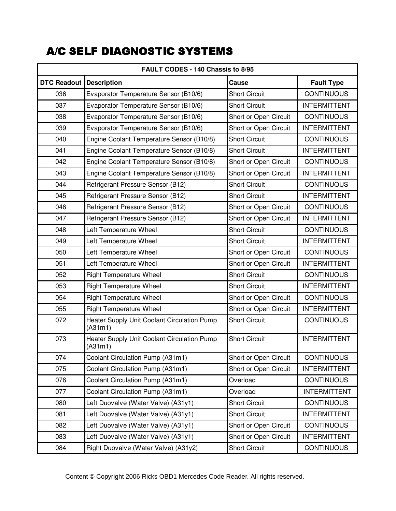| FAULT CODES - 140 Chassis to 8/95 |                                                               |                       |                     |
|-----------------------------------|---------------------------------------------------------------|-----------------------|---------------------|
| <b>DTC Readout Description</b>    |                                                               | Cause                 | <b>Fault Type</b>   |
| 036                               | Evaporator Temperature Sensor (B10/6)                         | <b>Short Circuit</b>  | <b>CONTINUOUS</b>   |
| 037                               | Evaporator Temperature Sensor (B10/6)                         | <b>Short Circuit</b>  | <b>INTERMITTENT</b> |
| 038                               | Evaporator Temperature Sensor (B10/6)                         | Short or Open Circuit | <b>CONTINUOUS</b>   |
| 039                               | Evaporator Temperature Sensor (B10/6)                         | Short or Open Circuit | <b>INTERMITTENT</b> |
| 040                               | Engine Coolant Temperature Sensor (B10/8)                     | <b>Short Circuit</b>  | <b>CONTINUOUS</b>   |
| 041                               | Engine Coolant Temperature Sensor (B10/8)                     | <b>Short Circuit</b>  | <b>INTERMITTENT</b> |
| 042                               | Engine Coolant Temperature Sensor (B10/8)                     | Short or Open Circuit | <b>CONTINUOUS</b>   |
| 043                               | Engine Coolant Temperature Sensor (B10/8)                     | Short or Open Circuit | <b>INTERMITTENT</b> |
| 044                               | Refrigerant Pressure Sensor (B12)                             | <b>Short Circuit</b>  | <b>CONTINUOUS</b>   |
| 045                               | Refrigerant Pressure Sensor (B12)                             | <b>Short Circuit</b>  | <b>INTERMITTENT</b> |
| 046                               | Refrigerant Pressure Sensor (B12)                             | Short or Open Circuit | <b>CONTINUOUS</b>   |
| 047                               | Refrigerant Pressure Sensor (B12)                             | Short or Open Circuit | <b>INTERMITTENT</b> |
| 048                               | Left Temperature Wheel                                        | <b>Short Circuit</b>  | <b>CONTINUOUS</b>   |
| 049                               | Left Temperature Wheel                                        | <b>Short Circuit</b>  | <b>INTERMITTENT</b> |
| 050                               | Left Temperature Wheel                                        | Short or Open Circuit | <b>CONTINUOUS</b>   |
| 051                               | Left Temperature Wheel                                        | Short or Open Circuit | <b>INTERMITTENT</b> |
| 052                               | <b>Right Temperature Wheel</b>                                | <b>Short Circuit</b>  | <b>CONTINUOUS</b>   |
| 053                               | <b>Right Temperature Wheel</b>                                | <b>Short Circuit</b>  | <b>INTERMITTENT</b> |
| 054                               | <b>Right Temperature Wheel</b>                                | Short or Open Circuit | <b>CONTINUOUS</b>   |
| 055                               | <b>Right Temperature Wheel</b>                                | Short or Open Circuit | <b>INTERMITTENT</b> |
| 072                               | Heater Supply Unit Coolant Circulation Pump<br>(A31m1)        | <b>Short Circuit</b>  | <b>CONTINUOUS</b>   |
| 073                               | <b>Heater Supply Unit Coolant Circulation Pump</b><br>(A31m1) | <b>Short Circuit</b>  | <b>INTERMITTENT</b> |
| 074                               | Coolant Circulation Pump (A31m1)                              | Short or Open Circuit | <b>CONTINUOUS</b>   |
| 075                               | Coolant Circulation Pump (A31m1)                              | Short or Open Circuit | <b>INTERMITTENT</b> |
| 076                               | Coolant Circulation Pump (A31m1)                              | Overload              | <b>CONTINUOUS</b>   |
| 077                               | Coolant Circulation Pump (A31m1)                              | Overload              | <b>INTERMITTENT</b> |
| 080                               | Left Duovalve (Water Valve) (A31y1)                           | <b>Short Circuit</b>  | <b>CONTINUOUS</b>   |
| 081                               | Left Duovalve (Water Valve) (A31y1)                           | <b>Short Circuit</b>  | <b>INTERMITTENT</b> |
| 082                               | Left Duovalve (Water Valve) (A31y1)                           | Short or Open Circuit | <b>CONTINUOUS</b>   |
| 083                               | Left Duovalve (Water Valve) (A31y1)                           | Short or Open Circuit | <b>INTERMITTENT</b> |
| 084                               | Right Duovalve (Water Valve) (A31y2)                          | <b>Short Circuit</b>  | <b>CONTINUOUS</b>   |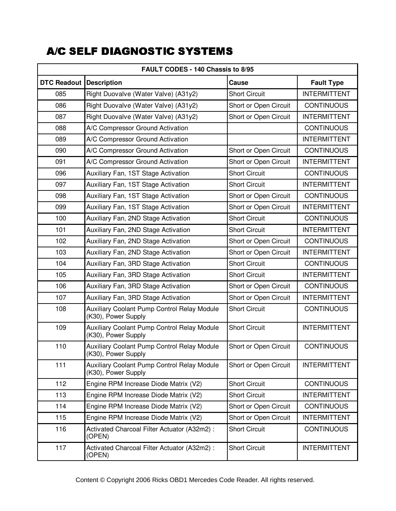| FAULT CODES - 140 Chassis to 8/95 |                                                                           |                       |                     |
|-----------------------------------|---------------------------------------------------------------------------|-----------------------|---------------------|
| DTC Readout                       | <b>Description</b>                                                        | Cause                 | <b>Fault Type</b>   |
| 085                               | Right Duovalve (Water Valve) (A31y2)                                      | <b>Short Circuit</b>  | <b>INTERMITTENT</b> |
| 086                               | Right Duovalve (Water Valve) (A31y2)                                      | Short or Open Circuit | <b>CONTINUOUS</b>   |
| 087                               | Right Duovalve (Water Valve) (A31y2)                                      | Short or Open Circuit | <b>INTERMITTENT</b> |
| 088                               | A/C Compressor Ground Activation                                          |                       | <b>CONTINUOUS</b>   |
| 089                               | A/C Compressor Ground Activation                                          |                       | <b>INTERMITTENT</b> |
| 090                               | A/C Compressor Ground Activation                                          | Short or Open Circuit | <b>CONTINUOUS</b>   |
| 091                               | A/C Compressor Ground Activation                                          | Short or Open Circuit | <b>INTERMITTENT</b> |
| 096                               | Auxiliary Fan, 1ST Stage Activation                                       | <b>Short Circuit</b>  | <b>CONTINUOUS</b>   |
| 097                               | Auxiliary Fan, 1ST Stage Activation                                       | <b>Short Circuit</b>  | <b>INTERMITTENT</b> |
| 098                               | Auxiliary Fan, 1ST Stage Activation                                       | Short or Open Circuit | <b>CONTINUOUS</b>   |
| 099                               | Auxiliary Fan, 1ST Stage Activation                                       | Short or Open Circuit | <b>INTERMITTENT</b> |
| 100                               | Auxiliary Fan, 2ND Stage Activation                                       | <b>Short Circuit</b>  | <b>CONTINUOUS</b>   |
| 101                               | Auxiliary Fan, 2ND Stage Activation                                       | <b>Short Circuit</b>  | <b>INTERMITTENT</b> |
| 102                               | Auxiliary Fan, 2ND Stage Activation                                       | Short or Open Circuit | <b>CONTINUOUS</b>   |
| 103                               | Auxiliary Fan, 2ND Stage Activation                                       | Short or Open Circuit | <b>INTERMITTENT</b> |
| 104                               | Auxiliary Fan, 3RD Stage Activation                                       | <b>Short Circuit</b>  | <b>CONTINUOUS</b>   |
| 105                               | Auxiliary Fan, 3RD Stage Activation                                       | <b>Short Circuit</b>  | <b>INTERMITTENT</b> |
| 106                               | Auxiliary Fan, 3RD Stage Activation                                       | Short or Open Circuit | <b>CONTINUOUS</b>   |
| 107                               | Auxiliary Fan, 3RD Stage Activation                                       | Short or Open Circuit | <b>INTERMITTENT</b> |
| 108                               | <b>Auxiliary Coolant Pump Control Relay Module</b><br>(K30), Power Supply | <b>Short Circuit</b>  | <b>CONTINUOUS</b>   |
| 109                               | Auxiliary Coolant Pump Control Relay Module<br>(K30), Power Supply        | <b>Short Circuit</b>  | <b>INTERMITTENT</b> |
| 110                               | <b>Auxiliary Coolant Pump Control Relay Module</b><br>(K30), Power Supply | Short or Open Circuit | <b>CONTINUOUS</b>   |
| 111                               | Auxiliary Coolant Pump Control Relay Module<br>(K30), Power Supply        | Short or Open Circuit | <b>INTERMITTENT</b> |
| 112                               | Engine RPM Increase Diode Matrix (V2)                                     | <b>Short Circuit</b>  | <b>CONTINUOUS</b>   |
| 113                               | Engine RPM Increase Diode Matrix (V2)                                     | <b>Short Circuit</b>  | <b>INTERMITTENT</b> |
| 114                               | Engine RPM Increase Diode Matrix (V2)                                     | Short or Open Circuit | <b>CONTINUOUS</b>   |
| 115                               | Engine RPM Increase Diode Matrix (V2)                                     | Short or Open Circuit | <b>INTERMITTENT</b> |
| 116                               | Activated Charcoal Filter Actuator (A32m2) :<br>(OPEN)                    | <b>Short Circuit</b>  | <b>CONTINUOUS</b>   |
| 117                               | Activated Charcoal Filter Actuator (A32m2) :<br>(OPEN)                    | <b>Short Circuit</b>  | <b>INTERMITTENT</b> |

Content © Copyright 2006 Ricks OBD1 Mercedes Code Reader. All rights reserved.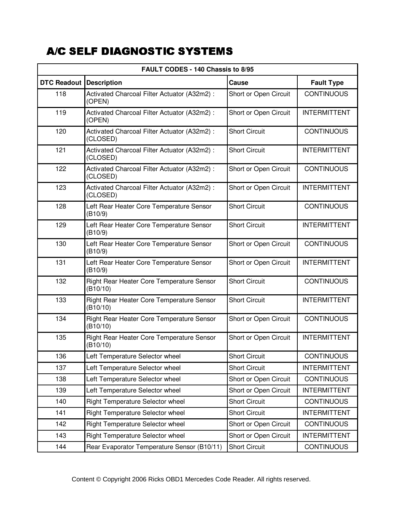| FAULT CODES - 140 Chassis to 8/95 |                                                          |                       |                     |
|-----------------------------------|----------------------------------------------------------|-----------------------|---------------------|
| <b>DTC Readout</b>                | <b>Description</b>                                       | Cause                 | <b>Fault Type</b>   |
| 118                               | Activated Charcoal Filter Actuator (A32m2) :<br>(OPEN)   | Short or Open Circuit | <b>CONTINUOUS</b>   |
| 119                               | Activated Charcoal Filter Actuator (A32m2) :<br>(OPEN)   | Short or Open Circuit | <b>INTERMITTENT</b> |
| 120                               | Activated Charcoal Filter Actuator (A32m2) :<br>(CLOSED) | <b>Short Circuit</b>  | <b>CONTINUOUS</b>   |
| 121                               | Activated Charcoal Filter Actuator (A32m2) :<br>(CLOSED) | <b>Short Circuit</b>  | <b>INTERMITTENT</b> |
| 122                               | Activated Charcoal Filter Actuator (A32m2) :<br>(CLOSED) | Short or Open Circuit | <b>CONTINUOUS</b>   |
| 123                               | Activated Charcoal Filter Actuator (A32m2) :<br>(CLOSED) | Short or Open Circuit | <b>INTERMITTENT</b> |
| 128                               | Left Rear Heater Core Temperature Sensor<br>(B10/9)      | <b>Short Circuit</b>  | <b>CONTINUOUS</b>   |
| 129                               | Left Rear Heater Core Temperature Sensor<br>(B10/9)      | <b>Short Circuit</b>  | <b>INTERMITTENT</b> |
| 130                               | Left Rear Heater Core Temperature Sensor<br>(B10/9)      | Short or Open Circuit | <b>CONTINUOUS</b>   |
| 131                               | Left Rear Heater Core Temperature Sensor<br>(B10/9)      | Short or Open Circuit | <b>INTERMITTENT</b> |
| 132                               | Right Rear Heater Core Temperature Sensor<br>(B10/10)    | <b>Short Circuit</b>  | <b>CONTINUOUS</b>   |
| 133                               | Right Rear Heater Core Temperature Sensor<br>(B10/10)    | <b>Short Circuit</b>  | <b>INTERMITTENT</b> |
| 134                               | Right Rear Heater Core Temperature Sensor<br>(B10/10)    | Short or Open Circuit | <b>CONTINUOUS</b>   |
| 135                               | Right Rear Heater Core Temperature Sensor<br>(B10/10)    | Short or Open Circuit | <b>INTERMITTENT</b> |
| 136                               | Left Temperature Selector wheel                          | <b>Short Circuit</b>  | <b>CONTINUOUS</b>   |
| 137                               | Left Temperature Selector wheel                          | <b>Short Circuit</b>  | <b>INTERMITTENT</b> |
| 138                               | Left Temperature Selector wheel                          | Short or Open Circuit | <b>CONTINUOUS</b>   |
| 139                               | Left Temperature Selector wheel                          | Short or Open Circuit | <b>INTERMITTENT</b> |
| 140                               | Right Temperature Selector wheel                         | <b>Short Circuit</b>  | <b>CONTINUOUS</b>   |
| 141                               | Right Temperature Selector wheel                         | <b>Short Circuit</b>  | <b>INTERMITTENT</b> |
| 142                               | <b>Right Temperature Selector wheel</b>                  | Short or Open Circuit | <b>CONTINUOUS</b>   |
| 143                               | Right Temperature Selector wheel                         | Short or Open Circuit | <b>INTERMITTENT</b> |
| 144                               | Rear Evaporator Temperature Sensor (B10/11)              | <b>Short Circuit</b>  | <b>CONTINUOUS</b>   |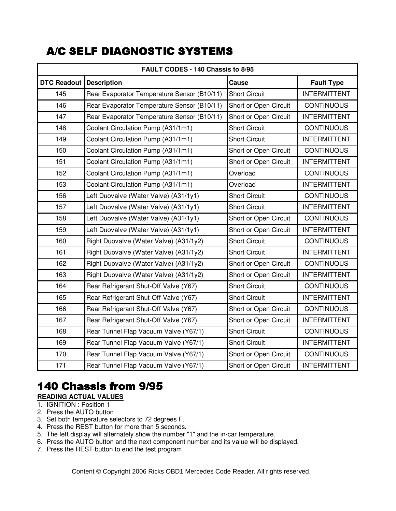| FAULT CODES - 140 Chassis to 8/95 |                                             |                       |                     |
|-----------------------------------|---------------------------------------------|-----------------------|---------------------|
| <b>DTC Readout</b>                | <b>Description</b>                          | Cause                 | <b>Fault Type</b>   |
| 145                               | Rear Evaporator Temperature Sensor (B10/11) | <b>Short Circuit</b>  | <b>INTERMITTENT</b> |
| 146                               | Rear Evaporator Temperature Sensor (B10/11) | Short or Open Circuit | <b>CONTINUOUS</b>   |
| 147                               | Rear Evaporator Temperature Sensor (B10/11) | Short or Open Circuit | <b>INTERMITTENT</b> |
| 148                               | Coolant Circulation Pump (A31/1m1)          | <b>Short Circuit</b>  | <b>CONTINUOUS</b>   |
| 149                               | Coolant Circulation Pump (A31/1m1)          | <b>Short Circuit</b>  | <b>INTERMITTENT</b> |
| 150                               | Coolant Circulation Pump (A31/1m1)          | Short or Open Circuit | <b>CONTINUOUS</b>   |
| 151                               | Coolant Circulation Pump (A31/1m1)          | Short or Open Circuit | <b>INTERMITTENT</b> |
| 152                               | Coolant Circulation Pump (A31/1m1)          | Overload              | <b>CONTINUOUS</b>   |
| 153                               | Coolant Circulation Pump (A31/1m1)          | Overload              | <b>INTERMITTENT</b> |
| 156                               | Left Duovalve (Water Valve) (A31/1y1)       | <b>Short Circuit</b>  | <b>CONTINUOUS</b>   |
| 157                               | Left Duovalve (Water Valve) (A31/1y1)       | <b>Short Circuit</b>  | <b>INTERMITTENT</b> |
| 158                               | Left Duovalve (Water Valve) (A31/1y1)       | Short or Open Circuit | <b>CONTINUOUS</b>   |
| 159                               | Left Duovalve (Water Valve) (A31/1y1)       | Short or Open Circuit | <b>INTERMITTENT</b> |
| 160                               | Right Duovalve (Water Valve) (A31/1y2)      | <b>Short Circuit</b>  | <b>CONTINUOUS</b>   |
| 161                               | Right Duovalve (Water Valve) (A31/1y2)      | <b>Short Circuit</b>  | <b>INTERMITTENT</b> |
| 162                               | Right Duovalve (Water Valve) (A31/1y2)      | Short or Open Circuit | <b>CONTINUOUS</b>   |
| 163                               | Right Duovalve (Water Valve) (A31/1y2)      | Short or Open Circuit | <b>INTERMITTENT</b> |
| 164                               | Rear Refrigerant Shut-Off Valve (Y67)       | <b>Short Circuit</b>  | <b>CONTINUOUS</b>   |
| 165                               | Rear Refrigerant Shut-Off Valve (Y67)       | <b>Short Circuit</b>  | <b>INTERMITTENT</b> |
| 166                               | Rear Refrigerant Shut-Off Valve (Y67)       | Short or Open Circuit | <b>CONTINUOUS</b>   |
| 167                               | Rear Refrigerant Shut-Off Valve (Y67)       | Short or Open Circuit | <b>INTERMITTENT</b> |
| 168                               | Rear Tunnel Flap Vacuum Valve (Y67/1)       | <b>Short Circuit</b>  | <b>CONTINUOUS</b>   |
| 169                               | Rear Tunnel Flap Vacuum Valve (Y67/1)       | <b>Short Circuit</b>  | <b>INTERMITTENT</b> |
| 170                               | Rear Tunnel Flap Vacuum Valve (Y67/1)       | Short or Open Circuit | <b>CONTINUOUS</b>   |
| 171                               | Rear Tunnel Flap Vacuum Valve (Y67/1)       | Short or Open Circuit | <b>INTERMITTENT</b> |

# 140 Chassis from 9/95

### **READING ACTUAL VALUES**

- 1. IGNITION : Position 1
- 2. Press the AUTO button
- 3. Set both temperature selectors to 72 degrees F.
- 4. Press the REST button for more than 5 seconds.
- 5. The left display will alternately show the number "1" and the in-car temperature.
- 6. Press the AUTO button and the next component number and its value will be displayed.
- 7. Press the REST button to end the test program.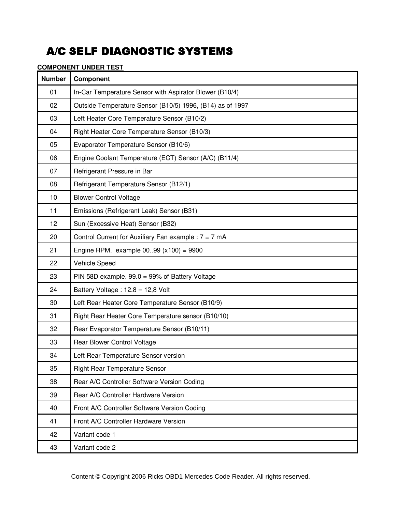### **COMPONENT UNDER TEST**

| <b>Number</b> | Component                                                 |
|---------------|-----------------------------------------------------------|
| 01            | In-Car Temperature Sensor with Aspirator Blower (B10/4)   |
| 02            | Outside Temperature Sensor (B10/5) 1996, (B14) as of 1997 |
| 03            | Left Heater Core Temperature Sensor (B10/2)               |
| 04            | Right Heater Core Temperature Sensor (B10/3)              |
| 05            | Evaporator Temperature Sensor (B10/6)                     |
| 06            | Engine Coolant Temperature (ECT) Sensor (A/C) (B11/4)     |
| 07            | Refrigerant Pressure in Bar                               |
| 08            | Refrigerant Temperature Sensor (B12/1)                    |
| 10            | <b>Blower Control Voltage</b>                             |
| 11            | Emissions (Refrigerant Leak) Sensor (B31)                 |
| 12            | Sun (Excessive Heat) Sensor (B32)                         |
| 20            | Control Current for Auxiliary Fan example : $7 = 7$ mA    |
| 21            | Engine RPM. example $0099$ ( $x100$ ) = 9900              |
| 22            | Vehicle Speed                                             |
| 23            | PIN 58D example. 99.0 = 99% of Battery Voltage            |
| 24            | Battery Voltage: $12.8 = 12.8$ Volt                       |
| 30            | Left Rear Heater Core Temperature Sensor (B10/9)          |
| 31            | Right Rear Heater Core Temperature sensor (B10/10)        |
| 32            | Rear Evaporator Temperature Sensor (B10/11)               |
| 33            | Rear Blower Control Voltage                               |
| 34            | Left Rear Temperature Sensor version                      |
| 35            | <b>Right Rear Temperature Sensor</b>                      |
| 38            | Rear A/C Controller Software Version Coding               |
| 39            | Rear A/C Controller Hardware Version                      |
| 40            | Front A/C Controller Software Version Coding              |
| 41            | Front A/C Controller Hardware Version                     |
| 42            | Variant code 1                                            |
| 43            | Variant code 2                                            |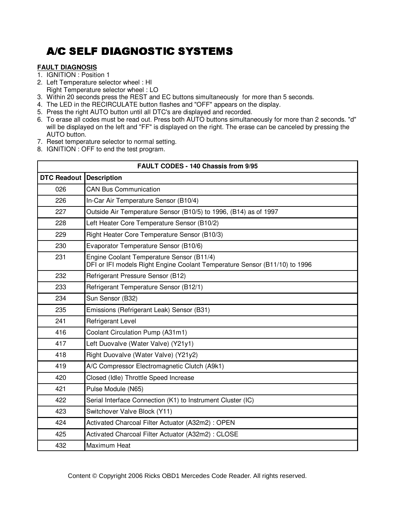### **FAULT DIAGNOSIS**

- 1. IGNITION : Position 1
- 2. Left Temperature selector wheel : HI Right Temperature selector wheel : LO
- 3. Within 20 seconds press the REST and EC buttons simultaneously for more than 5 seconds.
- 4. The LED in the RECIRCULATE button flashes and "OFF" appears on the display.
- 5. Press the right AUTO button until all DTC's are displayed and recorded.
- 6. To erase all codes must be read out. Press both AUTO buttons simultaneously for more than 2 seconds. "d" will be displayed on the left and "FF" is displayed on the right. The erase can be canceled by pressing the AUTO button.
- 7. Reset temperature selector to normal setting.
- 8. IGNITION : OFF to end the test program.

| FAULT CODES - 140 Chassis from 9/95 |                                                                                                                         |  |
|-------------------------------------|-------------------------------------------------------------------------------------------------------------------------|--|
| DTC Readout                         | <b>Description</b>                                                                                                      |  |
| 026                                 | <b>CAN Bus Communication</b>                                                                                            |  |
| 226                                 | In-Car Air Temperature Sensor (B10/4)                                                                                   |  |
| 227                                 | Outside Air Temperature Sensor (B10/5) to 1996, (B14) as of 1997                                                        |  |
| 228                                 | Left Heater Core Temperature Sensor (B10/2)                                                                             |  |
| 229                                 | Right Heater Core Temperature Sensor (B10/3)                                                                            |  |
| 230                                 | Evaporator Temperature Sensor (B10/6)                                                                                   |  |
| 231                                 | Engine Coolant Temperature Sensor (B11/4)<br>DFI or IFI models Right Engine Coolant Temperature Sensor (B11/10) to 1996 |  |
| 232                                 | Refrigerant Pressure Sensor (B12)                                                                                       |  |
| 233                                 | Refrigerant Temperature Sensor (B12/1)                                                                                  |  |
| 234                                 | Sun Sensor (B32)                                                                                                        |  |
| 235                                 | Emissions (Refrigerant Leak) Sensor (B31)                                                                               |  |
| 241                                 | <b>Refrigerant Level</b>                                                                                                |  |
| 416                                 | Coolant Circulation Pump (A31m1)                                                                                        |  |
| 417                                 | Left Duovalve (Water Valve) (Y21y1)                                                                                     |  |
| 418                                 | Right Duovalve (Water Valve) (Y21y2)                                                                                    |  |
| 419                                 | A/C Compressor Electromagnetic Clutch (A9k1)                                                                            |  |
| 420                                 | Closed (Idle) Throttle Speed Increase                                                                                   |  |
| 421                                 | Pulse Module (N65)                                                                                                      |  |
| 422                                 | Serial Interface Connection (K1) to Instrument Cluster (IC)                                                             |  |
| 423                                 | Switchover Valve Block (Y11)                                                                                            |  |
| 424                                 | Activated Charcoal Filter Actuator (A32m2) : OPEN                                                                       |  |
| 425                                 | Activated Charcoal Filter Actuator (A32m2): CLOSE                                                                       |  |
| 432                                 | Maximum Heat                                                                                                            |  |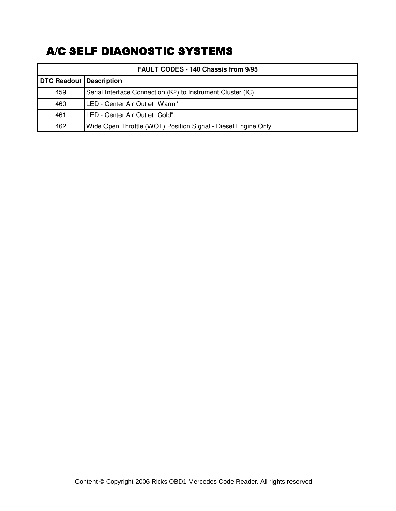| FAULT CODES - 140 Chassis from 9/95 |                                                               |  |
|-------------------------------------|---------------------------------------------------------------|--|
| <b>DTC Readout Description</b>      |                                                               |  |
| 459                                 | Serial Interface Connection (K2) to Instrument Cluster (IC)   |  |
| 460                                 | LED - Center Air Outlet "Warm"                                |  |
| 461                                 | LED - Center Air Outlet "Cold"                                |  |
| 462                                 | Wide Open Throttle (WOT) Position Signal - Diesel Engine Only |  |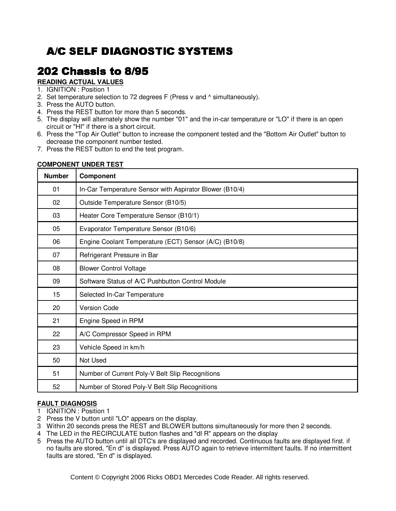# **202 Chassis to 8/95**

### **READING ACTUAL VALUES**

#### 1. IGNITION : Position 1

- 2. Set temperature selection to 72 degrees F (Press v and ^ simultaneously).
- 3. Press the AUTO button.
- 4. Press the REST button for more than 5 seconds.
- 5. The display will alternately show the number "01" and the in-car temperature or "LO" if there is an open circuit or "HI" if there is a short circuit.
- 6. Press the "Top Air Outlet" button to increase the component tested and the "Bottom Air Outlet" button to decrease the component number tested.
- 7. Press the REST button to end the test program.

#### **COMPONENT UNDER TEST**

| <b>Number</b> | <b>Component</b>                                        |
|---------------|---------------------------------------------------------|
| 01            | In-Car Temperature Sensor with Aspirator Blower (B10/4) |
| 02            | Outside Temperature Sensor (B10/5)                      |
| 03            | Heater Core Temperature Sensor (B10/1)                  |
| 05            | Evaporator Temperature Sensor (B10/6)                   |
| 06            | Engine Coolant Temperature (ECT) Sensor (A/C) (B10/8)   |
| 07            | Refrigerant Pressure in Bar                             |
| 08            | <b>Blower Control Voltage</b>                           |
| 09            | Software Status of A/C Pushbutton Control Module        |
| 15            | Selected In-Car Temperature                             |
| 20            | <b>Version Code</b>                                     |
| 21            | Engine Speed in RPM                                     |
| 22            | A/C Compressor Speed in RPM                             |
| 23            | Vehicle Speed in km/h                                   |
| 50            | Not Used                                                |
| 51            | Number of Current Poly-V Belt Slip Recognitions         |
| 52            | Number of Stored Poly-V Belt Slip Recognitions          |

#### **FAULT DIAGNOSIS**

- 1 IGNITION : Position 1
- 2 Press the V button until "LO" appears on the display.
- 3 Within 20 seconds press the REST and BLOWER buttons simultaneously for more then 2 seconds.
- 4 The LED in the RECIRCULATE button flashes and "dI R" appears on the display
- 5 Press the AUTO button until all DTC's are displayed and recorded. Continuous faults are displayed first. if no faults are stored, "En d" is displayed. Press AUTO again to retrieve intermittent faults. If no intermittent faults are stored, "En d" is displayed.

102 Content © Copyright 2006 Ricks OBD1 Mercedes Code Reader. All rights reserved.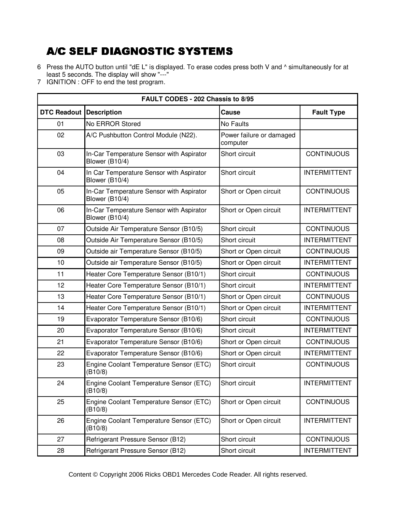- 6 Press the AUTO button until "dE L" is displayed. To erase codes press both V and ^ simultaneously for at least 5 seconds. The display will show "---"
- 7 IGNITION : OFF to end the test program.

| FAULT CODES - 202 Chassis to 8/95 |                                                            |                                      |                     |
|-----------------------------------|------------------------------------------------------------|--------------------------------------|---------------------|
| <b>DTC Readout Description</b>    |                                                            | Cause                                | <b>Fault Type</b>   |
| 01                                | No ERROR Stored                                            | No Faults                            |                     |
| 02                                | A/C Pushbutton Control Module (N22).                       | Power failure or damaged<br>computer |                     |
| 03                                | In-Car Temperature Sensor with Aspirator<br>Blower (B10/4) | Short circuit                        | <b>CONTINUOUS</b>   |
| 04                                | In Car Temperature Sensor with Aspirator<br>Blower (B10/4) | Short circuit                        | <b>INTERMITTENT</b> |
| 05                                | In-Car Temperature Sensor with Aspirator<br>Blower (B10/4) | Short or Open circuit                | <b>CONTINUOUS</b>   |
| 06                                | In-Car Temperature Sensor with Aspirator<br>Blower (B10/4) | Short or Open circuit                | <b>INTERMITTENT</b> |
| 07                                | Outside Air Temperature Sensor (B10/5)                     | Short circuit                        | <b>CONTINUOUS</b>   |
| 08                                | Outside Air Temperature Sensor (B10/5)                     | Short circuit                        | <b>INTERMITTENT</b> |
| 09                                | Outside air Temperature Sensor (B10/5)                     | Short or Open circuit                | <b>CONTINUOUS</b>   |
| 10                                | Outside air Temperature Sensor (B10/5)                     | Short or Open circuit                | <b>INTERMITTENT</b> |
| 11                                | Heater Core Temperature Sensor (B10/1)                     | Short circuit                        | <b>CONTINUOUS</b>   |
| 12                                | Heater Core Temperature Sensor (B10/1)                     | Short circuit                        | <b>INTERMITTENT</b> |
| 13                                | Heater Core Temperature Sensor (B10/1)                     | Short or Open circuit                | <b>CONTINUOUS</b>   |
| 14                                | Heater Core Temperature Sensor (B10/1)                     | Short or Open circuit                | <b>INTERMITTENT</b> |
| 19                                | Evaporator Temperature Sensor (B10/6)                      | Short circuit                        | <b>CONTINUOUS</b>   |
| 20                                | Evaporator Temperature Sensor (B10/6)                      | Short circuit                        | <b>INTERMITTENT</b> |
| 21                                | Evaporator Temperature Sensor (B10/6)                      | Short or Open circuit                | <b>CONTINUOUS</b>   |
| 22                                | Evaporator Temperature Sensor (B10/6)                      | Short or Open circuit                | <b>INTERMITTENT</b> |
| 23                                | Engine Coolant Temperature Sensor (ETC)<br>(B10/8)         | Short circuit                        | <b>CONTINUOUS</b>   |
| 24                                | Engine Coolant Temperature Sensor (ETC)<br>(B10/8)         | Short circuit                        | <b>INTERMITTENT</b> |
| 25                                | Engine Coolant Temperature Sensor (ETC)<br>(B10/8)         | Short or Open circuit                | <b>CONTINUOUS</b>   |
| 26                                | Engine Coolant Temperature Sensor (ETC)<br>(B10/8)         | Short or Open circuit                | <b>INTERMITTENT</b> |
| 27                                | Refrigerant Pressure Sensor (B12)                          | Short circuit                        | <b>CONTINUOUS</b>   |
| 28                                | Refrigerant Pressure Sensor (B12)                          | Short circuit                        | <b>INTERMITTENT</b> |

Content © Copyright 2006 Ricks OBD1 Mercedes Code Reader. All rights reserved.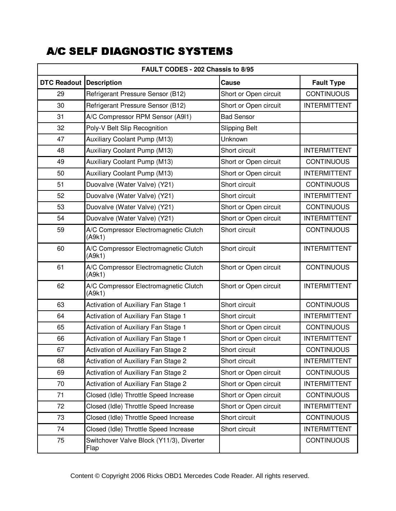| FAULT CODES - 202 Chassis to 8/95 |                                                  |                       |                     |
|-----------------------------------|--------------------------------------------------|-----------------------|---------------------|
| <b>DTC Readout Description</b>    |                                                  | Cause                 | <b>Fault Type</b>   |
| 29                                | Refrigerant Pressure Sensor (B12)                | Short or Open circuit | <b>CONTINUOUS</b>   |
| 30                                | Refrigerant Pressure Sensor (B12)                | Short or Open circuit | <b>INTERMITTENT</b> |
| 31                                | A/C Compressor RPM Sensor (A9I1)                 | <b>Bad Sensor</b>     |                     |
| 32                                | Poly-V Belt Slip Recognition                     | <b>Slipping Belt</b>  |                     |
| 47                                | Auxiliary Coolant Pump (M13)                     | Unknown               |                     |
| 48                                | Auxiliary Coolant Pump (M13)                     | Short circuit         | <b>INTERMITTENT</b> |
| 49                                | Auxiliary Coolant Pump (M13)                     | Short or Open circuit | <b>CONTINUOUS</b>   |
| 50                                | Auxiliary Coolant Pump (M13)                     | Short or Open circuit | <b>INTERMITTENT</b> |
| 51                                | Duovalve (Water Valve) (Y21)                     | Short circuit         | <b>CONTINUOUS</b>   |
| 52                                | Duovalve (Water Valve) (Y21)                     | Short circuit         | <b>INTERMITTENT</b> |
| 53                                | Duovalve (Water Valve) (Y21)                     | Short or Open circuit | <b>CONTINUOUS</b>   |
| 54                                | Duovalve (Water Valve) (Y21)                     | Short or Open circuit | <b>INTERMITTENT</b> |
| 59                                | A/C Compressor Electromagnetic Clutch<br>(A9k1)  | Short circuit         | <b>CONTINUOUS</b>   |
| 60                                | A/C Compressor Electromagnetic Clutch<br>(A9k1)  | Short circuit         | <b>INTERMITTENT</b> |
| 61                                | A/C Compressor Electromagnetic Clutch<br>(A9k1)  | Short or Open circuit | <b>CONTINUOUS</b>   |
| 62                                | A/C Compressor Electromagnetic Clutch<br>(A9k1)  | Short or Open circuit | <b>INTERMITTENT</b> |
| 63                                | Activation of Auxiliary Fan Stage 1              | Short circuit         | <b>CONTINUOUS</b>   |
| 64                                | Activation of Auxiliary Fan Stage 1              | Short circuit         | <b>INTERMITTENT</b> |
| 65                                | Activation of Auxiliary Fan Stage 1              | Short or Open circuit | <b>CONTINUOUS</b>   |
| 66                                | Activation of Auxiliary Fan Stage 1              | Short or Open circuit | <b>INTERMITTENT</b> |
| 67                                | <b>Activation of Auxiliary Fan Stage 2</b>       | Short circuit         | <b>CONTINUOUS</b>   |
| 68                                | Activation of Auxiliary Fan Stage 2              | Short circuit         | <b>INTERMITTENT</b> |
| 69                                | Activation of Auxiliary Fan Stage 2              | Short or Open circuit | <b>CONTINUOUS</b>   |
| 70                                | Activation of Auxiliary Fan Stage 2              | Short or Open circuit | <b>INTERMITTENT</b> |
| 71                                | Closed (Idle) Throttle Speed Increase            | Short or Open circuit | <b>CONTINUOUS</b>   |
| 72                                | Closed (Idle) Throttle Speed Increase            | Short or Open circuit | <b>INTERMITTENT</b> |
| 73                                | Closed (Idle) Throttle Speed Increase            | Short circuit         | <b>CONTINUOUS</b>   |
| 74                                | Closed (Idle) Throttle Speed Increase            | Short circuit         | <b>INTERMITTENT</b> |
| 75                                | Switchover Valve Block (Y11/3), Diverter<br>Flap |                       | <b>CONTINUOUS</b>   |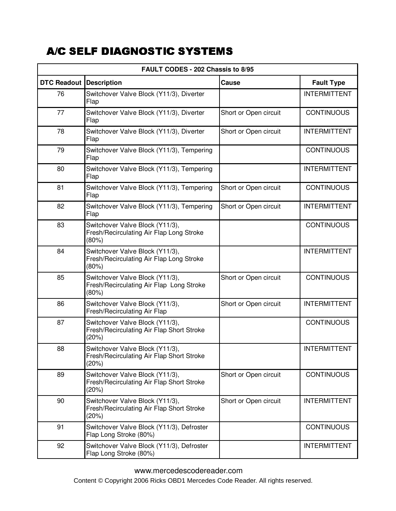| FAULT CODES - 202 Chassis to 8/95 |                                                                                       |                       |                     |
|-----------------------------------|---------------------------------------------------------------------------------------|-----------------------|---------------------|
| DTC Readout                       | <b>Description</b>                                                                    | Cause                 | <b>Fault Type</b>   |
| 76                                | Switchover Valve Block (Y11/3), Diverter<br>Flap                                      |                       | <b>INTERMITTENT</b> |
| 77                                | Switchover Valve Block (Y11/3), Diverter<br>Flap                                      | Short or Open circuit | <b>CONTINUOUS</b>   |
| 78                                | Switchover Valve Block (Y11/3), Diverter<br>Flap                                      | Short or Open circuit | <b>INTERMITTENT</b> |
| 79                                | Switchover Valve Block (Y11/3), Tempering<br>Flap                                     |                       | <b>CONTINUOUS</b>   |
| 80                                | Switchover Valve Block (Y11/3), Tempering<br>Flap                                     |                       | <b>INTERMITTENT</b> |
| 81                                | Switchover Valve Block (Y11/3), Tempering<br>Flap                                     | Short or Open circuit | <b>CONTINUOUS</b>   |
| 82                                | Switchover Valve Block (Y11/3), Tempering<br>Flap                                     | Short or Open circuit | <b>INTERMITTENT</b> |
| 83                                | Switchover Valve Block (Y11/3),<br>Fresh/Recirculating Air Flap Long Stroke<br>(80%)  |                       | <b>CONTINUOUS</b>   |
| 84                                | Switchover Valve Block (Y11/3),<br>Fresh/Recirculating Air Flap Long Stroke<br>(80%)  |                       | <b>INTERMITTENT</b> |
| 85                                | Switchover Valve Block (Y11/3),<br>Fresh/Recirculating Air Flap Long Stroke<br>(80%)  | Short or Open circuit | <b>CONTINUOUS</b>   |
| 86                                | Switchover Valve Block (Y11/3),<br>Fresh/Recirculating Air Flap                       | Short or Open circuit | <b>INTERMITTENT</b> |
| 87                                | Switchover Valve Block (Y11/3),<br>Fresh/Recirculating Air Flap Short Stroke<br>(20%) |                       | <b>CONTINUOUS</b>   |
| 88                                | Switchover Valve Block (Y11/3),<br>Fresh/Recirculating Air Flap Short Stroke<br>(20%) |                       | <b>INTERMITTENT</b> |
| 89                                | Switchover Valve Block (Y11/3),<br>Fresh/Recirculating Air Flap Short Stroke<br>(20%) | Short or Open circuit | <b>CONTINUOUS</b>   |
| 90                                | Switchover Valve Block (Y11/3),<br>Fresh/Recirculating Air Flap Short Stroke<br>(20%) | Short or Open circuit | <b>INTERMITTENT</b> |
| 91                                | Switchover Valve Block (Y11/3), Defroster<br>Flap Long Stroke (80%)                   |                       | <b>CONTINUOUS</b>   |
| 92                                | Switchover Valve Block (Y11/3), Defroster<br>Flap Long Stroke (80%)                   |                       | <b>INTERMITTENT</b> |

105 www.mercedescodereader.com Content © Copyright 2006 Ricks OBD1 Mercedes Code Reader. All rights reserved.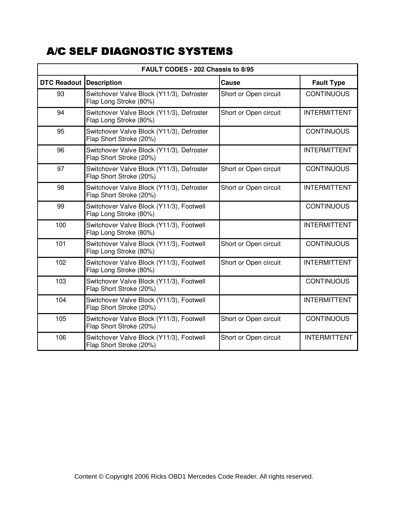| <b>FAULT CODES - 202 Chassis to 8/95</b> |                                                                      |                       |                     |
|------------------------------------------|----------------------------------------------------------------------|-----------------------|---------------------|
| <b>DTC Readout Description</b>           |                                                                      | Cause                 | <b>Fault Type</b>   |
| 93                                       | Switchover Valve Block (Y11/3), Defroster<br>Flap Long Stroke (80%)  | Short or Open circuit | <b>CONTINUOUS</b>   |
| 94                                       | Switchover Valve Block (Y11/3), Defroster<br>Flap Long Stroke (80%)  | Short or Open circuit | <b>INTERMITTENT</b> |
| 95                                       | Switchover Valve Block (Y11/3), Defroster<br>Flap Short Stroke (20%) |                       | <b>CONTINUOUS</b>   |
| 96                                       | Switchover Valve Block (Y11/3), Defroster<br>Flap Short Stroke (20%) |                       | <b>INTERMITTENT</b> |
| 97                                       | Switchover Valve Block (Y11/3), Defroster<br>Flap Short Stroke (20%) | Short or Open circuit | <b>CONTINUOUS</b>   |
| 98                                       | Switchover Valve Block (Y11/3), Defroster<br>Flap Short Stroke (20%) | Short or Open circuit | <b>INTERMITTENT</b> |
| 99                                       | Switchover Valve Block (Y11/3), Footwell<br>Flap Long Stroke (80%)   |                       | <b>CONTINUOUS</b>   |
| 100                                      | Switchover Valve Block (Y11/3), Footwell<br>Flap Long Stroke (80%)   |                       | <b>INTERMITTENT</b> |
| 101                                      | Switchover Valve Block (Y11/3), Footwell<br>Flap Long Stroke (80%)   | Short or Open circuit | <b>CONTINUOUS</b>   |
| 102                                      | Switchover Valve Block (Y11/3), Footwell<br>Flap Long Stroke (80%)   | Short or Open circuit | <b>INTERMITTENT</b> |
| 103                                      | Switchover Valve Block (Y11/3), Footwell<br>Flap Short Stroke (20%)  |                       | <b>CONTINUOUS</b>   |
| 104                                      | Switchover Valve Block (Y11/3), Footwell<br>Flap Short Stroke (20%)  |                       | <b>INTERMITTENT</b> |
| 105                                      | Switchover Valve Block (Y11/3), Footwell<br>Flap Short Stroke (20%)  | Short or Open circuit | <b>CONTINUOUS</b>   |
| 106                                      | Switchover Valve Block (Y11/3), Footwell<br>Flap Short Stroke (20%)  | Short or Open circuit | <b>INTERMITTENT</b> |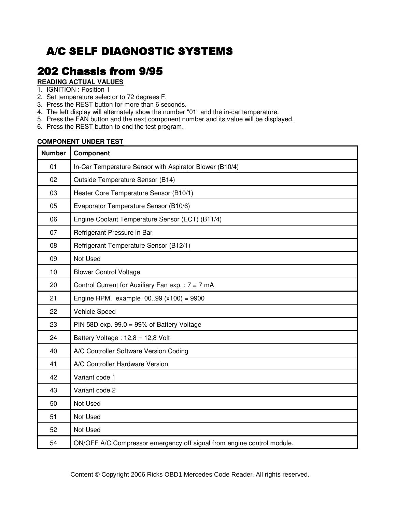### 202 Chassis from 9/95

#### **READING ACTUAL VALUES**

- 1. IGNITION : Position 1
- 2. Set temperature selector to 72 degrees F.
- 3. Press the REST button for more than 6 seconds.
- 4. The left display will alternately show the number "01" and the in-car temperature.
- 5. Press the FAN button and the next component number and its value will be displayed.
- 6. Press the REST button to end the test program.

### **COMPONENT UNDER TEST**

| <b>Number</b> | Component                                                              |
|---------------|------------------------------------------------------------------------|
| 01            | In-Car Temperature Sensor with Aspirator Blower (B10/4)                |
| 02            | Outside Temperature Sensor (B14)                                       |
| 03            | Heater Core Temperature Sensor (B10/1)                                 |
| 05            | Evaporator Temperature Sensor (B10/6)                                  |
| 06            | Engine Coolant Temperature Sensor (ECT) (B11/4)                        |
| 07            | Refrigerant Pressure in Bar                                            |
| 08            | Refrigerant Temperature Sensor (B12/1)                                 |
| 09            | Not Used                                                               |
| 10            | <b>Blower Control Voltage</b>                                          |
| 20            | Control Current for Auxiliary Fan exp. : $7 = 7$ mA                    |
| 21            | Engine RPM. example $0099$ ( $x100$ ) = 9900                           |
| 22            | Vehicle Speed                                                          |
| 23            | PIN 58D exp. $99.0 = 99\%$ of Battery Voltage                          |
| 24            | Battery Voltage: 12.8 = 12,8 Volt                                      |
| 40            | A/C Controller Software Version Coding                                 |
| 41            | A/C Controller Hardware Version                                        |
| 42            | Variant code 1                                                         |
| 43            | Variant code 2                                                         |
| 50            | Not Used                                                               |
| 51            | Not Used                                                               |
| 52            | Not Used                                                               |
| 54            | ON/OFF A/C Compressor emergency off signal from engine control module. |

Content © Copyright 2006 Ricks OBD1 Mercedes Code Reader. All rights reserved.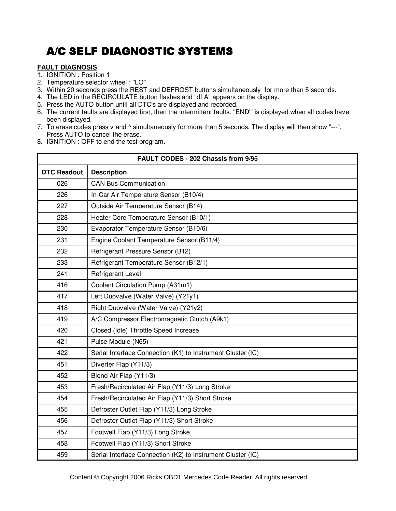### **FAULT DIAGNOSIS**

- 1. IGNITION : Position 1
- 2. Temperature selector wheel : "LO"
- 3. Within 20 seconds press the REST and DEFROST buttons simultaneously for more than 5 seconds.
- 4. The LED in the RECIRCULATE button flashes and "dI A" appears on the display.
- 5. Press the AUTO button until all DTC's are displayed and recorded.
- 6. The current faults are displayed first, then the intermittent faults. "END'" is displayed when all codes have been displayed.
- 7. To erase codes press v and  $\land$  simultaneously for more than 5 seconds. The display will then show "---". Press AUTO to cancel the erase.
- 8. IGNITION : OFF to end the test program.

| FAULT CODES - 202 Chassis from 9/95 |                                                             |  |
|-------------------------------------|-------------------------------------------------------------|--|
| <b>DTC Readout</b>                  | <b>Description</b>                                          |  |
| 026                                 | <b>CAN Bus Communication</b>                                |  |
| 226                                 | In-Car Air Temperature Sensor (B10/4)                       |  |
| 227                                 | Outside Air Temperature Sensor (B14)                        |  |
| 228                                 | Heater Core Temperature Sensor (B10/1)                      |  |
| 230                                 | Evaporator Temperature Sensor (B10/6)                       |  |
| 231                                 | Engine Coolant Temperature Sensor (B11/4)                   |  |
| 232                                 | Refrigerant Pressure Sensor (B12)                           |  |
| 233                                 | Refrigerant Temperature Sensor (B12/1)                      |  |
| 241                                 | <b>Refrigerant Level</b>                                    |  |
| 416                                 | Coolant Circulation Pump (A31m1)                            |  |
| 417                                 | Left Duovalve (Water Valve) (Y21y1)                         |  |
| 418                                 | Right Duovalve (Water Valve) (Y21y2)                        |  |
| 419                                 | A/C Compressor Electromagnetic Clutch (A9k1)                |  |
| 420                                 | Closed (Idle) Throttle Speed Increase                       |  |
| 421                                 | Pulse Module (N65)                                          |  |
| 422                                 | Serial Interface Connection (K1) to Instrument Cluster (IC) |  |
| 451                                 | Diverter Flap (Y11/3)                                       |  |
| 452                                 | Blend Air Flap (Y11/3)                                      |  |
| 453                                 | Fresh/Recirculated Air Flap (Y11/3) Long Stroke             |  |
| 454                                 | Fresh/Recirculated Air Flap (Y11/3) Short Stroke            |  |
| 455                                 | Defroster Outlet Flap (Y11/3) Long Stroke                   |  |
| 456                                 | Defroster Outlet Flap (Y11/3) Short Stroke                  |  |
| 457                                 | Footwell Flap (Y11/3) Long Stroke                           |  |
| 458                                 | Footwell Flap (Y11/3) Short Stroke                          |  |
| 459                                 | Serial Interface Connection (K2) to Instrument Cluster (IC) |  |

entent © Copyright 2006 Ricks OBD1 Mercedes Code Reader. All rights reserved.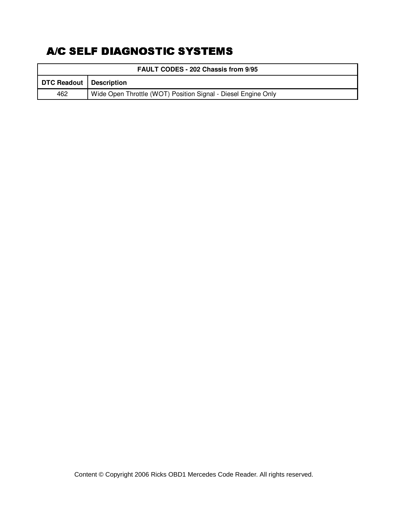| <b>FAULT CODES - 202 Chassis from 9/95</b> |                                                               |  |
|--------------------------------------------|---------------------------------------------------------------|--|
|                                            | DTC Readout   Description                                     |  |
| 462                                        | Wide Open Throttle (WOT) Position Signal - Diesel Engine Only |  |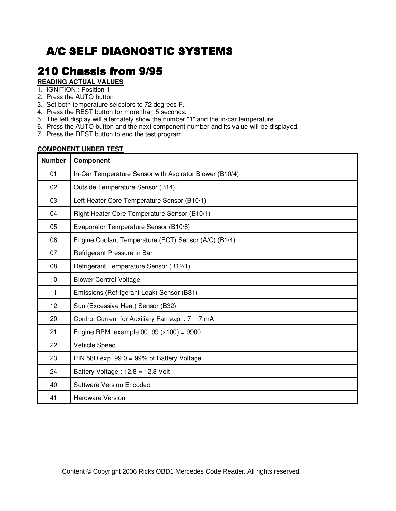## **210 Chassis from 9/95**

### **READING ACTUAL VALUES**

- 1. IGNITION : Position 1
- 2. Press the AUTO button
- 3. Set both temperature selectors to 72 degrees F.
- 4. Press the REST button for more than 5 seconds.
- 5. The left display will alternately show the number "1" and the in-car temperature.
- 6. Press the AUTO button and the next component number and its value will be displayed.
- 7. Press the REST button to end the test program.

#### **COMPONENT UNDER TEST**

| <b>Number</b> | Component                                               |
|---------------|---------------------------------------------------------|
| 01            | In-Car Temperature Sensor with Aspirator Blower (B10/4) |
| 02            | Outside Temperature Sensor (B14)                        |
| 03            | Left Heater Core Temperature Sensor (B10/1)             |
| 04            | Right Heater Core Temperature Sensor (B10/1)            |
| 05            | Evaporator Temperature Sensor (B10/6)                   |
| 06            | Engine Coolant Temperature (ECT) Sensor (A/C) (B1/4)    |
| 07            | Refrigerant Pressure in Bar                             |
| 08            | Refrigerant Temperature Sensor (B12/1)                  |
| 10            | <b>Blower Control Voltage</b>                           |
| 11            | Emissions (Refrigerant Leak) Sensor (B31)               |
| 12            | Sun (Excessive Heat) Sensor (B32)                       |
| 20            | Control Current for Auxiliary Fan exp. : $7 = 7$ mA     |
| 21            | Engine RPM. example $0099$ ( $x100$ ) = 9900            |
| 22            | Vehicle Speed                                           |
| 23            | PIN 58D exp. $99.0 = 99\%$ of Battery Voltage           |
| 24            | Battery Voltage: $12.8 = 12.8$ Volt                     |
| 40            | <b>Software Version Encoded</b>                         |
| 41            | <b>Hardware Version</b>                                 |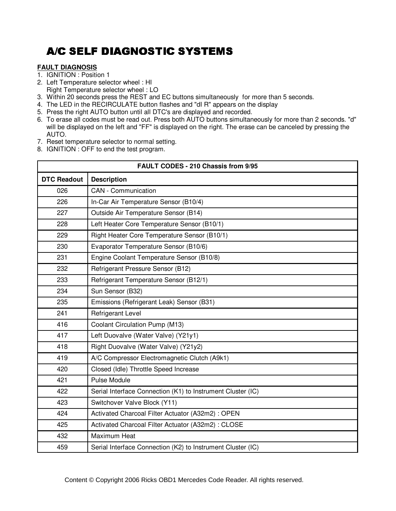### **FAULT DIAGNOSIS**

- 1. IGNITION : Position 1
- 2. Left Temperature selector wheel : HI Right Temperature selector wheel : LO
- 3. Within 20 seconds press the REST and EC buttons simultaneously for more than 5 seconds.
- 4. The LED in the RECIRCULATE button flashes and "dI R" appears on the display
- 5. Press the right AUTO button until all DTC's are displayed and recorded.
- 6. To erase all codes must be read out. Press both AUTO buttons simultaneously for more than 2 seconds. "d" will be displayed on the left and "FF" is displayed on the right. The erase can be canceled by pressing the AUTO.
- 7. Reset temperature selector to normal setting.
- 8. IGNITION : OFF to end the test program.

| FAULT CODES - 210 Chassis from 9/95 |                                                             |  |
|-------------------------------------|-------------------------------------------------------------|--|
| <b>DTC Readout</b>                  | <b>Description</b>                                          |  |
| 026                                 | <b>CAN</b> - Communication                                  |  |
| 226                                 | In-Car Air Temperature Sensor (B10/4)                       |  |
| 227                                 | Outside Air Temperature Sensor (B14)                        |  |
| 228                                 | Left Heater Core Temperature Sensor (B10/1)                 |  |
| 229                                 | Right Heater Core Temperature Sensor (B10/1)                |  |
| 230                                 | Evaporator Temperature Sensor (B10/6)                       |  |
| 231                                 | Engine Coolant Temperature Sensor (B10/8)                   |  |
| 232                                 | Refrigerant Pressure Sensor (B12)                           |  |
| 233                                 | Refrigerant Temperature Sensor (B12/1)                      |  |
| 234                                 | Sun Sensor (B32)                                            |  |
| 235                                 | Emissions (Refrigerant Leak) Sensor (B31)                   |  |
| 241                                 | <b>Refrigerant Level</b>                                    |  |
| 416                                 | Coolant Circulation Pump (M13)                              |  |
| 417                                 | Left Duovalve (Water Valve) (Y21y1)                         |  |
| 418                                 | Right Duovalve (Water Valve) (Y21y2)                        |  |
| 419                                 | A/C Compressor Electromagnetic Clutch (A9k1)                |  |
| 420                                 | Closed (Idle) Throttle Speed Increase                       |  |
| 421                                 | <b>Pulse Module</b>                                         |  |
| 422                                 | Serial Interface Connection (K1) to Instrument Cluster (IC) |  |
| 423                                 | Switchover Valve Block (Y11)                                |  |
| 424                                 | Activated Charcoal Filter Actuator (A32m2) : OPEN           |  |
| 425                                 | Activated Charcoal Filter Actuator (A32m2) : CLOSE          |  |
| 432                                 | <b>Maximum Heat</b>                                         |  |
| 459                                 | Serial Interface Connection (K2) to Instrument Cluster (IC) |  |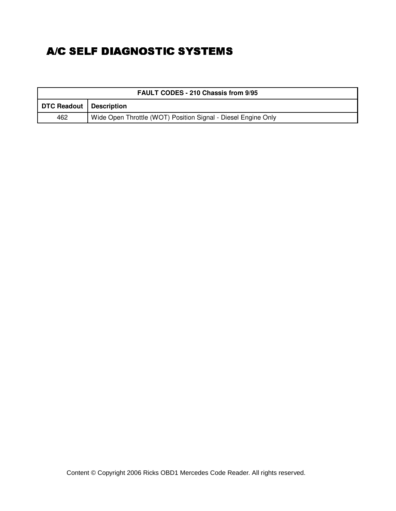| <b>FAULT CODES - 210 Chassis from 9/95</b> |                                                               |  |
|--------------------------------------------|---------------------------------------------------------------|--|
| DTC Readout   Description                  |                                                               |  |
| 462                                        | Wide Open Throttle (WOT) Position Signal - Diesel Engine Only |  |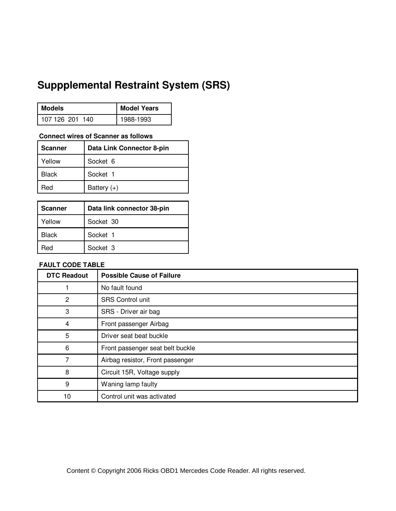## **Suppplemental Restraint System (SRS)**

| Models          | <b>Model Years</b> |
|-----------------|--------------------|
| 107 126 201 140 | 1988-1993          |

#### **Connect wires of Scanner as follows**

| Scanner      | Data Link Connector 8-pin |
|--------------|---------------------------|
| Yellow       | Socket 6                  |
| <b>Black</b> | Socket 1                  |
| Red          | Battery $(+)$             |

| Scanner      | Data link connector 38-pin |
|--------------|----------------------------|
| Yellow       | Socket 30                  |
| <b>Black</b> | Socket 1                   |
| Red          | Socket 3                   |

### **FAULT CODE TABLE**

| <b>DTC Readout</b> | <b>Possible Cause of Failure</b> |
|--------------------|----------------------------------|
|                    | No fault found                   |
| $\overline{c}$     | <b>SRS Control unit</b>          |
| 3                  | SRS - Driver air bag             |
| 4                  | Front passenger Airbag           |
| 5                  | Driver seat beat buckle          |
| 6                  | Front passenger seat belt buckle |
| 7                  | Airbag resistor, Front passenger |
| 8                  | Circuit 15R, Voltage supply      |
| 9                  | Waning lamp faulty               |
| 10                 | Control unit was activated       |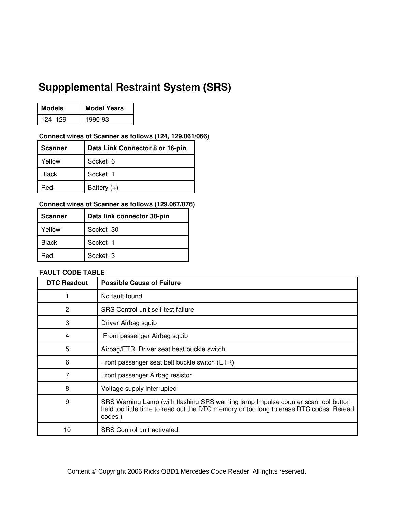### $\mathbf{r}$   $\mathbf{r}$   $\mathbf{r}$   $\mathbf{r}$   $\mathbf{r}$   $\mathbf{r}$   $\mathbf{r}$   $\mathbf{r}$   $\mathbf{r}$   $\mathbf{r}$   $\mathbf{r}$   $\mathbf{r}$   $\mathbf{r}$   $\mathbf{r}$   $\mathbf{r}$   $\mathbf{r}$   $\mathbf{r}$   $\mathbf{r}$   $\mathbf{r}$   $\mathbf{r}$   $\mathbf{r}$   $\mathbf{r}$   $\mathbf{r}$   $\mathbf{r}$   $\mathbf{$ **Suppplemental Restraint System (SRS)**

| <b>Models</b> | <b>Model Years</b> |
|---------------|--------------------|
| 124 129       | 1990-93            |

### **Connect wires of Scanner as follows (124, 129.061/066)**

| Scanner      | Data Link Connector 8 or 16-pin |
|--------------|---------------------------------|
| Yellow       | Socket 6                        |
| <b>Black</b> | Socket 1                        |
| Hed          | Battery $(+)$                   |

### **Connect wires of Scanner as follows (129.067/076)**

| <b>Scanner</b> | Data link connector 38-pin |
|----------------|----------------------------|
| Yellow         | Socket 30                  |
| <b>Black</b>   | Socket 1                   |
| Red            | Socket 3                   |

#### **FAULT CODE TABLE**

| <b>DTC Readout</b> | <b>Possible Cause of Failure</b>                                                                                                                                                       |
|--------------------|----------------------------------------------------------------------------------------------------------------------------------------------------------------------------------------|
|                    | No fault found                                                                                                                                                                         |
| 2                  | SRS Control unit self test failure                                                                                                                                                     |
| 3                  | Driver Airbag squib                                                                                                                                                                    |
| 4                  | Front passenger Airbag squib                                                                                                                                                           |
| 5                  | Airbag/ETR, Driver seat beat buckle switch                                                                                                                                             |
| 6                  | Front passenger seat belt buckle switch (ETR)                                                                                                                                          |
| 7                  | Front passenger Airbag resistor                                                                                                                                                        |
| 8                  | Voltage supply interrupted                                                                                                                                                             |
| 9                  | SRS Warning Lamp (with flashing SRS warning lamp Impulse counter scan tool button<br>held too little time to read out the DTC memory or too long to erase DTC codes. Reread<br>codes.) |
| 10                 | SRS Control unit activated.                                                                                                                                                            |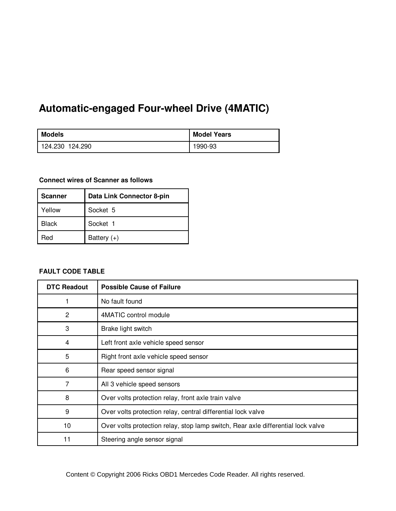# **1 Automatic-engaged Four-wheel Drive (4MATIC)**

| <b>Models</b>   | <b>Model Years</b> |
|-----------------|--------------------|
| 124.230 124.290 | 1990-93            |

#### **Connect wires of Scanner as follows**

| <b>Scanner</b> | Data Link Connector 8-pin |
|----------------|---------------------------|
| Yellow         | Socket 5                  |
| <b>Black</b>   | Socket 1                  |
| ?ed            | Battery $(+)$             |

### **FAULT CODE TABLE**

| <b>DTC Readout</b> | <b>Possible Cause of Failure</b>                                                 |
|--------------------|----------------------------------------------------------------------------------|
|                    | No fault found                                                                   |
| $\overline{c}$     | 4MATIC control module                                                            |
| 3                  | Brake light switch                                                               |
| 4                  | Left front axle vehicle speed sensor                                             |
| 5                  | Right front axle vehicle speed sensor                                            |
| 6                  | Rear speed sensor signal                                                         |
| 7                  | All 3 vehicle speed sensors                                                      |
| 8                  | Over volts protection relay, front axle train valve                              |
| 9                  | Over volts protection relay, central differential lock valve                     |
| 10                 | Over volts protection relay, stop lamp switch, Rear axle differential lock valve |
| 11                 | Steering angle sensor signal                                                     |

ntent © Copyright 2006 Ricks OBD1 Mercedes Code Reader. All rights reserved. Content © Copyright 2006 Ricks OBD1 Mercedes Code Reader. All rights reserved.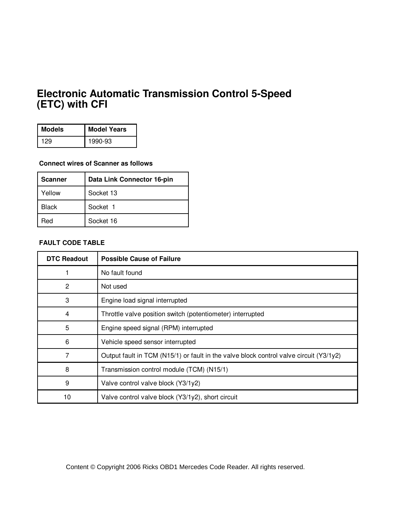#### [**C**) wi **Electronic Automatic Transmission Control 5-Speed (ETC) with CFI**

| <b>Models</b> | <b>Model Years</b> |
|---------------|--------------------|
|               | 1990-93            |

### **Connect wires of Scanner as follows**

| <b>Scanner</b> | Data Link Connector 16-pin |
|----------------|----------------------------|
| Yellow         | Socket 13                  |
| <b>Black</b>   | Socket 1                   |
| Red            | Socket 16                  |

#### **FAULT CODE TABLE**

| <b>DTC Readout</b> | <b>Possible Cause of Failure</b>                                                       |
|--------------------|----------------------------------------------------------------------------------------|
|                    | No fault found                                                                         |
| $\overline{c}$     | Not used                                                                               |
| 3                  | Engine load signal interrupted                                                         |
| 4                  | Throttle valve position switch (potentiometer) interrupted                             |
| 5                  | Engine speed signal (RPM) interrupted                                                  |
| 6                  | Vehicle speed sensor interrupted                                                       |
| 7                  | Output fault in TCM (N15/1) or fault in the valve block control valve circuit (Y3/1y2) |
| 8                  | Transmission control module (TCM) (N15/1)                                              |
| 9                  | Valve control valve block (Y3/1y2)                                                     |
| 10                 | Valve control valve block (Y3/1y2), short circuit                                      |

Content © Copyright 2006 Ricks OBD1 Mercedes Code Reader. All rights reserved.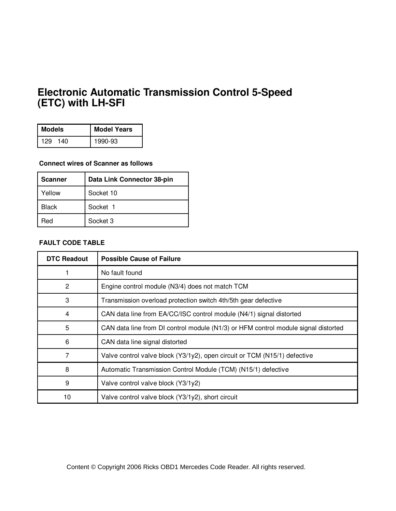### Fleetvenie Automotic  **1 (ETC) with LH-SFI Electronic Automatic Transmission Control 5-Speed**

| <b>Models</b> | <b>Model Years</b> |
|---------------|--------------------|
| 140<br>129    | 1990-93            |

### **Connect wires of Scanner as follows**

| Scanner | Data Link Connector 38-pin |
|---------|----------------------------|
| Yellow  | Socket 10                  |
| Black   | Socket 1                   |
| Red     | Socket 3                   |

#### **FAULT CODE TABLE**

| <b>DTC Readout</b> | <b>Possible Cause of Failure</b>                                                   |
|--------------------|------------------------------------------------------------------------------------|
|                    | No fault found                                                                     |
| 2                  | Engine control module (N3/4) does not match TCM                                    |
| 3                  | Transmission overload protection switch 4th/5th gear defective                     |
| 4                  | CAN data line from EA/CC/ISC control module (N4/1) signal distorted                |
| 5                  | CAN data line from DI control module (N1/3) or HFM control module signal distorted |
| 6                  | CAN data line signal distorted                                                     |
| 7                  | Valve control valve block (Y3/1y2), open circuit or TCM (N15/1) defective          |
| 8                  | Automatic Transmission Control Module (TCM) (N15/1) defective                      |
| 9                  | Valve control valve block (Y3/1y2)                                                 |
| 10                 | Valve control valve block (Y3/1y2), short circuit                                  |

Content © Copyright 2006 Ricks OBD1 Mercedes Code Reader. All rights reserved.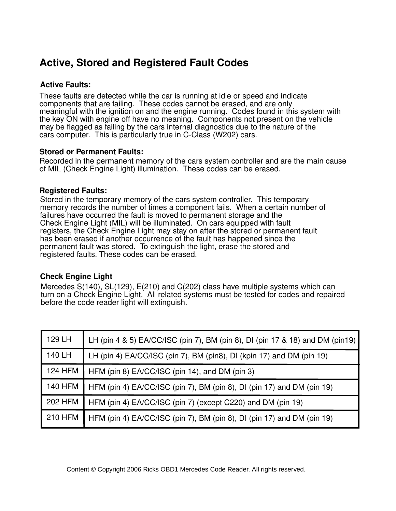## **Active, Stored and Registered Fault Codes**

#### **Active Faults: Active Faults:**

These faults are detected while the car is running at idle or speed and indicate These radits are defected while the car is furning at late or speed and indicate<br>components that are failing. These codes cannot be erased, and are only meaningful withthe ignition on and the engine running. Codes found in this system with meaningful with the ignition on and the engine running. Codes found in this system with meaningial with the ignition on and the engine running. Obdes found in this system with<br>the key ON with engine off have no meaning. Components not present on the vehicle the key ON with engine on have no meaning. Components not present on the venicle<br>may be flagged as failing by the cars internal diagnostics due to the nature of the software. This is particularly true in C-Class (W202) cars. cars computer. This is particularly true in C-Class (W202) cars.

### **Stored or Permanent Faults: Stored or Permanent Faults:**

Recorded in the permanent memory of the cars system controller and are the main cause of MIL (Check Engine Light) illumination. These codes can be erased.

#### **Registered Faults:**

These fault codes are stored in the temporary memory of the of the cars system controller. memory records the number of times a component fails. When a certain number of memory records the number of times a component rans. When a certain humber of failures have occurred the fault is moved to permanent storage and the number offailures have occurred the fault is moved to permanent storage and the Check Check Engine Light (MIL) will be illuminated. On cars equipped with fault Engine Light (MIL) will be illuminated. On cars equipped with Fault Registers, the registers, the Check Engine Light may stay on after the stored or permanent fault Check Engine Light may stay on after the Stored or Permanent Fault has been erased has been erased if another occurrence of the fault has happened since the has been brased in another becamence of the fault has happened since the stored.<br>permanent fault was stored. To extinguish the light, erase the stored and pormanont identices the Stored: The Standard mediatric stored and registered faults. These codes can be erased. **Registered Faults:** Stored in the temporary memory of the cars system controller. This temporary

### **Check Engine Light**

Mercedes S(140), SL(129), E(210) and C(202) class have multiple systems which can tah on a shook Engine Eight. The located of before the code reader light will extinguish. 201.126 1989 . . . . . . . . . . . . . . . . . . . . . . . . . . 19 an Check Engine Light. All related systems must be tested for codes and repaired before turn on a Check Engine Light. All related systems must be tested for codes and repaired

| 129 LH         | LH (pin 4 & 5) EA/CC/ISC (pin 7), BM (pin 8), DI (pin 17 & 18) and DM (pin 19) |
|----------------|--------------------------------------------------------------------------------|
| 140 LH         | LH (pin 4) EA/CC/ISC (pin 7), BM (pin8), DI (kpin 17) and DM (pin 19)          |
| <b>124 HFM</b> | HFM (pin 8) EA/CC/ISC (pin 14), and DM (pin 3)                                 |
| <b>140 HFM</b> | HFM (pin 4) EA/CC/ISC (pin 7), BM (pin 8), DI (pin 17) and DM (pin 19)         |
| <b>202 HFM</b> | HFM (pin 4) EA/CC/ISC (pin 7) (except C220) and DM (pin 19)                    |
| <b>210 HFM</b> | HFM (pin 4) EA/CC/ISC (pin 7), BM (pin 8), DI (pin 17) and DM (pin 19)         |
|                |                                                                                |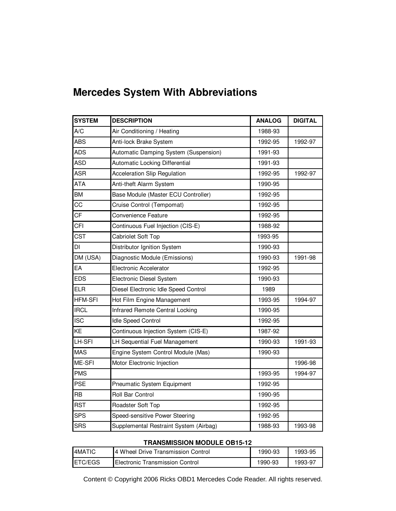| <b>Mercedes System With Abbreviations</b> |  |
|-------------------------------------------|--|
|-------------------------------------------|--|

| <b>SYSTEM</b>  | <b>DESCRIPTION</b>                     | <b>ANALOG</b> | <b>DIGITAL</b> |
|----------------|----------------------------------------|---------------|----------------|
| A/C            | Air Conditioning / Heating             | 1988-93       |                |
| ABS            | Anti-lock Brake System                 | 1992-95       | 1992-97        |
| <b>ADS</b>     | Automatic Damping System (Suspension)  | 1991-93       |                |
| ASD            | Automatic Locking Differential         | 1991-93       |                |
| <b>ASR</b>     | <b>Acceleration Slip Regulation</b>    | 1992-95       | 1992-97        |
| ATA            | Anti-theft Alarm System                | 1990-95       |                |
| <b>BM</b>      | Base Module (Master ECU Controller)    | 1992-95       |                |
| CС             | Cruise Control (Tempomat)              | 1992-95       |                |
| CF             | Convenience Feature                    | 1992-95       |                |
| CFI            | Continuous Fuel Injection (CIS-E)      | 1988-92       |                |
| <b>CST</b>     | Cabriolet Soft Top                     | 1993-95       |                |
| DI             | Distributor Ignition System            | 1990-93       |                |
| DM (USA)       | Diagnostic Module (Emissions)          | 1990-93       | 1991-98        |
| EA             | Electronic Accelerator                 | 1992-95       |                |
| <b>EDS</b>     | Electronic Diesel System               | 1990-93       |                |
| ELR            | Diesel Electronic Idle Speed Control   | 1989          |                |
| <b>HFM-SFI</b> | Hot Film Engine Management             | 1993-95       | 1994-97        |
| <b>IRCL</b>    | Infrared Remote Central Locking        | 1990-95       |                |
| <b>ISC</b>     | <b>Idle Speed Control</b>              | 1992-95       |                |
| KE             | Continuous Injection System (CIS-E)    | 1987-92       |                |
| LH-SFI         | LH Sequential Fuel Management          | 1990-93       | 1991-93        |
| <b>MAS</b>     | Engine System Control Module (Mas)     | 1990-93       |                |
| ME-SFI         | Motor Electronic Injection             |               | 1996-98        |
| <b>PMS</b>     |                                        | 1993-95       | 1994-97        |
| <b>PSE</b>     | Pneumatic System Equipment             | 1992-95       |                |
| <b>RB</b>      | Roll Bar Control                       | 1990-95       |                |
| <b>RST</b>     | Roadster Soft Top                      | 1992-95       |                |
| <b>SPS</b>     | Speed-sensitive Power Steering         | 1992-95       |                |
| <b>SRS</b>     | Supplemental Restraint System (Airbag) | 1988-93       | 1993-98        |

#### **TRANSMISSION MODULE OB15-12**

| <b>I4MATIC</b>  | 4 Wheel Drive Transmission Control | 1990-93 | 1993-95 |
|-----------------|------------------------------------|---------|---------|
| <b>IETC/EGS</b> | Electronic Transmission Control    | 1990-93 | 1993-97 |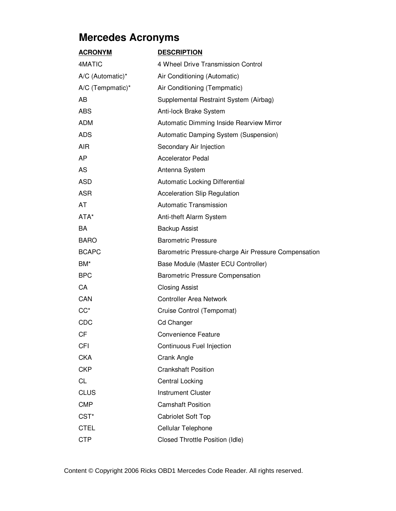| <b>ACRONYM</b>   | <b>DESCRIPTION</b>                                   |
|------------------|------------------------------------------------------|
| 4MATIC           | 4 Wheel Drive Transmission Control                   |
| A/C (Automatic)* | Air Conditioning (Automatic)                         |
| A/C (Tempmatic)* | Air Conditioning (Tempmatic)                         |
| AB               | Supplemental Restraint System (Airbag)               |
| <b>ABS</b>       | Anti-lock Brake System                               |
| <b>ADM</b>       | Automatic Dimming Inside Rearview Mirror             |
| <b>ADS</b>       | Automatic Damping System (Suspension)                |
| AIR              | Secondary Air Injection                              |
| AP               | <b>Accelerator Pedal</b>                             |
| AS               | Antenna System                                       |
| <b>ASD</b>       | Automatic Locking Differential                       |
| <b>ASR</b>       | <b>Acceleration Slip Regulation</b>                  |
| AT               | Automatic Transmission                               |
| ATA*             | Anti-theft Alarm System                              |
| <b>BA</b>        | <b>Backup Assist</b>                                 |
| <b>BARO</b>      | <b>Barometric Pressure</b>                           |
| <b>BCAPC</b>     | Barometric Pressure-charge Air Pressure Compensation |
| BM*              | Base Module (Master ECU Controller)                  |
| <b>BPC</b>       | <b>Barometric Pressure Compensation</b>              |
| CA               | <b>Closing Assist</b>                                |
| CAN              | <b>Controller Area Network</b>                       |
| $CC^*$           | Cruise Control (Tempomat)                            |
| <b>CDC</b>       | <b>Cd Changer</b>                                    |
| СF               | <b>Convenience Feature</b>                           |
| <b>CFI</b>       | Continuous Fuel Injection                            |
| <b>CKA</b>       | Crank Angle                                          |
| <b>CKP</b>       | <b>Crankshaft Position</b>                           |
| CL               | Central Locking                                      |
| <b>CLUS</b>      | <b>Instrument Cluster</b>                            |
| <b>CMP</b>       | <b>Camshaft Position</b>                             |
| CST <sup>*</sup> | <b>Cabriolet Soft Top</b>                            |
| <b>CTEL</b>      | Cellular Telephone                                   |
| <b>CTP</b>       | Closed Throttle Position (Idle)                      |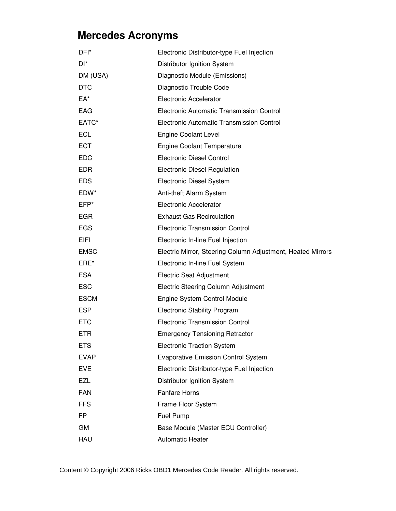| DFI*        | Electronic Distributor-type Fuel Injection                  |  |  |  |
|-------------|-------------------------------------------------------------|--|--|--|
| DI*         | Distributor Ignition System                                 |  |  |  |
| DM (USA)    | Diagnostic Module (Emissions)                               |  |  |  |
| <b>DTC</b>  | Diagnostic Trouble Code                                     |  |  |  |
| EA*         | Electronic Accelerator                                      |  |  |  |
| EAG         | Electronic Automatic Transmission Control                   |  |  |  |
| EATC*       | Electronic Automatic Transmission Control                   |  |  |  |
| <b>ECL</b>  | <b>Engine Coolant Level</b>                                 |  |  |  |
| <b>ECT</b>  | <b>Engine Coolant Temperature</b>                           |  |  |  |
| <b>EDC</b>  | <b>Electronic Diesel Control</b>                            |  |  |  |
| <b>EDR</b>  | <b>Electronic Diesel Regulation</b>                         |  |  |  |
| <b>EDS</b>  | Electronic Diesel System                                    |  |  |  |
| EDW*        | Anti-theft Alarm System                                     |  |  |  |
| EFP*        | <b>Electronic Accelerator</b>                               |  |  |  |
| <b>EGR</b>  | <b>Exhaust Gas Recirculation</b>                            |  |  |  |
| <b>EGS</b>  | <b>Electronic Transmission Control</b>                      |  |  |  |
| EIFI        | Electronic In-line Fuel Injection                           |  |  |  |
| <b>EMSC</b> | Electric Mirror, Steering Column Adjustment, Heated Mirrors |  |  |  |
| ERE*        | Electronic In-line Fuel System                              |  |  |  |
| <b>ESA</b>  | <b>Electric Seat Adjustment</b>                             |  |  |  |
| <b>ESC</b>  | Electric Steering Column Adjustment                         |  |  |  |
| <b>ESCM</b> | Engine System Control Module                                |  |  |  |
| <b>ESP</b>  | <b>Electronic Stability Program</b>                         |  |  |  |
| <b>ETC</b>  | <b>Electronic Transmission Control</b>                      |  |  |  |
| ETR         | <b>Emergency Tensioning Retractor</b>                       |  |  |  |
| <b>ETS</b>  | <b>Electronic Traction System</b>                           |  |  |  |
| <b>EVAP</b> | <b>Evaporative Emission Control System</b>                  |  |  |  |
| <b>EVE</b>  | Electronic Distributor-type Fuel Injection                  |  |  |  |
| EZL         | Distributor Ignition System                                 |  |  |  |
| <b>FAN</b>  | <b>Fanfare Horns</b>                                        |  |  |  |
| <b>FFS</b>  | Frame Floor System                                          |  |  |  |
| <b>FP</b>   | Fuel Pump                                                   |  |  |  |
| GM          | Base Module (Master ECU Controller)                         |  |  |  |
| HAU         | <b>Automatic Heater</b>                                     |  |  |  |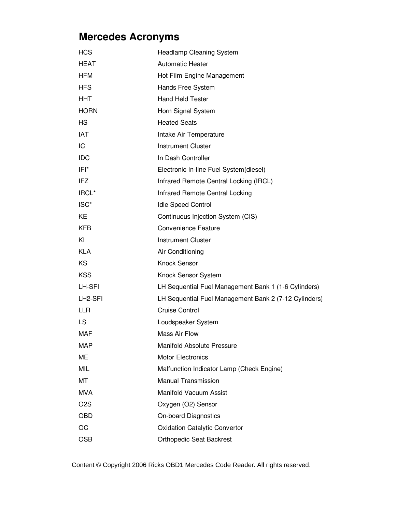| <b>HCS</b>           | <b>Headlamp Cleaning System</b>                       |
|----------------------|-------------------------------------------------------|
| <b>HEAT</b>          | <b>Automatic Heater</b>                               |
| <b>HFM</b>           | Hot Film Engine Management                            |
| <b>HFS</b>           | Hands Free System                                     |
| HHT                  | <b>Hand Held Tester</b>                               |
| <b>HORN</b>          | Horn Signal System                                    |
| <b>HS</b>            | <b>Heated Seats</b>                                   |
| <b>IAT</b>           | Intake Air Temperature                                |
| IC                   | <b>Instrument Cluster</b>                             |
| <b>IDC</b>           | In Dash Controller                                    |
| IFI*                 | Electronic In-line Fuel System(diesel)                |
| <b>IFZ</b>           | Infrared Remote Central Locking (IRCL)                |
| IRCL*                | Infrared Remote Central Locking                       |
| ISC <sup>*</sup>     | <b>Idle Speed Control</b>                             |
| KE                   | Continuous Injection System (CIS)                     |
| <b>KFB</b>           | <b>Convenience Feature</b>                            |
| KI                   | <b>Instrument Cluster</b>                             |
| <b>KLA</b>           | Air Conditioning                                      |
| KS                   | <b>Knock Sensor</b>                                   |
| <b>KSS</b>           | Knock Sensor System                                   |
| LH-SFI               | LH Sequential Fuel Management Bank 1 (1-6 Cylinders)  |
| LH <sub>2</sub> -SFI | LH Sequential Fuel Management Bank 2 (7-12 Cylinders) |
| <b>LLR</b>           | <b>Cruise Control</b>                                 |
| LS                   | Loudspeaker System                                    |
| MAF                  | Mass Air Flow                                         |
| MAP                  | <b>Manifold Absolute Pressure</b>                     |
| ME                   | <b>Motor Electronics</b>                              |
| MIL                  | Malfunction Indicator Lamp (Check Engine)             |
| MT                   | Manual Transmission                                   |
| <b>MVA</b>           | Manifold Vacuum Assist                                |
| O <sub>2</sub> S     | Oxygen (O2) Sensor                                    |
| <b>OBD</b>           | <b>On-board Diagnostics</b>                           |
| OC                   | <b>Oxidation Catalytic Convertor</b>                  |
| <b>OSB</b>           | <b>Orthopedic Seat Backrest</b>                       |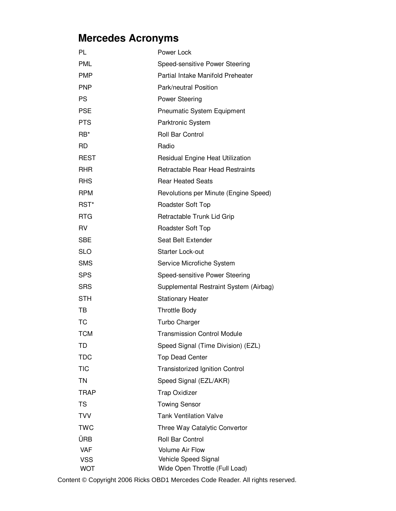| PL              | Power Lock                             |
|-----------------|----------------------------------------|
| <b>PML</b>      | Speed-sensitive Power Steering         |
| <b>PMP</b>      | Partial Intake Manifold Preheater      |
| <b>PNP</b>      | Park/neutral Position                  |
| <b>PS</b>       | <b>Power Steering</b>                  |
| <b>PSE</b>      | <b>Pneumatic System Equipment</b>      |
| <b>PTS</b>      | Parktronic System                      |
| RB <sup>*</sup> | <b>Roll Bar Control</b>                |
| RD.             | Radio                                  |
| <b>REST</b>     | Residual Engine Heat Utilization       |
| <b>RHR</b>      | Retractable Rear Head Restraints       |
| <b>RHS</b>      | <b>Rear Heated Seats</b>               |
| <b>RPM</b>      | Revolutions per Minute (Engine Speed)  |
| RST*            | Roadster Soft Top                      |
| <b>RTG</b>      | Retractable Trunk Lid Grip             |
| RV              | Roadster Soft Top                      |
| <b>SBE</b>      | Seat Belt Extender                     |
| <b>SLO</b>      | <b>Starter Lock-out</b>                |
| <b>SMS</b>      | Service Microfiche System              |
| <b>SPS</b>      | Speed-sensitive Power Steering         |
| <b>SRS</b>      | Supplemental Restraint System (Airbag) |
| <b>STH</b>      | <b>Stationary Heater</b>               |
| TB              | <b>Throttle Body</b>                   |
| <b>TC</b>       | Turbo Charger                          |
| <b>TCM</b>      | <b>Transmission Control Module</b>     |
| TD              | Speed Signal (Time Division) (EZL)     |
| <b>TDC</b>      | <b>Top Dead Center</b>                 |
| <b>TIC</b>      | <b>Transistorized Ignition Control</b> |
| TN              | Speed Signal (EZL/AKR)                 |
| <b>TRAP</b>     | <b>Trap Oxidizer</b>                   |
| <b>TS</b>       | <b>Towing Sensor</b>                   |
| <b>TVV</b>      | <b>Tank Ventilation Valve</b>          |
| <b>TWC</b>      | Three Way Catalytic Convertor          |
| ÜRB             | Roll Bar Control                       |
| <b>VAF</b>      | <b>Volume Air Flow</b>                 |
| <b>VSS</b>      | Vehicle Speed Signal                   |
| <b>WOT</b>      | Wide Open Throttle (Full Load)         |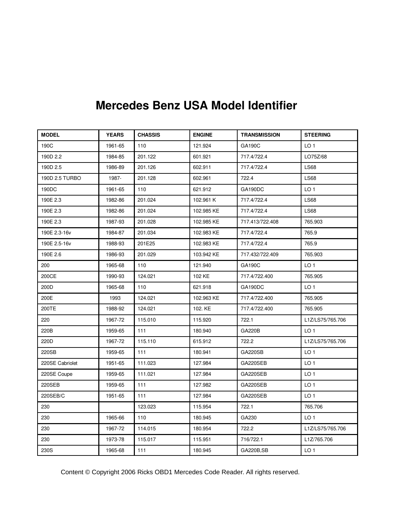| <b>MODEL</b>    | <b>YEARS</b> | <b>CHASSIS</b> | <b>ENGINE</b> | <b>TRANSMISSION</b> | <b>STEERING</b>  |
|-----------------|--------------|----------------|---------------|---------------------|------------------|
| 190C            | 1961-65      | 110            | 121.924       | GA190C              | LO <sub>1</sub>  |
| 190D 2.2        | 1984-85      | 201.122        | 601.921       | 717.4/722.4         | LO75Z/68         |
| 190D 2.5        | 1986-89      | 201.126        | 602.911       | 717.4/722.4         | <b>LS68</b>      |
| 190D 2.5 TURBO  | 1987-        | 201.128        | 602.961       | 722.4               | <b>LS68</b>      |
| 190DC           | 1961-65      | 110            | 621.912       | GA190DC             | LO <sub>1</sub>  |
| 190E 2.3        | 1982-86      | 201.024        | 102.961 K     | 717.4/722.4         | <b>LS68</b>      |
| 190E 2.3        | 1982-86      | 201.024        | 102.985 KE    | 717.4/722.4         | LS68             |
| 190E 2.3        | 1987-93      | 201.028        | 102.985 KE    | 717.413/722.408     | 765.903          |
| 190E 2.3-16v    | 1984-87      | 201.034        | 102.983 KE    | 717.4/722.4         | 765.9            |
| 190E 2.5-16v    | 1988-93      | 201E25         | 102.983 KE    | 717.4/722.4         | 765.9            |
| 190E 2.6        | 1986-93      | 201.029        | 103.942 KE    | 717.432/722.409     | 765.903          |
| 200             | 1965-68      | 110            | 121.940       | GA190C              | LO <sub>1</sub>  |
| 200CE           | 1990-93      | 124.021        | 102 KE        | 717.4/722.400       | 765.905          |
| 200D            | 1965-68      | 110            | 621.918       | GA190DC             | LO <sub>1</sub>  |
| 200E            | 1993         | 124.021        | 102.963 KE    | 717.4/722.400       | 765.905          |
| 200TE           | 1988-92      | 124.021        | 102. KE       | 717.4/722.400       | 765.905          |
| 220             | 1967-72      | 115.010        | 115.920       | 722.1               | L1Z/LS75/765.706 |
| 220B            | 1959-65      | 111            | 180.940       | <b>GA220B</b>       | LO <sub>1</sub>  |
| 220D            | 1967-72      | 115.110        | 615.912       | 722.2               | L1Z/LS75/765.706 |
| 220SB           | 1959-65      | 111            | 180.941       | GA220SB             | LO <sub>1</sub>  |
| 220SE Cabriolet | 1951-65      | 111.023        | 127.984       | GA220SEB            | LO <sub>1</sub>  |
| 220SE Coupe     | 1959-65      | 111.021        | 127.984       | GA220SEB            | LO <sub>1</sub>  |
| 220SEB          | 1959-65      | 111            | 127.982       | GA220SEB            | LO <sub>1</sub>  |
| 220SEB/C        | 1951-65      | 111            | 127.984       | GA220SEB            | LO <sub>1</sub>  |
| 230             |              | 123.023        | 115.954       | 722.1               | 765.706          |
| 230             | 1965-66      | 110            | 180.945       | GA230               | LO <sub>1</sub>  |
| 230             | 1967-72      | 114.015        | 180.954       | 722.2               | L1Z/LS75/765.706 |
| 230             | 1973-78      | 115.017        | 115.951       | 716/722.1           | L1Z/765.706      |
| 230S            | 1965-68      | $111$          | 180.945       | GA220B, SB          | LO <sub>1</sub>  |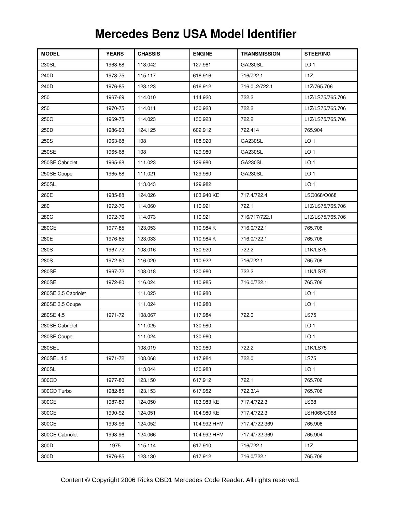| <b>MODEL</b>        | <b>YEARS</b> | <b>CHASSIS</b> | <b>ENGINE</b> | <b>TRANSMISSION</b> | <b>STEERING</b>  |
|---------------------|--------------|----------------|---------------|---------------------|------------------|
| 230SL               | 1963-68      | 113.042        | 127.981       | <b>GA230SL</b>      | LO <sub>1</sub>  |
| 240D                | 1973-75      | 115.117        | 616.916       | 716/722.1           | L1Z              |
| 240D                | 1976-85      | 123.123        | 616.912       | 716.0, 2/722.1      | L1Z/765.706      |
| 250                 | 1967-69      | 114.010        | 114.920       | 722.2               | L1Z/LS75/765.706 |
| 250                 | 1970-75      | 114.011        | 130.923       | 722.2               | L1Z/LS75/765.706 |
| 250C                | 1969-75      | 114.023        | 130.923       | 722.2               | L1Z/LS75/765.706 |
| 250D                | 1986-93      | 124.125        | 602.912       | 722.414             | 765.904          |
| 250S                | 1963-68      | 108            | 108.920       | <b>GA230SL</b>      | LO <sub>1</sub>  |
| 250SE               | 1965-68      | 108            | 129.980       | GA230SL             | LO <sub>1</sub>  |
| 250SE Cabriolet     | 1965-68      | 111.023        | 129.980       | GA230SL             | LO <sub>1</sub>  |
| 250SE Coupe         | 1965-68      | 111.021        | 129.980       | <b>GA230SL</b>      | LO <sub>1</sub>  |
| 250SL               |              | 113.043        | 129.982       |                     | LO <sub>1</sub>  |
| 260E                | 1985-88      | 124.026        | 103.940 KE    | 717.4/722.4         | LSC068/O068      |
| 280                 | 1972-76      | 114.060        | 110.921       | 722.1               | L1Z/LS75/765.706 |
| 280C                | 1972-76      | 114.073        | 110.921       | 716/717/722.1       | L1Z/LS75/765.706 |
| 280CE               | 1977-85      | 123.053        | 110.984 K     | 716.0/722.1         | 765.706          |
| 280E                | 1976-85      | 123.033        | 110.984 K     | 716.0/722.1         | 765.706          |
| 280S                | 1967-72      | 108.016        | 130.920       | 722.2               | L1K/LS75         |
| 280S                | 1972-80      | 116.020        | 110.922       | 716/722.1           | 765.706          |
| 280SE               | 1967-72      | 108.018        | 130.980       | 722.2               | <b>L1K/LS75</b>  |
| 280SE               | 1972-80      | 116.024        | 110.985       | 716.0/722.1         | 765.706          |
| 280SE 3.5 Cabriolet |              | 111.025        | 116.980       |                     | LO <sub>1</sub>  |
| 280SE 3.5 Coupe     |              | 111.024        | 116.980       |                     | LO <sub>1</sub>  |
| 280SE 4.5           | 1971-72      | 108.067        | 117.984       | 722.0               | <b>LS75</b>      |
| 280SE Cabriolet     |              | 111.025        | 130.980       |                     | LO <sub>1</sub>  |
| 280SE Coupe         |              | 111.024        | 130.980       |                     | LO <sub>1</sub>  |
| 280SEL              |              | 108.019        | 130.980       | 722.2               | L1K/LS75         |
| 280SEL 4.5          | 1971-72      | 108.068        | 117.984       | 722.0               | <b>LS75</b>      |
| 280SL               |              | 113.044        | 130.983       |                     | LO <sub>1</sub>  |
| 300CD               | 1977-80      | 123.150        | 617.912       | 722.1               | 765.706          |
| 300CD Turbo         | 1982-85      | 123.153        | 617.952       | 722.3/.4            | 765.706          |
| 300CE               | 1987-89      | 124.050        | 103.983 KE    | 717.4/722.3         | LS68             |
| 300CE               | 1990-92      | 124.051        | 104.980 KE    | 717.4/722.3         | LSH068/C068      |
| 300CE               | 1993-96      | 124.052        | 104.992 HFM   | 717.4/722.369       | 765.908          |
| 300CE Cabriolet     | 1993-96      | 124.066        | 104.992 HFM   | 717.4/722.369       | 765.904          |
| 300D                | 1975         | 115.114        | 617.910       | 716/722.1           | L1Z              |
| 300D                | 1976-85      | 123.130        | 617.912       | 716.0/722.1         | 765.706          |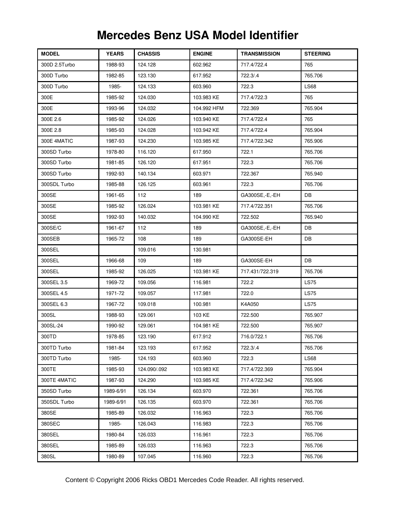| <b>MODEL</b>  | <b>YEARS</b> | <b>CHASSIS</b> | <b>ENGINE</b> | <b>TRANSMISSION</b> | <b>STEERING</b> |
|---------------|--------------|----------------|---------------|---------------------|-----------------|
| 300D 2.5Turbo | 1988-93      | 124.128        | 602.962       | 717.4/722.4         | 765             |
| 300D Turbo    | 1982-85      | 123.130        | 617.952       | 722.3/.4            | 765.706         |
| 300D Turbo    | 1985-        | 124.133        | 603.960       | 722.3               | <b>LS68</b>     |
| 300E          | 1985-92      | 124.030        | 103.983 KE    | 717.4/722.3         | 765             |
| 300E          | 1993-96      | 124.032        | 104.992 HFM   | 722.369             | 765.904         |
| 300E 2.6      | 1985-92      | 124.026        | 103.940 KE    | 717.4/722.4         | 765             |
| 300E 2.8      | 1985-93      | 124.028        | 103.942 KE    | 717.4/722.4         | 765.904         |
| 300E 4MATIC   | 1987-93      | 124.230        | 103.985 KE    | 717.4/722.342       | 765.906         |
| 300SD Turbo   | 1978-80      | 116.120        | 617.950       | 722.1               | 765.706         |
| 300SD Turbo   | 1981-85      | 126.120        | 617.951       | 722.3               | 765.706         |
| 300SD Turbo   | 1992-93      | 140.134        | 603.971       | 722.367             | 765.940         |
| 300SDL Turbo  | 1985-88      | 126.125        | 603.961       | 722.3               | 765.706         |
| 300SE         | 1961-65      | 112            | 189           | GA300SE,-E,-EH      | DB              |
| 300SE         | 1985-92      | 126.024        | 103.981 KE    | 717.4/722.351       | 765.706         |
| 300SE         | 1992-93      | 140.032        | 104.990 KE    | 722.502             | 765.940         |
| 300SE/C       | 1961-67      | 112            | 189           | GA300SE,-E,-EH      | DB              |
| 300SEB        | 1965-72      | 108            | 189           | GA300SE-EH          | DB              |
| 300SEL        |              | 109.016        | 130.981       |                     |                 |
| 300SEL        | 1966-68      | 109            | 189           | GA300SE-EH          | DB              |
| 300SEL        | 1985-92      | 126.025        | 103.981 KE    | 717.431/722.319     | 765.706         |
| 300SEL 3.5    | 1969-72      | 109.056        | 116.981       | 722.2               | <b>LS75</b>     |
| 300SEL 4.5    | 1971-72      | 109.057        | 117.981       | 722.0               | <b>LS75</b>     |
| 300SEL 6.3    | 1967-72      | 109.018        | 100.981       | K4A050              | <b>LS75</b>     |
| 300SL         | 1988-93      | 129.061        | 103 KE        | 722.500             | 765.907         |
| 300SL-24      | 1990-92      | 129.061        | 104.981 KE    | 722.500             | 765.907         |
| 300TD         | 1978-85      | 123.190        | 617.912       | 716.0/722.1         | 765.706         |
| 300TD Turbo   | 1981-84      | 123.193        | 617.952       | 722.3/.4            | 765.706         |
| 300TD Turbo   | 1985-        | 124.193        | 603.960       | 722.3               | <b>LS68</b>     |
| 300TE         | 1985-93      | 124.090/.092   | 103.983 KE    | 717.4/722.369       | 765.904         |
| 300TE 4MATIC  | 1987-93      | 124.290        | 103.985 KE    | 717.4/722.342       | 765.906         |
| 350SD Turbo   | 1989-6/91    | 126.134        | 603.970       | 722.361             | 765.706         |
| 350SDL Turbo  | 1989-6/91    | 126.135        | 603.970       | 722.361             | 765.706         |
| 380SE         | 1985-89      | 126.032        | 116.963       | 722.3               | 765.706         |
| 380SEC        | 1985-        | 126.043        | 116.983       | 722.3               | 765.706         |
| 380SEL        | 1980-84      | 126.033        | 116.961       | 722.3               | 765.706         |
| 380SEL        | 1985-89      | 126.033        | 116.963       | 722.3               | 765.706         |
| 380SL         | 1980-89      | 107.045        | 116.960       | 722.3               | 765.706         |

## **MERCEDES-BENZ ACRONYMS Mercedes Benz USA Model Identifier**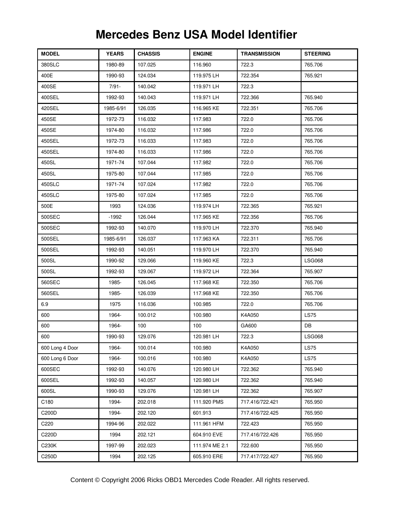| <b>MODEL</b>    | <b>YEARS</b> | <b>CHASSIS</b> | <b>ENGINE</b>  | <b>TRANSMISSION</b> | <b>STEERING</b> |
|-----------------|--------------|----------------|----------------|---------------------|-----------------|
| 380SLC          | 1980-89      | 107.025        | 116.960        | 722.3               | 765.706         |
| 400E            | 1990-93      | 124.034        | 119.975 LH     | 722.354             | 765.921         |
| 400SE           | $7/91 -$     | 140.042        | 119.971 LH     | 722.3               |                 |
| 400SEL          | 1992-93      | 140.043        | 119.971 LH     | 722.366             | 765.940         |
| 420SEL          | 1985-6/91    | 126.035        | 116.965 KE     | 722.351             | 765.706         |
| 450SE           | 1972-73      | 116.032        | 117.983        | 722.0               | 765.706         |
| 450SE           | 1974-80      | 116.032        | 117.986        | 722.0               | 765.706         |
| 450SEL          | 1972-73      | 116.033        | 117.983        | 722.0               | 765.706         |
| 450SEL          | 1974-80      | 116.033        | 117.986        | 722.0               | 765.706         |
| 450SL           | 1971-74      | 107.044        | 117.982        | 722.0               | 765.706         |
| 450SL           | 1975-80      | 107.044        | 117.985        | 722.0               | 765.706         |
| 450SLC          | 1971-74      | 107.024        | 117.982        | 722.0               | 765.706         |
| 450SLC          | 1975-80      | 107.024        | 117.985        | 722.0               | 765.706         |
| 500E            | 1993         | 124.036        | 119.974 LH     | 722.365             | 765.921         |
| 500SEC          | $-1992$      | 126.044        | 117.965 KE     | 722.356             | 765.706         |
| 500SEC          | 1992-93      | 140.070        | 119.970 LH     | 722.370             | 765.940         |
| 500SEL          | 1985-6/91    | 126.037        | 117.963 KA     | 722.311             | 765.706         |
| 500SEL          | 1992-93      | 140.051        | 119.970 LH     | 722.370             | 765.940         |
| 500SL           | 1990-92      | 129.066        | 119.960 KE     | 722.3               | <b>LSG068</b>   |
| 500SL           | 1992-93      | 129.067        | 119.972 LH     | 722.364             | 765.907         |
| 560SEC          | 1985-        | 126.045        | 117.968 KE     | 722.350             | 765.706         |
| 560SEL          | 1985-        | 126.039        | 117.968 KE     | 722.350             | 765.706         |
| 6.9             | 1975         | 116.036        | 100.985        | 722.0               | 765.706         |
| 600             | 1964-        | 100.012        | 100.980        | K4A050              | <b>LS75</b>     |
| 600             | 1964-        | 100            | 100            | GA600               | DB              |
| 600             | 1990-93      | 129.076        | 120.981 LH     | 722.3               | <b>LSG068</b>   |
| 600 Long 4 Door | 1964-        | 100.014        | 100.980        | K4A050              | <b>LS75</b>     |
| 600 Long 6 Door | 1964-        | 100.016        | 100.980        | K4A050              | <b>LS75</b>     |
| 600SEC          | 1992-93      | 140.076        | 120.980 LH     | 722.362             | 765.940         |
| 600SEL          | 1992-93      | 140.057        | 120.980 LH     | 722.362             | 765.940         |
| 600SL           | 1990-93      | 129.076        | 120.981 LH     | 722.362             | 765.907         |
| C180            | 1994-        | 202.018        | 111.920 PMS    | 717.416/722.421     | 765.950         |
| C200D           | 1994-        | 202.120        | 601.913        | 717.416/722.425     | 765.950         |
| C220            | 1994-96      | 202.022        | 111.961 HFM    | 722.423             | 765.950         |
| C220D           | 1994         | 202.121        | 604.910 EVE    | 717.416/722.426     | 765.950         |
| C230K           | 1997-99      | 202.023        | 111.974 ME 2.1 | 722.600             | 765.950         |
| C250D           | 1994         | 202.125        | 605.910 ERE    | 717.417/722.427     | 765.950         |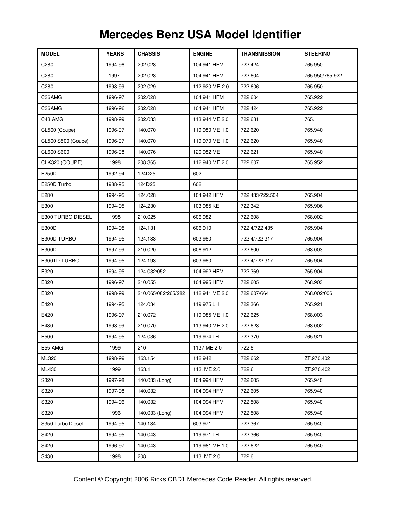| <b>MODEL</b>       | <b>YEARS</b> | <b>CHASSIS</b>      | <b>ENGINE</b>  | <b>TRANSMISSION</b> | <b>STEERING</b> |
|--------------------|--------------|---------------------|----------------|---------------------|-----------------|
| C280               | 1994-96      | 202.028             | 104.941 HFM    | 722.424             | 765.950         |
| C280               | 1997-        | 202.028             | 104.941 HFM    | 722.604             | 765.950/765.922 |
| C280               | 1998-99      | 202.029             | 112.920 ME-2.0 | 722.606             | 765.950         |
| C36AMG             | 1996-97      | 202.028             | 104.941 HFM    | 722.604             | 765.922         |
| C36AMG             | 1996-96      | 202.028             | 104.941 HFM    | 722.424             | 765.922         |
| C43 AMG            | 1998-99      | 202.033             | 113.944 ME 2.0 | 722.631             | 765.            |
| CL500 (Coupe)      | 1996-97      | 140.070             | 119.980 ME 1.0 | 722.620             | 765.940         |
| CL500 S500 (Coupe) | 1996-97      | 140.070             | 119.970 ME 1.0 | 722.620             | 765.940         |
| CL600 S600         | 1996-98      | 140.076             | 120.982 ME     | 722.621             | 765.940         |
| CLK320 (COUPE)     | 1998         | 208.365             | 112.940 ME 2.0 | 722.607             | 765.952         |
| E250D              | 1992-94      | 124D25              | 602            |                     |                 |
| E250D Turbo        | 1988-95      | 124D25              | 602            |                     |                 |
| E280               | 1994-95      | 124.028             | 104.942 HFM    | 722.433/722.504     | 765.904         |
| E300               | 1994-95      | 124.230             | 103.985 KE     | 722.342             | 765.906         |
| E300 TURBO DIESEL  | 1998         | 210.025             | 606.982        | 722.608             | 768.002         |
| E300D              | 1994-95      | 124.131             | 606.910        | 722.4/722.435       | 765.904         |
| E300D TURBO        | 1994-95      | 124.133             | 603.960        | 722.4/722.317       | 765.904         |
| E300D              | 1997-99      | 210.020             | 606.912        | 722.600             | 768.003         |
| E300TD TURBO       | 1994-95      | 124.193             | 603.960        | 722.4/722.317       | 765.904         |
| E320               | 1994-95      | 124.032/052         | 104.992 HFM    | 722.369             | 765.904         |
| E320               | 1996-97      | 210.055             | 104.995 HFM    | 722.605             | 768.903         |
| E320               | 1998-99      | 210.065/082/265/282 | 112.941 ME 2.0 | 722.607/664         | 768.002/006     |
| E420               | 1994-95      | 124.034             | 119.975 LH     | 722.366             | 765.921         |
| E420               | 1996-97      | 210.072             | 119.985 ME 1.0 | 722.625             | 768.003         |
| E430               | 1998-99      | 210.070             | 113.940 ME 2.0 | 722.623             | 768.002         |
| E500               | 1994-95      | 124.036             | 119.974 LH     | 722.370             | 765.921         |
| E55 AMG            | 1999         | 210                 | 113? ME 2.0    | 722.6               |                 |
| ML320              | 1998-99      | 163.154             | 112.942        | 722.662             | ZF.970.402      |
| ML430              | 1999         | 163.1               | 113. ME 2.0    | 722.6               | ZF.970.402      |
| S320               | 1997-98      | 140.033 (Long)      | 104.994 HFM    | 722.605             | 765.940         |
| S320               | 1997-98      | 140.032             | 104.994 HFM    | 722.605             | 765.940         |
| S320               | 1994-96      | 140.032             | 104.994 HFM    | 722.508             | 765.940         |
| S320               | 1996         | 140.033 (Long)      | 104.994 HFM    | 722.508             | 765.940         |
| S350 Turbo Diesel  | 1994-95      | 140.134             | 603.971        | 722.367             | 765.940         |
| S420               | 1994-95      | 140.043             | 119.971 LH     | 722.366             | 765.940         |
| S420               | 1996-97      | 140.043             | 119.981 ME 1.0 | 722.622             | 765.940         |
| S430               | 1998         | 208.                | 113. ME 2.0    | 722.6               |                 |